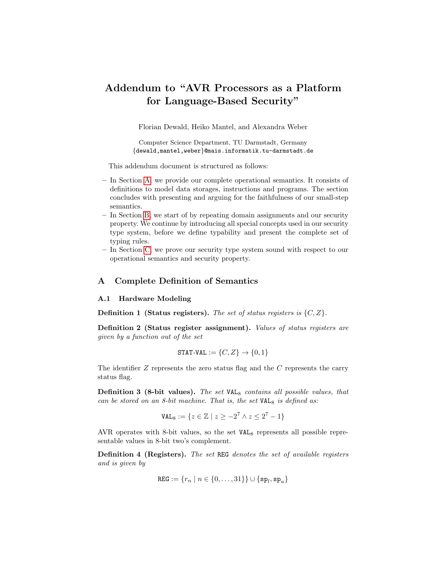# Addendum to "AVR Processors as a Platform for Language-Based Security"

Florian Dewald, Heiko Mantel, and Alexandra Weber

Computer Science Department, TU Darmstadt, Germany {dewald,mantel,weber}@mais.informatik.tu-darmstadt.de

This addendum document is structured as follows:

- In Section [A,](#page-0-0) we provide our complete operational semantics. It consists of definitions to model data storages, instructions and programs. The section concludes with presenting and arguing for the faithfulness of our small-step semantics.
- In Section [B,](#page-29-0) we start of by repeating domain assignments and our security property. We continue by introducing all special concepts used in our security type system, before we define typability and present the complete set of typing rules.
- In Section [C,](#page-40-0) we prove our security type system sound with respect to our operational semantics and security property.

### <span id="page-0-0"></span>A Complete Definition of Semantics

#### <span id="page-0-1"></span>A.1 Hardware Modeling

**Definition 1 (Status registers).** The set of status registers is  $\{C, Z\}$ .

Definition 2 (Status register assignment). Values of status registers are given by a function out of the set

$$
\texttt{STAT-VAL} := \{C, Z\} \to \{0, 1\}
$$

The identifier  $Z$  represents the zero status flag and the  $C$  represents the carry status flag.

**Definition 3 (8-bit values).** The set  $VAL_{8}$  contains all possible values, that can be stored on an 8-bit machine. That is, the set  $VAL_8$  is defined as:

$$
\text{VAL}_8 := \{ z \in \mathbb{Z} \mid z \ge -2^7 \land z \le 2^7 - 1 \}
$$

AVR operates with 8-bit values, so the set  $VAL<sub>8</sub>$  represents all possible representable values in 8-bit two's complement.

Definition 4 (Registers). The set REG denotes the set of available registers and is given by

$$
\mathtt{REG} := \{r_n \mid n \in \{0, \ldots, 31\}\} \cup \{\mathtt{sp}_l, \mathtt{sp}_u\}
$$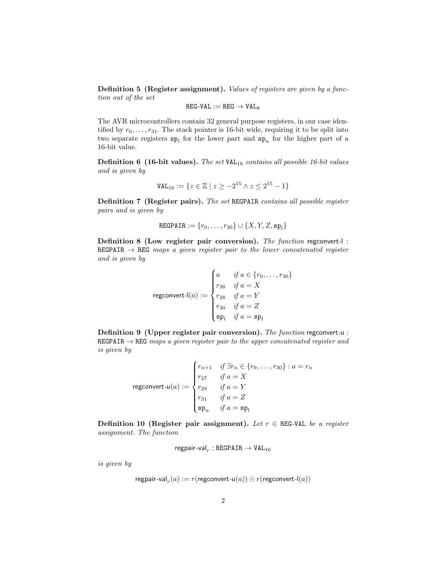Definition 5 (Register assignment). Values of registers are given by a function out of the set

$$
\texttt{REG-VAL} := \texttt{REG} \rightarrow \texttt{VAL}_8
$$

The AVR microcontrollers contain 32 general purpose registers, in our case identified by  $r_0, \ldots, r_{31}$ . The stack pointer is 16-bit wide, requiring it to be split into two separate registers  $sp_l$  for the lower part and  $sp_u$  for the higher part of a 16-bit value.

**Definition 6 (16-bit values).** The set  $VAL_{16}$  contains all possible 16-bit values and is given by

$$
\texttt{VAL}_{16} := \{ z \in \mathbb{Z} \mid z \geq -2^{15} \land z \leq 2^{15} - 1 \}
$$

Definition 7 (Register pairs). The set REGPAIR contains all possible register pairs and is given by

$$
\texttt{REGPAR} := \{r_0, \ldots, r_{30}\} \cup \{X, Y, Z, \mathtt{sp}_l\}
$$

Definition 8 (Low register pair conversion). The function regconvert-l : REGPAIR  $\rightarrow$  REG maps a given register pair to the lower concatenated register and is given by

$$
\text{regconvert-l}(a) := \begin{cases} a & \text{if } a \in \{r_0, \dots, r_{30}\} \\ r_{26} & \text{if } a = X \\ r_{28} & \text{if } a = Y \\ r_{30} & \text{if } a = Z \\ \text{sp}_l & \text{if } a = \text{sp}_l \end{cases}
$$

Definition 9 (Upper register pair conversion). The function regconvert-u : REGPAIR  $\rightarrow$  REG maps a given register pair to the upper concatenated register and is given by

$$
\text{regconvert-u}(a) := \begin{cases} r_{n+1} & \text{if } \exists r_n \in \{r_0, \dots, r_{30}\} : a = r_n \\ r_{27} & \text{if } a = X \\ r_{29} & \text{if } a = Y \\ r_{31} & \text{if } a = Z \\ \mathbf{s} \mathbf{p}_u & \text{if } a = \mathbf{s} \mathbf{p}_l \end{cases}
$$

Definition 10 (Register pair assignment). Let  $r \in \texttt{REG-VAL}$  be a register assignment. The function

regpair-val $_{r}$  : REGPAIR  $\rightarrow$  VAL $_{16}$ 

is given by

$$
\mathsf{regular-val}_r(a) := r(\mathsf{regconvert-u}(a)) \odot r(\mathsf{regconvert-l}(a))
$$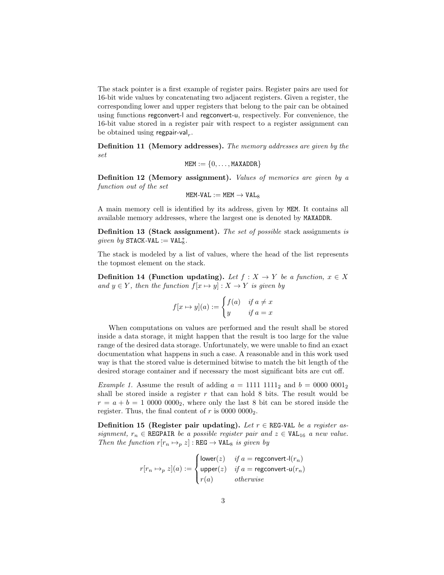The stack pointer is a first example of register pairs. Register pairs are used for 16-bit wide values by concatenating two adjacent registers. Given a register, the corresponding lower and upper registers that belong to the pair can be obtained using functions regconvert-l and regconvert-u, respectively. For convenience, the 16-bit value stored in a register pair with respect to a register assignment can be obtained using regpair-val<sub>r</sub>.

Definition 11 (Memory addresses). The memory addresses are given by the set

$$
\texttt{MEM} := \{0, \dots, \texttt{MAXADDR}\}
$$

Definition 12 (Memory assignment). Values of memories are given by a function out of the set

$$
\texttt{MEM-VAL} := \texttt{MEM} \rightarrow \texttt{VAL}_8
$$

A main memory cell is identified by its address, given by MEM. It contains all available memory addresses, where the largest one is denoted by MAXADDR.

Definition 13 (Stack assignment). The set of possible stack assignments is  $given\ by\ STACK\text{-}VAL := VAL^*_8.$ 

The stack is modeled by a list of values, where the head of the list represents the topmost element on the stack.

Definition 14 (Function updating). Let  $f : X \to Y$  be a function,  $x \in X$ and  $y \in Y$ , then the function  $f[x \mapsto y] : X \to Y$  is given by

$$
f[x \mapsto y](a) := \begin{cases} f(a) & \text{if } a \neq x \\ y & \text{if } a = x \end{cases}
$$

When computations on values are performed and the result shall be stored inside a data storage, it might happen that the result is too large for the value range of the desired data storage. Unfortunately, we were unable to find an exact documentation what happens in such a case. A reasonable and in this work used way is that the stored value is determined bitwise to match the bit length of the desired storage container and if necessary the most significant bits are cut off.

*Example 1.* Assume the result of adding  $a = 1111 1111_2$  and  $b = 0000 0001_2$ shall be stored inside a register  $r$  that can hold 8 bits. The result would be  $r = a + b = 100000000<sub>2</sub>$ , where only the last 8 bit can be stored inside the register. Thus, the final content of  $r$  is 0000 0000<sub>2</sub>.

Definition 15 (Register pair updating). Let  $r \in \text{REG-VAL}$  be a register assignment,  $r_n \in \text{REGPATH}$  be a possible register pair and  $z \in \text{VAL}_{16}$  a new value. Then the function  $r[r_n \mapsto_p z] : \text{REG} \to \text{VAL}_8$  is given by

$$
r[r_n \mapsto_p z](a) := \begin{cases} \text{lower}(z) & \text{if } a = \text{regconvert-l}(r_n) \\ \text{upper}(z) & \text{if } a = \text{regconvert-u}(r_n) \\ r(a) & \text{otherwise} \end{cases}
$$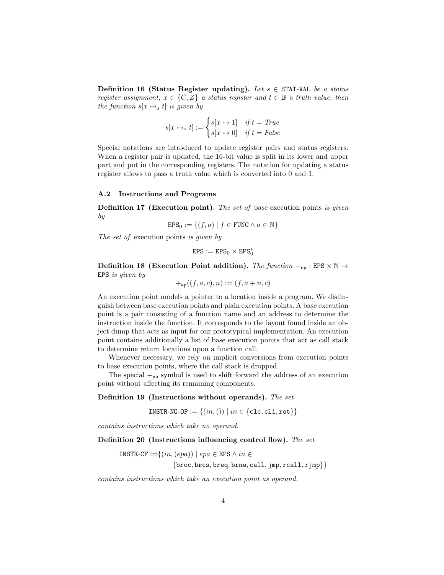Definition 16 (Status Register updating). Let  $s \in \text{STAT-VAL}$  be a status register assignment,  $x \in \{C, Z\}$  a status register and  $t \in \mathbb{B}$  a truth value, then the function  $s[x \mapsto_s t]$  is given by

$$
s[x \mapsto_s t] := \begin{cases} s[x \mapsto 1] & \text{if } t = True \\ s[x \mapsto 0] & \text{if } t = False \end{cases}
$$

Special notations are introduced to update register pairs and status registers. When a register pair is updated, the 16-bit value is split in its lower and upper part and put in the corresponding registers. The notation for updating a status register allows to pass a truth value which is converted into 0 and 1.

## A.2 Instructions and Programs

**Definition 17 (Execution point).** The set of base execution points is given by

 $EPS_0 := \{(f, a) \mid f \in FUNC \land a \in \mathbb{N}\}\$ 

The set of execution points is given by

$$
\text{EPS}:=\text{EPS}_0\times\text{EPS}_0^*
$$

Definition 18 (Execution Point addition). The function  $+_{ep}$ : EPS  $\times N \rightarrow$ EPS is given by

 $+_{\text{ep}}((f, a, c), n) := (f, a + n, c)$ 

An execution point models a pointer to a location inside a program. We distinguish between base execution points and plain execution points. A base execution point is a pair consisting of a function name and an address to determine the instruction inside the function. It corresponds to the layout found inside an object dump that acts as input for our prototypical implementation. An execution point contains additionally a list of base execution points that act as call stack to determine return locations upon a function call.

Whenever necessary, we rely on implicit conversions from execution points to base execution points, where the call stack is dropped.

The special  $+_{\text{ep}}$  symbol is used to shift forward the address of an execution point without affecting its remaining components.

### Definition 19 (Instructions without operands). The set

 $INSTR-NO-OP := \{(in, () ) | in \in \{clc, cli, ret \} \}$ 

contains instructions which take no operand.

Definition 20 (Instructions influencing control flow). The set

INSTR-CF := $\{(in,(epa)) \mid epa \in EPS \land in \in$  ${brec, brcs, breq, brne, call, jmp, real1, rimp}$ 

contains instructions which take an execution point as operand.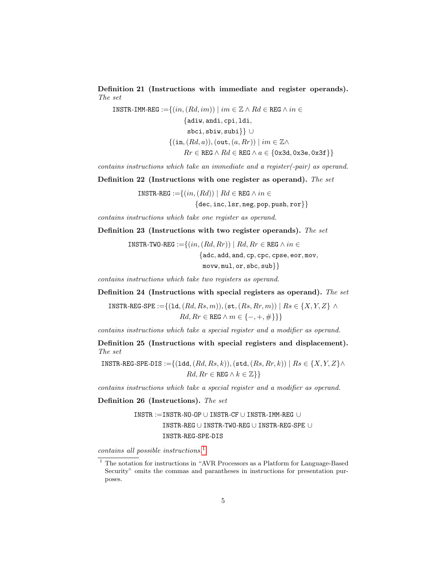Definition 21 (Instructions with immediate and register operands). The set

INSTR-IMM-REG := $\{(in,(Rd, im)) \mid im \in \mathbb{Z} \wedge Rd \in \text{REG} \wedge in \in$ {adiw, andi, cpi, ldi, sbci, sbiw, subi}} ∪  $\{(in,(Rd,a)),(out,(a, Rr)) \mid im \in \mathbb{Z}\wedge$  $Rr \in \texttt{REG} \land Rd \in \texttt{REG} \land a \in \{0x3d, 0x3e, 0x3f\}\}$ 

contains instructions which take an immediate and a register(-pair) as operand.

Definition 22 (Instructions with one register as operand). The set

INSTR-REG := $\{(in,(Rd)) \mid Rd \in$  REG  $\wedge in \in$ 

 ${dec, inc, 1sr, neg, pop, push, ror}$ 

contains instructions which take one register as operand.

Definition 23 (Instructions with two register operands). The set

INSTR-TWO-REG := $\{(in,(Rd, Rr)) \mid Rd, Rr \in$ REG  $\land in \in$ {adc, add, and, cp, cpc, cpse, eor, mov,  $movw, mul, or, sbc, sub\}$ 

contains instructions which take two registers as operand.

Definition 24 (Instructions with special registers as operand). The set

INSTR-REG-SPE := $\{(1d, (Rd, Rs, m)),(\text{st}, (Rs, Rr, m)) \mid Rs \in \{X, Y, Z\} \land$  $Rd, Rr \in \text{REG} \land m \in \{-, +, \#\}$ 

contains instructions which take a special register and a modifier as operand.

Definition 25 (Instructions with special registers and displacement). The set

INSTR-REG-SPE-DIS := $\{(1dd, (Rd, Rs, k)), (std, (Rs, Rr, k)) | Rs \in \{X, Y, Z\} \wedge$  $Rd, Rr \in \texttt{REG} \wedge k \in \mathbb{Z}$ }

contains instructions which take a special register and a modifier as operand.

Definition 26 (Instructions). The set

INSTR :=INSTR-NO-OP ∪ INSTR-CF ∪ INSTR-IMM-REG ∪ INSTR-REG ∪ INSTR-TWO-REG ∪ INSTR-REG-SPE ∪ INSTR-REG-SPE-DIS

contains all possible instructions.[1](#page-4-0)

<span id="page-4-0"></span> $^{\rm 1}$  The notation for instructions in "AVR Processors as a Platform for Language-Based Security" omits the commas and parantheses in instructions for presentation purposes.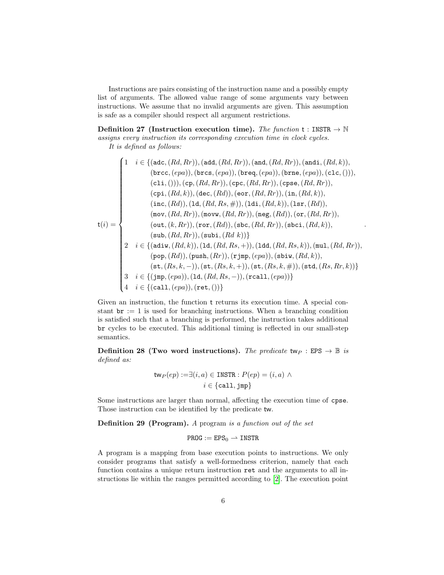Instructions are pairs consisting of the instruction name and a possibly empty list of arguments. The allowed value range of some arguments vary between instructions. We assume that no invalid arguments are given. This assumption is safe as a compiler should respect all argument restrictions.

Definition 27 (Instruction execution time). The function  $t : INSTR \rightarrow \mathbb{N}$ assigns every instruction its corresponding execution time in clock cycles. It is defined as follows:

$$
\mathsf{t}(i) = \begin{cases} 1 & i \in \{(\text{adc},(Rd,Rr)),(\text{add},(Rd,Rr)),(\text{and},(Rd,Rr)),(\text{and},(Rd,k)),\\ (\text{brcc},(epa)),(\text{brcs},(epa)),(\text{brcq},(epa)),(\text{brne},(epa)),(\text{clc},(),)),\\ (\text{cli},(),)),(\text{cp},(Rd,Rr)),(\text{cpc},(Rd,Rr)),(\text{cpse},(Rd,Rr)),\\ (\text{cpi},(Rd,k)),(\text{dec},(Rd)),(\text{eor},(Rd,Rr)),(\text{in},(Rd,k)),\\ (\text{inc},(Rd)),(\text{1d},(Rd,Rs,\#)),(\text{1di},(Rd,k)),(\text{1sr},(Rd)),\\ (\text{mov},(Rd,Rr)),(\text{movw},(Rd,Rr)),(\text{neg},(Rd)),(\text{or},(Rd,Rr)),\\ (\text{out},(k,Rr)),(\text{ror},(Rd)),(\text{sbc},(Rd,Rr)),(\text{sbci},(Rd,k)),\\ (\text{sub},(Rd,Rr)),(\text{subi},(Rd,k))\} \end{cases}
$$
\n
$$
\mathsf{t}(i) = \begin{cases} i \in \{(\text{adiw},(Rd,k)),(\text{1d},(Rd,Rs,+)),(\text{1dd},(Rd,Rs,k)),(\text{mul},(Rd,Rr)),\\ (\text{sub},(Rd,k)),(\text{l},(Rd,Rs,+)),(\text{1dd},(Rd,Rs,k)),(\text{mul},(Rd,Rr)),\\ (\text{pop},(Rd)),(\text{push},(Rr)),(\text{rjmp},(epa)),(\text{sbiw},(Rd,k)),\\ (\text{st},(Rs,k,-)),(\text{st},(Rs,k,+)),(\text{st},(Rs,k,\#)),(\text{std},(Rs,Rr,k))\} \end{cases}
$$

.

Given an instruction, the function t returns its execution time. A special constant  $\mathbf{br} := 1$  is used for branching instructions. When a branching condition is satisfied such that a branching is performed, the instruction takes additional br cycles to be executed. This additional timing is reflected in our small-step semantics.

Definition 28 (Two word instructions). The predicate twp : EPS  $\rightarrow \mathbb{B}$  is defined as:

$$
\mathsf{tw}_P(ep) := \exists (i, a) \in \texttt{INSERTR} : P(ep) = (i, a) \land i \in \{\texttt{call}, \texttt{jmp}\}
$$

Some instructions are larger than normal, affecting the execution time of cpse. Those instruction can be identified by the predicate tw.

Definition 29 (Program). A program is a function out of the set

$$
\mathtt{PROG} := \mathtt{EPS}_0 \rightharpoonup \mathtt{INSTR}
$$

A program is a mapping from base execution points to instructions. We only consider programs that satisfy a well-formedness criterion, namely that each function contains a unique return instruction ret and the arguments to all instructions lie within the ranges permitted according to [\[2\]](#page-73-0). The execution point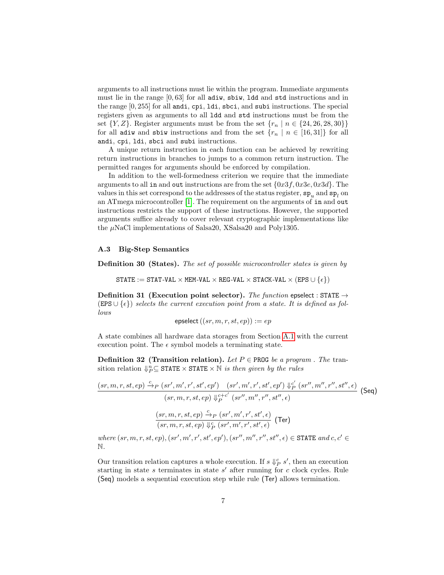arguments to all instructions must lie within the program. Immediate arguments must lie in the range  $[0, 63]$  for all adiw, sbiw, 1dd and std instructions and in the range [0, 255] for all andi, cpi, ldi, sbci, and subi instructions. The special registers given as arguments to all ldd and std instructions must be from the set  $\{Y, Z\}$ . Register arguments must be from the set  $\{r_n \mid n \in \{24, 26, 28, 30\}\}\$ for all adiw and sbiw instructions and from the set  ${r_n | n \in [16,31]}$  for all andi, cpi, ldi, sbci and subi instructions.

A unique return instruction in each function can be achieved by rewriting return instructions in branches to jumps to a common return instruction. The permitted ranges for arguments should be enforced by compilation.

In addition to the well-formedness criterion we require that the immediate arguments to all in and out instructions are from the set  $\{0x3f, 0x3e, 0x3d\}$ . The values in this set correspond to the addresses of the status register,  $\mathbf{sp}_u$  and  $\mathbf{sp}_l$  on an ATmega microcontroller [\[1\]](#page-73-1). The requirement on the arguments of in and out instructions restricts the support of these instructions. However, the supported arguments suffice already to cover relevant cryptographic implementations like the  $\mu$ NaCl implementations of Salsa20, XSalsa20 and Poly1305.

### A.3 Big-Step Semantics

Definition 30 (States). The set of possible microcontroller states is given by

STATE := STAT-VAL  $\times$  MEM-VAL  $\times$  REG-VAL  $\times$  STACK-VAL  $\times$  (EPS  $\cup$   $\{\epsilon\})$ )

Definition 31 (Execution point selector). The function epselect : STATE  $\rightarrow$ (EPS ∪ $\{\epsilon\}$ ) selects the current execution point from a state. It is defined as follows

$$
\mathsf{epselect}\left((sr,m,r,st,ep)\right):=ep
$$

A state combines all hardware data storages from Section [A.1](#page-0-1) with the current execution point. The  $\epsilon$  symbol models a terminating state.

**Definition 32 (Transition relation).** Let  $P \in \text{PROG}$  be a program. The transition relation  $\downarrow_p^n \subseteq \texttt{STATE} \times \texttt{STATE} \times \overline{\mathbb{N}}$  is then given by the rules

$$
\frac{(sr, m, r, st, ep) \xrightarrow{c} p (sr', m', r', st', ep') (sr', m', r', st', ep') \Downarrow_{P}^{c'} (sr'', m'', r'', st'', \epsilon)}{(sr, m, r, st, ep) \Downarrow_{P}^{c+c'} (sr'', m'', r'', st'', \epsilon)}
$$
 (Seq)  

$$
\frac{(sr, m, r, st, ep) \xrightarrow{c} p (sr', m', r', st', \epsilon)}{(sr, m, r, st, ep) \Downarrow_{P}^{c} (sr', m', r', st', \epsilon)}
$$
 (Ter)

where  $(sr, m, r, st, ep)$ ,  $(sr', m', r', st', ep')$ ,  $(sr'', m'', r'', st'', \epsilon) \in \text{STATE} and c, c' \in$ N.

Our transition relation captures a whole execution. If  $s \Downarrow^c_P s'$ , then an execution starting in state s terminates in state  $s'$  after running for c clock cycles. Rule (Seq) models a sequential execution step while rule (Ter) allows termination.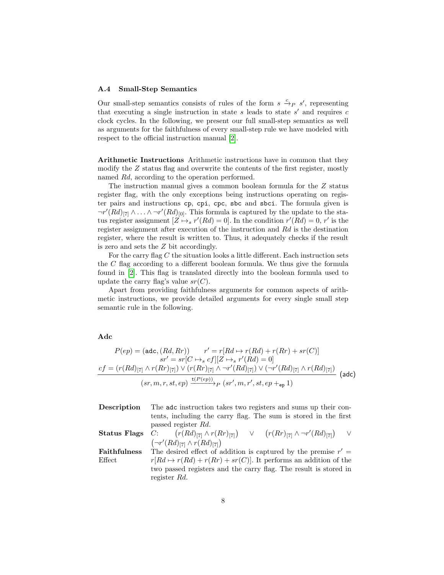#### A.4 Small-Step Semantics

Our small-step semantics consists of rules of the form  $s \stackrel{c}{\to} p s'$ , representing that executing a single instruction in state  $s$  leads to state  $s'$  and requires  $c$ clock cycles. In the following, we present our full small-step semantics as well as arguments for the faithfulness of every small-step rule we have modeled with respect to the official instruction manual [\[2\]](#page-73-0).

Arithmetic Instructions Arithmetic instructions have in common that they modify the Z status flag and overwrite the contents of the first register, mostly named Rd, according to the operation performed.

The instruction manual gives a common boolean formula for the Z status register flag, with the only exceptions being instructions operating on register pairs and instructions cp, cpi, cpc, sbc and sbci. The formula given is  $\lnot r'(Rd)_{[7]} \wedge \ldots \wedge \lnot r'(Rd)_{[0]}$ . This formula is captured by the update to the status register assignment  $[Z \mapsto_s r'(Rd) = 0]$ . In the condition  $r'(Rd) = 0, r'$  is the register assignment after execution of the instruction and Rd is the destination register, where the result is written to. Thus, it adequately checks if the result is zero and sets the Z bit accordingly.

For the carry flag  $C$  the situation looks a little different. Each instruction sets the  $C$  flag according to a different boolean formula. We thus give the formula found in [\[2\]](#page-73-0). This flag is translated directly into the boolean formula used to update the carry flag's value  $sr(C)$ .

Apart from providing faithfulness arguments for common aspects of arithmetic instructions, we provide detailed arguments for every single small step semantic rule in the following.

#### Adc

$$
P(ep) = (adc, (Rd, Rr)) \qquad r' = r[Rd \mapsto r(Rd) + r(Rr) + sr(C)]
$$

$$
sr' = sr[C \mapsto_{s} cf][Z \mapsto_{s} r'(Rd) = 0]
$$

$$
cf = (r(Rd)_{[7]} \wedge r(Rr)_{[7]}) \vee (r(Rr)_{[7]} \wedge \neg r'(Rd)_{[7]}) \vee (\neg r'(Rd)_{[7]} \wedge r(Rd)_{[7]})
$$

$$
(sr, m, r, st, ep) \xrightarrow{\mathbf{t}(P(ep))} p(sr', m, r', st, ep +_{ep} 1)
$$
(add)

| Description  | The adc instruction takes two registers and sums up their con-                                                 |
|--------------|----------------------------------------------------------------------------------------------------------------|
|              | tents, including the carry flag. The sum is stored in the first                                                |
|              | passed register Rd.                                                                                            |
|              | <b>Status Flags</b> C: $(r(Rd)_{[7]}\wedge r(Rr)_{[7]})$ $\vee$ $(r(Rr)_{[7]}\wedge \neg r'(Rd)_{[7]})$ $\vee$ |
|              | $(\neg r' (Rd)_{7} \wedge r(Rd)_{7})$                                                                          |
| Faithfulness | The desired effect of addition is captured by the premise $r' =$                                               |
| Effect       | $r[Rd \mapsto r(Rd) + r(Rr) + sr(C)].$ It performs an addition of the                                          |
|              | two passed registers and the carry flag. The result is stored in                                               |
|              | register Rd.                                                                                                   |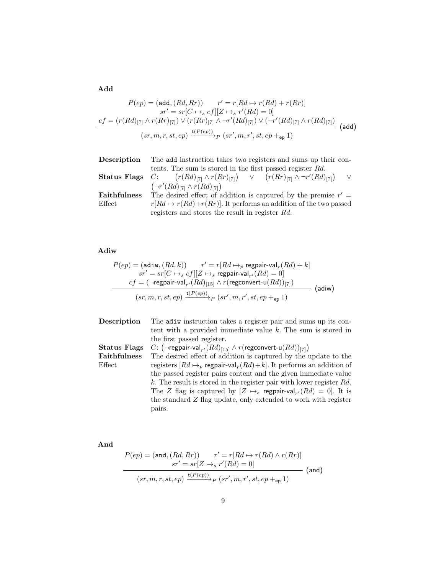Add

$$
P(ep) = (add, (Rd, Rr)) \qquad r' = r[Rd \rightarrow r(Rd) + r(Rr)]
$$

$$
sr' = sr[C \rightarrow_s cf][Z \rightarrow_s r'(Rd) = 0]
$$

$$
cf = (r(Rd)_{[7]} \land r(Rr)_{[7]}) \lor (r(Rr)_{[7]} \land \neg r'(Rd)_{[7]}) \lor (\neg r'(Rd)_{[7]} \land r(Rd)_{[7]})
$$

$$
(sr, m, r, st, ep) \xrightarrow{t(P(ep))} p (sr', m, r', st, ep +_{ep} 1)
$$
(add)

| Description  | The add instruction takes two registers and sums up their con-                                                 |
|--------------|----------------------------------------------------------------------------------------------------------------|
|              | tents. The sum is stored in the first passed register Rd.                                                      |
|              | <b>Status Flags</b> C: $(r(Rd)_{[7]}\wedge r(Rr)_{[7]})$ $\vee$ $(r(Rr)_{[7]}\wedge \neg r'(Rd)_{[7]})$ $\vee$ |
|              | $(\neg r' (Rd)_{7} \wedge r(Rd)_{7})$                                                                          |
| Faithfulness | The desired effect of addition is captured by the premise $r' =$                                               |
| Effect       | $r[Rd \mapsto r(Rd) + r(Rr)]$ . It performs an addition of the two passed                                      |
|              | registers and stores the result in register Rd.                                                                |

# Adiw

$$
P(ep) = (\text{adiw}, (Rd, k)) \qquad r' = r[Rd \mapsto_p \text{ regular-val}_r(Rd) + k]
$$
\n
$$
sr' = sr[C \mapsto_s cf][Z \mapsto_s \text{regular-val}_{r'}(Rd) = 0]
$$
\n
$$
cf = (\neg \text{regular-val}_{r'}(Rd)_{[15]} \wedge r(\text{regconvert-u}(Rd))_{[7]})
$$
\n
$$
(sr, m, r, st, ep) \xrightarrow{\text{t}(P(ep))} p (sr', m, r', st, ep +_{ep} 1)
$$
\n
$$
(adiw)
$$

| tent with a provided immediate value $k$ . The sum is stored in<br>the first passed register.            |  |
|----------------------------------------------------------------------------------------------------------|--|
|                                                                                                          |  |
|                                                                                                          |  |
| C: $(\neg$ regpair-val <sub>r'</sub> $(Rd)_{[15]} \wedge r$ (regconvert-u $(Rd)_{[7]}$ )<br>Status Flags |  |
| <b>Faithfulness</b><br>The desired effect of addition is captured by the update to the                   |  |
| registers $[Rd \mapsto_p \text{regular-val}_r(Rd) + k]$ . It performs an addition of<br>Effect           |  |
| the passed register pairs content and the given immediate value                                          |  |
| $k$ . The result is stored in the register pair with lower register $Rd$ .                               |  |
| The Z flag is captured by $[Z \mapsto_s \text{regular-val}_{r'}(Rd) = 0]$ . It is                        |  |
| the standard Z flag update, only extended to work with register                                          |  |
| pairs.                                                                                                   |  |

And

$$
P(ep) = (and, (Rd, Rr)) \qquad r' = r[Rd \mapsto r(Rd) \wedge r(Rr)]
$$

$$
sr' = sr[Z \mapsto_r r'(Rd) = 0]
$$

$$
(sr, m, r, st, ep) \xrightarrow{t(P(ep))} p (sr', m, r', st, ep +_{ep} 1)
$$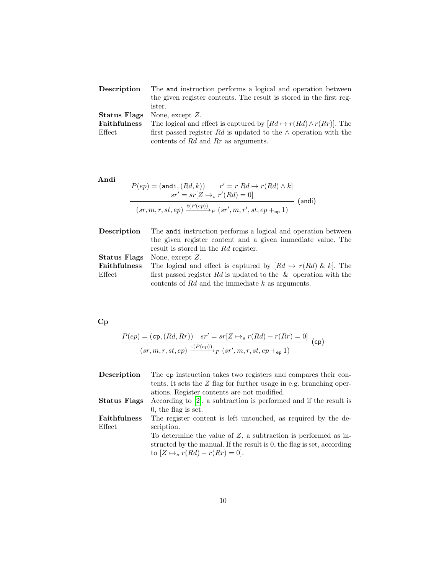| The and instruction performs a logical and operation between                  |
|-------------------------------------------------------------------------------|
| the given register contents. The result is stored in the first reg-           |
| ister.                                                                        |
| None, except $Z$ .                                                            |
| The logical and effect is captured by $[Rd \mapsto r(Rd) \wedge r(Rr)]$ . The |
| first passed register Rd is updated to the $\wedge$ operation with the        |
| contents of $Rd$ and $Rr$ as arguments.                                       |
|                                                                               |

Andi

$$
P(ep) = (\text{and}_1, (Rd, k)) \qquad r' = r[Rd \mapsto r(Rd) \wedge k]
$$

$$
sr' = sr[Z \mapsto_r r'(Rd) = 0]
$$

$$
(sr, m, r, st, ep) \xrightarrow{\text{t}(P(ep))} p (sr', m, r', st, ep +_{ep} 1)
$$
 (and)

| Description         | The anditinstruction performs a logical and operation between         |
|---------------------|-----------------------------------------------------------------------|
|                     | the given register content and a given immediate value. The           |
|                     | result is stored in the Rd register.                                  |
| Status Flags        | None, except $Z$ .                                                    |
| <b>Faithfulness</b> | The logical and effect is captured by $[Rd \mapsto r(Rd) \& k]$ . The |
| Effect              | first passed register Rd is updated to the $\&$ operation with the    |
|                     | contents of $Rd$ and the immediate k as arguments.                    |

Cp

$$
\frac{P(ep) = (cp, (Rd, Rr)) \quad sr' = sr[Z \mapsto_s r(Rd) - r(Rr) = 0]}{(sr, m, r, st, ep) \xrightarrow{t(P(ep))} p (sr', m, r, st, ep +_{ep} 1)}
$$
 (cp)

| Description  | The cp instruction takes two registers and compares their con-         |
|--------------|------------------------------------------------------------------------|
|              | tents. It sets the $Z$ flag for further usage in e.g. branching oper-  |
|              | ations. Register contents are not modified.                            |
| Status Flags | According to $[2]$ , a subtraction is performed and if the result is   |
|              | $0,$ the flag is set.                                                  |
| Faithfulness | The register content is left untouched, as required by the de-         |
| Effect       | scription.                                                             |
|              | To determine the value of $Z$ , a subtraction is performed as in-      |
|              | structed by the manual. If the result is 0, the flag is set, according |
|              | to $[Z \mapsto_s r(Rd) - r(Rr) = 0].$                                  |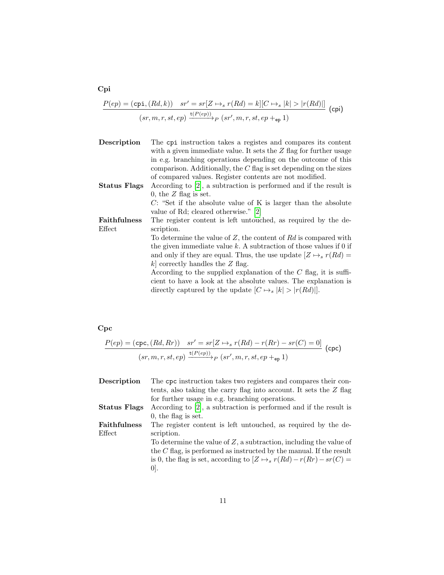$$
\frac{P(ep) = \left(\texttt{cpi}, (Rd, k)\right) \quad sr' = sr[Z \mapsto_s r(Rd) = k][C \mapsto_s |k| > |r(Rd)|]}{(sr, m, r, st, ep) \xrightarrow{\texttt{t}(P(ep))} p \ (sr', m, r, st, ep +_{ep} 1)}
$$
 (cpi)

Description The cpi instruction takes a registes and compares its content with a given immediate value. It sets the  $Z$  flag for further usage in e.g. branching operations depending on the outcome of this comparison. Additionally, the  $C$  flag is set depending on the sizes of compared values. Register contents are not modified.

Status Flags According to [\[2\]](#page-73-0), a subtraction is performed and if the result is 0, the  $Z$  flag is set.  $C$ : "Set if the absolute value of K is larger than the absolute value of Rd; cleared otherwise." [\[2\]](#page-73-0)

Faithfulness Effect The register content is left untouched, as required by the description.

> To determine the value of  $Z$ , the content of  $Rd$  is compared with the given immediate value  $k$ . A subtraction of those values if 0 if and only if they are equal. Thus, the use update  $[Z \mapsto_s r(Rd) =$  $k$  correctly handles the  $Z$  flag.

According to the supplied explanation of the  $C$  flag, it is sufficient to have a look at the absolute values. The explanation is directly captured by the update  $[C \mapsto_{s} |k| > |r(Rd)|]$ .

#### Cpc

$$
\frac{P(ep) = (cpc, (Rd, Rr)) \quad sr' = sr[Z \mapsto_r r(Rd) - r(Rr) - sr(C) = 0]}{(sr, m, r, st, ep) \xrightarrow{t(P(ep))} p (sr', m, r, st, ep +_{ep} 1)}
$$
 (cpc)

| Description         | The cpc instruction takes two registers and compares their con-            |
|---------------------|----------------------------------------------------------------------------|
|                     | tents, also taking the carry flag into account. It sets the $Z$ flag       |
|                     | for further usage in e.g. branching operations.                            |
| Status Flags        | According to $[2]$ , a subtraction is performed and if the result is       |
|                     | $0,$ the flag is set.                                                      |
| <b>Faithfulness</b> | The register content is left untouched, as required by the de-             |
| Effect              | scription.                                                                 |
|                     | To determine the value of $Z$ , a subtraction, including the value of      |
|                     | the $C$ flag, is performed as instructed by the manual. If the result      |
|                     | is 0, the flag is set, according to $[Z \mapsto_s r(Rd) - r(Rr) - sr(C) =$ |
|                     | $ 0 $ .                                                                    |
|                     |                                                                            |

Cpi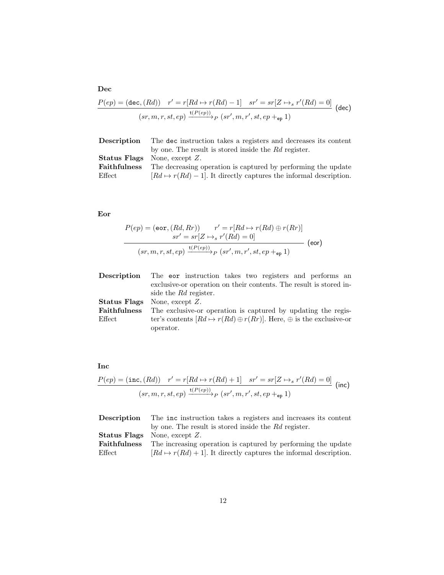$$
\frac{P(ep) = (\text{dec}, (Rd)) \quad r' = r[Rd \mapsto r(Rd) - 1] \quad sr' = sr[Z \mapsto_r r'(Rd) = 0]}{(sr, m, r, st, ep) \xrightarrow{\text{t}(P(ep))} p (sr', m, r', st, ep +_{ep} 1)}
$$
(dec)

| Description         | The dec instruction takes a registers and decreases its content           |
|---------------------|---------------------------------------------------------------------------|
|                     | by one. The result is stored inside the Rd register.                      |
|                     | <b>Status Flags</b> None, except $Z$ .                                    |
| <b>Faithfulness</b> | The decreasing operation is captured by performing the update             |
| $E$ ffect           | $[Rd \mapsto r(Rd) - 1]$ . It directly captures the informal description. |

# Eor

$$
P(ep) = (eor, (Rd, Rr)) \qquad r' = r[Rd \mapsto r(Rd) \oplus r(Rr)]
$$

$$
sr' = sr[Z \mapsto_r r'(Rd) = 0]
$$

$$
(sr, m, r, st, ep) \xrightarrow{t(P(ep))} p (sr', m, r', st, ep +_{ep} 1)
$$
 (eor)

| <b>Description</b> | The eor instruction takes two registers and performs an                               |
|--------------------|---------------------------------------------------------------------------------------|
|                    | exclusive-or operation on their contents. The result is stored in-                    |
|                    | side the Rd register.                                                                 |
| Status Flags       | None, except $Z$ .                                                                    |
| Faithfulness       | The exclusive-or operation is captured by updating the regis-                         |
| $E$ ffect          | ter's contents $[Rd \mapsto r(Rd) \oplus r(Rr)]$ . Here, $\oplus$ is the exclusive-or |
|                    | operator.                                                                             |
|                    |                                                                                       |

# Inc

$$
\frac{P(ep) = (\texttt{inc}, (Rd)) \quad r' = r[Rd \mapsto r(Rd) + 1] \quad sr' = sr[Z \mapsto_r r'(Rd) = 0]}{(sr, m, r, st, ep) \xrightarrow{\texttt{t}(P(ep))} p (sr', m, r', st, ep +_{ep} 1)}
$$
 (inc)

| Description  | The inc instruction takes a registers and increases its content           |
|--------------|---------------------------------------------------------------------------|
|              | by one. The result is stored inside the Rd register.                      |
|              | <b>Status Flags</b> None, except Z.                                       |
| Faithfulness | The increasing operation is captured by performing the update             |
| $E$ ffect    | $[Rd \mapsto r(Rd) + 1]$ . It directly captures the informal description. |

# Dec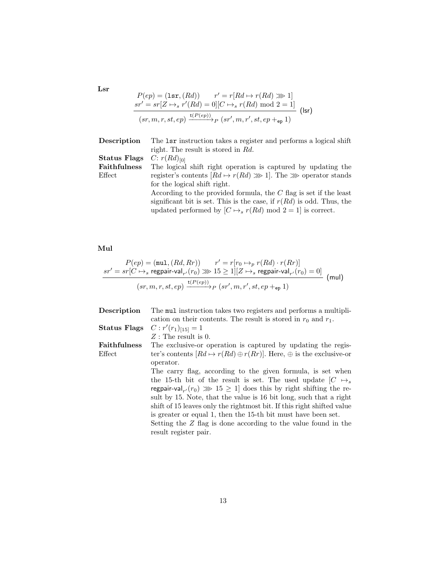$$
P(ep) = (\text{lsr}, (Rd)) \qquad r' = r[Rd \mapsto r(Rd) \gg 1]
$$
  
\n
$$
sr' = sr[Z \mapsto r'(Rd) = 0][C \mapsto_r r(Rd) \mod 2 = 1]
$$
  
\n
$$
(sr, m, r, st, ep) \xrightarrow{\text{t}(P(ep))} p (sr', m, r', st, ep +_{ep} 1)
$$
 (lsr)

| Description         | The 1sr instruction takes a register and performs a logical shift          |
|---------------------|----------------------------------------------------------------------------|
|                     | right. The result is stored in Rd.                                         |
| Status Flags        | $C: r(Rd)_{[0]}$                                                           |
| <b>Faithfulness</b> | The logical shift right operation is captured by updating the              |
| Effect              | register's contents $[Rd \mapsto r(Rd) \gg 1]$ . The $\gg$ operator stands |
|                     | for the logical shift right.                                               |
|                     | According to the provided formula, the $C$ flag is set if the least        |
|                     | significant bit is set. This is the case, if $r(Rd)$ is odd. Thus, the     |
|                     | updated performed by $[C \mapsto_s r(Rd) \mod 2 = 1]$ is correct.          |

# Mul

$$
P(ep) = (\text{mul}, (Rd, Rr)) \qquad r' = r[r_0 \mapsto_p r(Rd) \cdot r(Rr)]
$$
\n
$$
sr' = sr[C \mapsto_s \text{regular-val}_{r'}(r_0) \ggg 15 \geq 1][Z \mapsto_s \text{regular-val}_{r'}(r_0) = 0]
$$
\n
$$
(sr, m, r, st, ep) \xrightarrow{\text{t}(P(ep))} p \ (sr', m, r', st, ep +_{ep} 1)
$$
\n(mul)

| Description  | The multipli-<br>the multipli-                                                        |
|--------------|---------------------------------------------------------------------------------------|
|              | cation on their contents. The result is stored in $r_0$ and $r_1$ .                   |
| Status Flags | $C: r'(r_1)_{[15]}=1$                                                                 |
|              | $Z$ : The result is 0.                                                                |
| Faithfulness | The exclusive-or operation is captured by updating the regis-                         |
| Effect       | ter's contents $[Rd \mapsto r(Rd) \oplus r(Rr)]$ . Here, $\oplus$ is the exclusive-or |
|              | operator.                                                                             |
|              | The carry flag, according to the given formula, is set when                           |
|              | the 15-th bit of the result is set. The used update $ C \rightarrow s$                |
|              | regpair-val <sub>r</sub> $(r_0) \gg 15 \geq 1$ does this by right shifting the re-    |
|              | sult by 15. Note, that the value is 16 bit long, such that a right                    |
|              | shift of 15 leaves only the rightmost bit. If this right shifted value                |
|              | is greater or equal 1, then the 15-th bit must have been set.                         |
|              | Setting the Z flag is done according to the value found in the                        |
|              | result register pair.                                                                 |

Lsr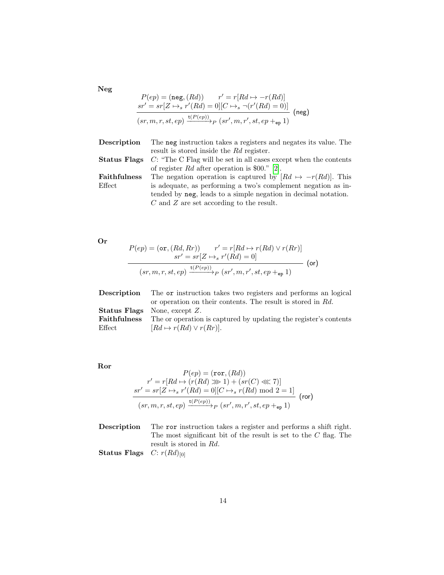$P(ep) = (neg, (Rd))$   $r' = r[Rd \mapsto -r(Rd)]$  $sr' = sr[Z \mapsto_s r'(Rd) = 0][C \mapsto_s \neg(r'(Rd) = 0)]$  $(sr, m, r, st, ep) \xrightarrow{\mathsf{t}(P(ep))} P(sr', m, r', st, ep +_{ep} 1)$ (neg)

| The neg instruction takes a registers and negates its value. The                        |
|-----------------------------------------------------------------------------------------|
| result is stored inside the Rd register.                                                |
| <b>Status Flags</b> $C$ : "The C Flag will be set in all cases except when the contents |
| of register Rd after operation is \$00." [2].                                           |
| The negation operation is captured by $[Rd \mapsto -r(Rd)]$ . This                      |
| is adequate, as performing a two's complement negation as in-                           |
|                                                                                         |

tended by neg, leads to a simple negation in decimal notation.  ${\cal C}$  and  ${\cal Z}$  are set according to the result.

Or

$$
P(ep) = (\text{or}, (Rd, Rr)) \qquad r' = r[Rd \mapsto r(Rd) \vee r(Rr)]
$$

$$
sr' = sr[Z \mapsto_r r'(Rd) = 0]
$$

$$
(sr, m, r, st, ep) \xrightarrow{t(P(ep))} p (sr', m, r', st, ep +_{ep} 1)
$$
 (or)

| Description         | The or instruction takes two registers and performs an logical   |
|---------------------|------------------------------------------------------------------|
|                     | or operation on their contents. The result is stored in Rd.      |
|                     | <b>Status Flags</b> None, except $Z$ .                           |
| <b>Faithfulness</b> | The or operation is captured by updating the register's contents |
| $E$ ffect           | $[Rd \mapsto r(Rd) \vee r(Rr)].$                                 |

Ror

$$
P(ep) = (\text{ror}, (Rd))
$$
  
\n
$$
r' = r[Rd \mapsto (r(Rd) \gg 1) + (sr(C) \ll 7)]
$$
  
\n
$$
sr' = sr[Z \mapsto s'(Rd) = 0][C \mapsto s'(Rd) \mod 2 = 1]
$$
  
\n
$$
(sr, m, r, st, ep) \xrightarrow{\text{t}(P(ep))} p (sr', m, r', st, ep +_{ep} 1)
$$
 (ror)

Description The ror instruction takes a register and performs a shift right. The most significant bit of the result is set to the  $C$  flag. The result is stored in Rd.

Status Flags  $C: r(Rd)_{[0]}$ 

Neg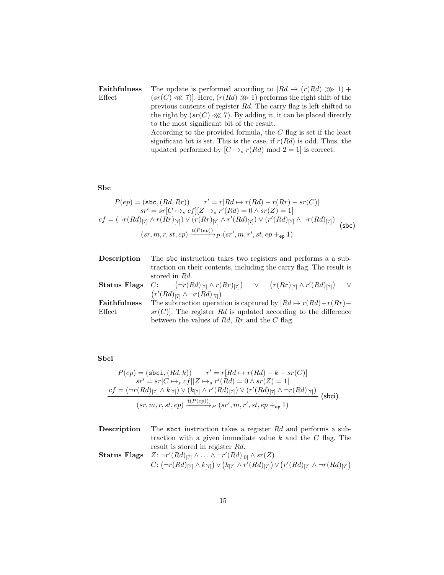Faithfulness Effect The update is performed according to  $[Rd \mapsto (r(Rd) \gg 1) +$  $(sr(C) \ll 7)$ . Here,  $(r(Rd) \gg 1)$  performs the right shift of the previous contents of register Rd. The carry flag is left shifted to the right by  $(sr(C) \lll 7)$ . By adding it, it can be placed directly to the most significant bit of the result. According to the provided formula, the C flag is set if the least significant bit is set. This is the case, if  $r(Rd)$  is odd. Thus, the updated performed by  $[C \mapsto_s r(Rd) \mod 2 = 1]$  is correct.

## Sbc

$$
P(ep) = (\text{sbc}, (Rd, Rr)) \qquad r' = r[Rd \mapsto r(Rd) - r(Rr) - sr(C)]
$$

$$
sr' = sr[C \mapsto_{s} cf][Z \mapsto_{s} r'(Rd) = 0 \wedge sr(Z) = 1]
$$

$$
cf = (\neg r(Rd)_{[7]} \wedge r(Rr)_{[7]}) \vee (r(Rr)_{[7]} \wedge r'(Rd)_{[7]}) \vee (r'(Rd)_{[7]} \wedge \neg r(Rd)_{[7]})
$$

$$
(sr, m, r, st, ep) \xrightarrow{\mathbf{t}(P(ep))} p (sr', m, r', st, ep +_{ep} 1)
$$
(sbc)

| Description         | The sbc instruction takes two registers and performs a a sub-                                                                      |
|---------------------|------------------------------------------------------------------------------------------------------------------------------------|
|                     | traction on their contents, including the carry flag. The result is                                                                |
|                     | stored in Rd.                                                                                                                      |
|                     | <b>Status Flags</b> C: $\left(\neg r(Rd)_{[7]}\land r(Rr)_{[7]}\right)$ $\lor$ $\left(r(Rr)_{[7]}\land r'(Rd)_{[7]}\right)$ $\lor$ |
|                     | $(r'(Rd)_{[7]}\wedge \neg r(Rd)_{[7]})$                                                                                            |
| <b>Faithfulness</b> | The subtraction operation is captured by $[Rd \mapsto r(Rd) - r(Rr) -$                                                             |
| Effect              | $sr(C)$ . The register Rd is updated according to the difference                                                                   |
|                     | between the values of Rd, Rr and the C flag.                                                                                       |

### Sbci

$$
P(ep) = (\texttt{sbci}, (Rd, k)) \qquad r' = r[Rd \mapsto r(Rd) - k - sr(C)]
$$
\n
$$
sr' = sr[C \mapsto_s cf][Z \mapsto_s r'(Rd) = 0 \wedge sr(Z) = 1]
$$
\n
$$
cf = (\neg r(Rd)_{[7]} \wedge k_{[7]}) \vee (k_{[7]} \wedge r'(Rd)_{[7]}) \vee (r'(Rd)_{[7]} \wedge \neg r(Rd)_{[7]})
$$
\n
$$
(sr, m, r, st, ep) \xrightarrow{\texttt{t}(P(ep)} p (sr', m, r', st, ep +_{ep} 1)
$$
\n
$$
(5bci)
$$

| Description | The sbci instruction takes a register Rd and performs a sub-                                                          |
|-------------|-----------------------------------------------------------------------------------------------------------------------|
|             | traction with a given immediate value k and the C flag. The                                                           |
|             | result is stored in register Rd.                                                                                      |
|             | <b>Status Flags</b> $Z: \neg r'(Rd)_{[7]} \wedge \ldots \wedge \neg r'(Rd)_{[0]} \wedge sr(Z)$                        |
|             | $C: (\neg r(Rd)_{[7]} \wedge k_{[7]}) \vee (k_{[7]} \wedge r'(Rd)_{[7]}) \vee (r'(Rd)_{[7]} \wedge \neg r(Rd)_{[7]})$ |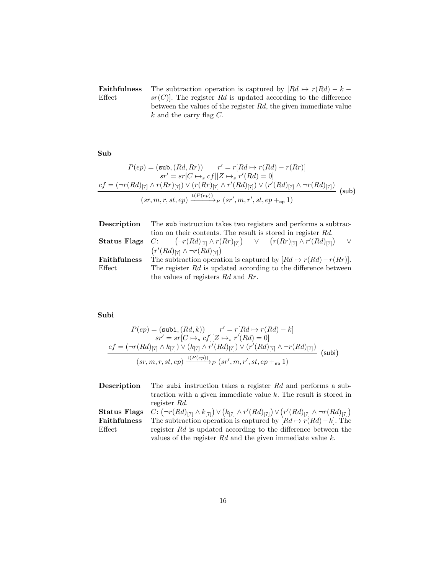Faithfulness Effect The subtraction operation is captured by  $[Rd \mapsto r(Rd) - k$  $sr(C)$ . The register Rd is updated according to the difference between the values of the register Rd, the given immediate value  $k$  and the carry flag  ${\cal C}.$ 

Sub

$$
P(ep) = (\text{sub}, (Rd, Rr)) \qquad r' = r[Rd \mapsto r(Rd) - r(Rr)]
$$

$$
sr' = sr[C \mapsto_{s} cf][Z \mapsto_{s} r'(Rd) = 0]
$$

$$
cf = (\neg r(Rd)_{[7]} \wedge r(Rr)_{[7]}) \vee (r(Rr)_{[7]} \wedge r'(Rd)_{[7]}) \vee (r'(Rd)_{[7]} \wedge \neg r(Rd)_{[7]})
$$

$$
(sr, m, r, st, ep) \xrightarrow{t(P(ep))} p (sr', m, r', st, ep +_{ep} 1)
$$
(sub)

| Description  | The sub instruction takes two registers and performs a subtrac-                                        |
|--------------|--------------------------------------------------------------------------------------------------------|
|              | tion on their contents. The result is stored in register Rd.                                           |
|              | <b>Status Flags</b> C: $(\neg r(Rd)_{[7]} \wedge r(Rr)_{[7]})$ V $(r(Rr)_{[7]} \wedge r'(Rd)_{[7]})$ V |
|              | $(r'(Rd)_{[7]}\wedge \neg r(Rd)_{[7]})$                                                                |
| Faithfulness | The subtraction operation is captured by $[Rd \mapsto r(Rd) - r(Rr)].$                                 |
| Effect       | The register $Rd$ is updated according to the difference between                                       |
|              | the values of registers $Rd$ and $Rr$ .                                                                |

# Subi

$$
P(ep) = (\text{subi}, (Rd, k)) \qquad r' = r[Rd \mapsto r(Rd) - k]
$$

$$
sr' = sr[C \mapsto_s cf][Z \mapsto_s r'(Rd) = 0]
$$

$$
cf = (\neg r(Rd)_{[7]} \wedge k_{[7]}) \vee (k_{[7]} \wedge r'(Rd)_{[7]}) \vee (r'(Rd)_{[7]} \wedge \neg r(Rd)_{[7]})
$$

$$
(sr, m, r, st, ep) \xrightarrow{\mathbf{t}(P(ep))} p (sr', m, r', st, ep +_{ep} 1)
$$
 (subi)

| Description         | The subi instruction takes a register Rd and performs a sub-                                                          |
|---------------------|-----------------------------------------------------------------------------------------------------------------------|
|                     | traction with a given immediate value $k$ . The result is stored in                                                   |
|                     | register Rd.                                                                                                          |
| <b>Status Flags</b> | $C: (\neg r(Rd)_{[7]} \wedge k_{[7]}) \vee (k_{[7]} \wedge r'(Rd)_{[7]}) \vee (r'(Rd)_{[7]} \wedge \neg r(Rd)_{[7]})$ |
| Faithfulness        | The subtraction operation is captured by $[Rd \mapsto r(Rd) - k]$ . The                                               |
| $E$ ffect           | register Rd is updated according to the difference between the                                                        |
|                     | values of the register $Rd$ and the given immediate value $k$ .                                                       |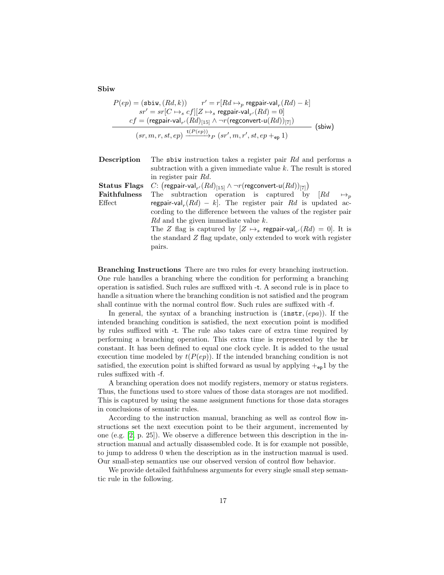Sbiw

$$
P(ep) = (\text{sbiw}, (Rd, k)) \qquad r' = r[Rd \mapsto_p \text{ regular-val}_r(Rd) - k]
$$
\n
$$
sr' = sr[C \mapsto_s cf][Z \mapsto_s \text{regular-val}_{r'}(Rd) = 0]
$$
\n
$$
cf = (\text{regular-val}_{r'}(Rd)_{[15]} \wedge \neg r(\text{regconvert-u}(Rd))_{[7]})
$$
\n
$$
(sr, m, r, st, ep) \xrightarrow{\text{t}(P(ep))} p (sr', m, r', st, ep +_{ep} 1)
$$
\n
$$
(sbiw)
$$

| Description  | The sbiw instruction takes a register pair $Rd$ and performs a                          |
|--------------|-----------------------------------------------------------------------------------------|
|              | subtraction with a given immediate value $k$ . The result is stored                     |
|              | in register pair Rd.                                                                    |
| Status Flags | C: $(\text{regular-val}_{r'}(Rd)_{[15]} \wedge \neg r(\text{regconvert-u}(Rd))_{[7]})$  |
| Faithfulness | The subtraction operation is captured by $\begin{bmatrix} Rd & \mapsto_p \end{bmatrix}$ |
| Effect       | regpair-val <sub>r</sub> $(Rd) - k$ . The register pair Rd is updated ac-               |
|              | cording to the difference between the values of the register pair                       |
|              | Rd and the given immediate value k.                                                     |
|              | The Z flag is captured by $[Z \mapsto_s \text{regular-val}_{r'}(Rd) = 0]$ . It is       |
|              | the standard Z flag update, only extended to work with register                         |
|              | pairs.                                                                                  |

Branching Instructions There are two rules for every branching instruction. One rule handles a branching where the condition for performing a branching operation is satisfied. Such rules are suffixed with -t. A second rule is in place to handle a situation where the branching condition is not satisfied and the program shall continue with the normal control flow. Such rules are suffixed with -f.

In general, the syntax of a branching instruction is  $(\text{instr}, (epa))$ . If the intended branching condition is satisfied, the next execution point is modified by rules suffixed with -t. The rule also takes care of extra time required by performing a branching operation. This extra time is represented by the br constant. It has been defined to equal one clock cycle. It is added to the usual execution time modeled by  $t(P(ep))$ . If the intended branching condition is not satisfied, the execution point is shifted forward as usual by applying  $+_{ep}1$  by the rules suffixed with -f.

A branching operation does not modify registers, memory or status registers. Thus, the functions used to store values of those data storages are not modified. This is captured by using the same assignment functions for those data storages in conclusions of semantic rules.

According to the instruction manual, branching as well as control flow instructions set the next execution point to be their argument, incremented by one (e.g. [\[2,](#page-73-0) p. 25]). We observe a difference between this description in the instruction manual and actually disassembled code. It is for example not possible, to jump to address 0 when the description as in the instruction manual is used. Our small-step semantics use our observed version of control flow behavior.

We provide detailed faithfulness arguments for every single small step semantic rule in the following.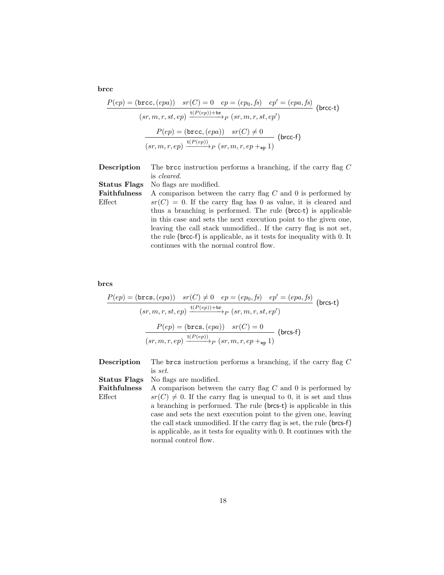brcc

$$
P(ep) = (\text{brec}, (epa)) \quad sr(C) = 0 \quad ep = (ep_0, fs) \quad ep' = (epa, fs)
$$

$$
(sr, m, r, st, ep) \xrightarrow{\text{t}(P(ep)) + \text{br}} (sr, m, r, st, ep')
$$

$$
P(ep) = (\text{brec}, (epa)) \quad sr(C) \neq 0
$$

$$
(sr, m, r, ep) \xrightarrow{\text{t}(P(ep))} p (sr, m, r, ep + \text{ep} 1)
$$

| Description         | The brcc instruction performs a branching, if the carry flag $C$       |
|---------------------|------------------------------------------------------------------------|
|                     | is <i>cleared</i> .                                                    |
| <b>Status Flags</b> | No flags are modified.                                                 |
| <b>Faithfulness</b> | A comparison between the carry flag $C$ and 0 is performed by          |
| Effect              | $sr(C) = 0$ . If the carry flag has 0 as value, it is cleared and      |
|                     | thus a branching is performed. The rule (brcc-t) is applicable         |
|                     | in this case and sets the next execution point to the given one,       |
|                     | leaving the call stack unmodified. If the carry flag is not set,       |
|                     | the rule (brcc-f) is applicable, as it tests for inequality with 0. It |
|                     | continues with the normal control flow.                                |

# brcs

$$
\frac{P(ep) = (\text{brcs}, (epa)) \quad sr(C) \neq 0 \quad ep = (ep_0, fs) \quad ep' = (epa, fs)
$$
\n
$$
(sr, m, r, st, ep) \xrightarrow{\text{t}(P(ep)) + \text{br}} P(sr, m, r, st, ep')
$$
\n
$$
\frac{P(ep) = (\text{brcs}, (epa)) \quad sr(C) = 0}{(sr, m, r, ep) \xrightarrow{\text{t}(P(ep))} P(sr, m, r, ep + e_p 1)} (\text{brcs-f})
$$

| Description         | The brcs instruction performs a branching, if the carry flag $C$       |
|---------------------|------------------------------------------------------------------------|
|                     | is set.                                                                |
| <b>Status Flags</b> | No flags are modified.                                                 |
| <b>Faithfulness</b> | A comparison between the carry flag $C$ and 0 is performed by          |
| Effect              | $sr(C) \neq 0$ . If the carry flag is unequal to 0, it is set and thus |
|                     | a branching is performed. The rule (brcs-t) is applicable in this      |
|                     | case and sets the next execution point to the given one, leaving       |
|                     | the call stack unmodified. If the carry flag is set, the rule (brcs-f) |
|                     | is applicable, as it tests for equality with 0. It continues with the  |
|                     | normal control flow.                                                   |
|                     |                                                                        |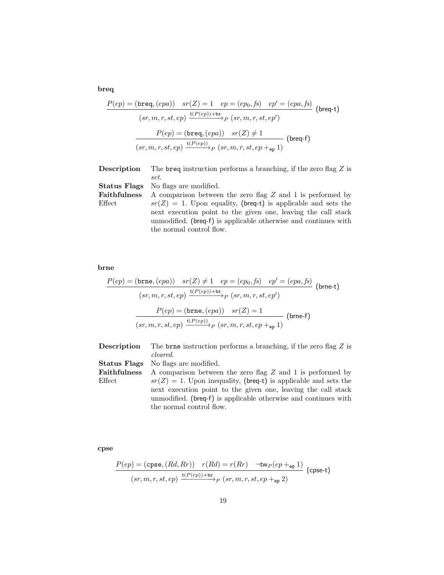breq

$$
\frac{P(ep) = (\text{breq}, (epa)) \quad sr(Z) = 1 \quad ep = (ep_0, fs) \quad ep' = (epa, fs)}{(sr, m, r, st, ep) \xrightarrow{t(P(ep)) + br} p (sr, m, r, st, ep')}
$$
\n
$$
\frac{P(ep) = (\text{breq}, (epa)) \quad sr(Z) \neq 1}{(sr, m, r, st, ep) \xrightarrow{t(P(ep))} p (sr, m, r, st, ep + ep, 1)}
$$
\n(breq-f)

| $\operatorname{Description}$ | The breq instruction performs a branching, if the zero flag $Z$ is |
|------------------------------|--------------------------------------------------------------------|
|                              | set.                                                               |
|                              | <b>Status Flags</b> No flags are modified.                         |
| Faithfulness                 | A comparison between the zero flag Z and 1 is performed by         |
| $\rm Effect$                 | $sr(Z) = 1$ . Upon equality, (breq-t) is applicable and sets the   |
|                              | next execution point to the given one, leaving the call stack      |
|                              | unmodified. (breq-f) is applicable otherwise and continues with    |
|                              | the normal control flow.                                           |

# brne

$$
\frac{P(ep) = (\mathtt{brne}, (epa)) \quad sr(Z) \neq 1 \quad ep = (ep_0, fs) \quad ep' = (epa, fs)}{(sr, m, r, st, ep) \xrightarrow{\mathbf{t}(P(ep)) + \mathtt{br}} p \ (sr, m, r, st, ep') } \text{ (brne-t)}
$$
\n
$$
\frac{P(ep) = (\mathtt{brne}, (epa)) \quad sr(Z) = 1}{(sr, m, r, st, ep) \xrightarrow{\mathbf{t}(P(ep))} p \ (sr, m, r, st, ep +_{ep} 1)} \text{ (brne-f)}
$$

| Description         | The brne instruction performs a branching, if the zero flag Z is                                                                                             |
|---------------------|--------------------------------------------------------------------------------------------------------------------------------------------------------------|
|                     | cleared.                                                                                                                                                     |
| Status Flags        | No flags are modified.                                                                                                                                       |
| <b>Faithfulness</b> | A comparison between the zero flag Z and 1 is performed by                                                                                                   |
| Effect              | $sr(Z) = 1$ . Upon inequality, (breq-t) is applicable and sets the                                                                                           |
|                     | next execution point to the given one, leaving the call stack<br>unmodified. (breq-f) is applicable otherwise and continues with<br>the normal control flow. |

cpse

$$
\frac{P(ep) = (\text{cpse}, (Rd, Rr)) \quad r(Rd) = r(Rr) \quad \neg \text{tw}_P(ep +_{ep} 1)}{(sr, m, r, st, ep) \xrightarrow{\text{t}(P(ep)) + \text{br}} p (sr, m, r, st, ep +_{ep} 2)}
$$
 (cpse-t)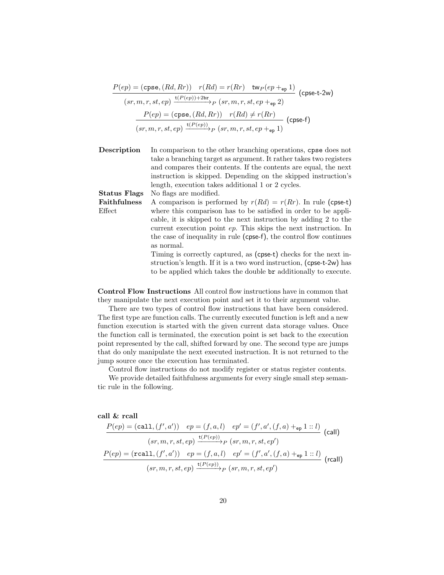$$
\frac{P(ep) = (\text{cpse}, (Rd, Rr)) \quad r(Rd) = r(Rr) \quad \text{tw}_P(ep +_{ep} 1)}{(sr, m, r, st, ep) \xrightarrow{\text{t}(P(ep)) + 2br} p (sr, m, r, st, ep +_{ep} 2)}
$$
 (cpse-t-2w)  

$$
\frac{P(ep) = (\text{cpse}, (Rd, Rr)) \quad r(Rd) \neq r(Rr)}{(sr, m, r, st, ep) \xrightarrow{\text{t}(P(ep))} p (sr, m, r, st, ep +_{ep} 1)}
$$
 (cpse-f)

Description In comparison to the other branching operations, cpse does not take a branching target as argument. It rather takes two registers and compares their contents. If the contents are equal, the next instruction is skipped. Depending on the skipped instruction's length, execution takes additional 1 or 2 cycles.

Status Flags No flags are modified.

Faithfulness Effect A comparison is performed by  $r(Rd) = r(Rr)$ . In rule (cpse-t) where this comparison has to be satisfied in order to be applicable, it is skipped to the next instruction by adding 2 to the current execution point ep. This skips the next instruction. In the case of inequality in rule (cpse-f), the control flow continues as normal.

Timing is correctly captured, as (cpse-t) checks for the next instruction's length. If it is a two word instruction, (cpse-t-2w) has to be applied which takes the double br additionally to execute.

Control Flow Instructions All control flow instructions have in common that they manipulate the next execution point and set it to their argument value.

There are two types of control flow instructions that have been considered. The first type are function calls. The currently executed function is left and a new function execution is started with the given current data storage values. Once the function call is terminated, the execution point is set back to the execution point represented by the call, shifted forward by one. The second type are jumps that do only manipulate the next executed instruction. It is not returned to the jump source once the execution has terminated.

Control flow instructions do not modify register or status register contents.

We provide detailed faithfulness arguments for every single small step semantic rule in the following.

#### call & rcall

$$
\frac{P(ep) = (call, (f', a')) \quad ep = (f, a, l) \quad ep' = (f', a', (f, a) +_{ep} 1::l)}{(sr, m, r, st, ep) \xrightarrow{t(P(ep))} P (sr, m, r, st, ep')}
$$
\n
$$
\frac{P(ep) = (real1, (f', a')) \quad ep = (f, a, l) \quad ep' = (f', a', (f, a) +_{ep} 1::l)}{(sr, m, r, st, ep) \xrightarrow{t(P(ep))} P (sr, m, r, st, ep')}
$$
\n(rcall)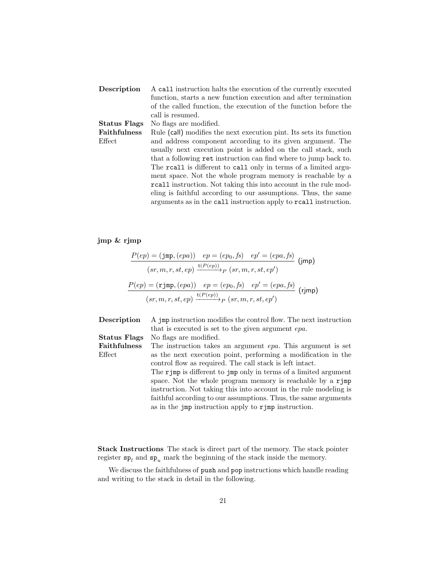| Description         | A call instruction halts the execution of the currently executed    |
|---------------------|---------------------------------------------------------------------|
|                     | function, starts a new function execution and after termination     |
|                     | of the called function, the execution of the function before the    |
|                     | call is resumed.                                                    |
| <b>Status Flags</b> | No flags are modified.                                              |
| Faithfulness        | Rule (call) modifies the next execution pint. Its sets its function |
| Effect              | and address component according to its given argument. The          |
|                     | usually next execution point is added on the call stack, such       |
|                     | that a following ret instruction can find where to jump back to.    |
|                     | The reall is different to call only in terms of a limited argu-     |
|                     | ment space. Not the whole program memory is reachable by a          |
|                     | reall instruction. Not taking this into account in the rule mod-    |
|                     | eling is faithful according to our assumptions. Thus, the same      |
|                     | arguments as in the call instruction apply to reall instruction.    |

# jmp & rjmp

$$
\frac{P(ep) = (\text{jmp}, (epa)) \quad ep = (ep_0, fs) \quad ep' = (epa, fs)}{(sr, m, r, st, ep) \xrightarrow{t(P(ep))} P (sr, m, r, st, ep')}
$$
\n
$$
\frac{P(ep) = (\text{rjmp}, (epa)) \quad ep = (ep_0, fs) \quad ep' = (epa, fs)}{(sr, m, r, st, ep) \xrightarrow{t(P(ep))} P (sr, m, r, st, ep')}
$$
\n(rjmp)

| Description         | A jmp instruction modifies the control flow. The next instruction      |
|---------------------|------------------------------------------------------------------------|
|                     | that is executed is set to the given argument epa.                     |
| <b>Status Flags</b> | No flags are modified.                                                 |
| <b>Faithfulness</b> | The instruction takes an argument <i>epa</i> . This argument is set    |
| Effect              | as the next execution point, performing a modification in the          |
|                     | control flow as required. The call stack is left intact.               |
|                     | The rimp is different to jmp only in terms of a limited argument       |
|                     | space. Not the whole program memory is reachable by a $\mathbf{r}$ jmp |
|                     | instruction. Not taking this into account in the rule modeling is      |
|                     | faithful according to our assumptions. Thus, the same arguments        |
|                     | as in the $\mu$ imposituation apply to $\mathbf{r}$ imposituation.     |

Stack Instructions The stack is direct part of the memory. The stack pointer register  $sp_l$  and  $sp_u$  mark the beginning of the stack inside the memory.

We discuss the faithfulness of push and pop instructions which handle reading and writing to the stack in detail in the following.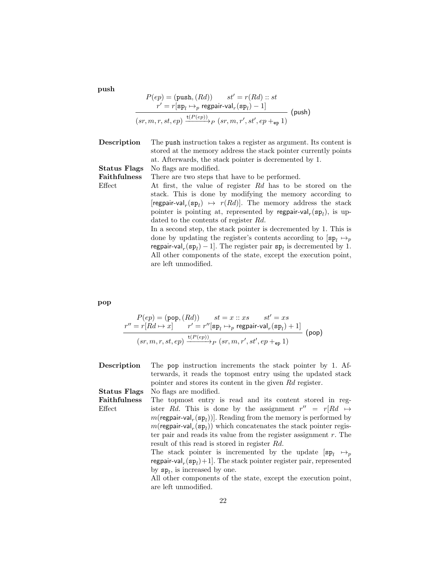push

$$
P(ep) = (\text{push}, (Rd)) \qquad st' = r(Rd) :: st
$$
  

$$
r' = r[\text{sp}_l \mapsto_p \text{regular-val}_r(\text{sp}_l) - 1]
$$
  

$$
(sr, m, r, st, ep) \xrightarrow{\text{t}(P(ep))} p (sr, m, r', st', ep +_{ep} 1)
$$

| Description         | The push instruction takes a register as argument. Its content is<br>stored at the memory address the stack pointer currently points<br>at. Afterwards, the stack pointer is decremented by 1.                                                                                                                                                                                                                                                                                                                                                                                                                                                                                                                   |
|---------------------|------------------------------------------------------------------------------------------------------------------------------------------------------------------------------------------------------------------------------------------------------------------------------------------------------------------------------------------------------------------------------------------------------------------------------------------------------------------------------------------------------------------------------------------------------------------------------------------------------------------------------------------------------------------------------------------------------------------|
| <b>Status Flags</b> | No flags are modified.                                                                                                                                                                                                                                                                                                                                                                                                                                                                                                                                                                                                                                                                                           |
| <b>Faithfulness</b> | There are two steps that have to be performed.                                                                                                                                                                                                                                                                                                                                                                                                                                                                                                                                                                                                                                                                   |
| Effect              | At first, the value of register Rd has to be stored on the<br>stack. This is done by modifying the memory according to<br>[regpair-val <sub>r</sub> (sp <sub>i</sub> ) $\mapsto$ $r(Rd)$ ]. The memory address the stack<br>pointer is pointing at, represented by regpair-val <sub>r</sub> (sp <sub>1</sub> ), is up-<br>dated to the contents of register Rd.<br>In a second step, the stack pointer is decremented by 1. This is<br>done by updating the register's contents according to $ {\bf sp}_1 \mapsto_n$<br>regpair-val <sub>r</sub> (sp <sub>1</sub> ) – 1. The register pair $sp_1$ is decremented by 1.<br>All other components of the state, except the execution point,<br>are left unmodified. |

# pop

$$
\begin{array}{c} P(ep) = (\text{pop}, (Rd)) \qquad st = x::xs \qquad st' = xs \\ \frac{r'' = r[Rd \mapsto x] \qquad r' = r''[\text{sp}_l \mapsto_p \text{regular-val}_r(\text{sp}_l) + 1]}{(sr, m, r, st, ep) \xrightarrow{\text{t}(P(ep))} p\ (sr, m, r', st', ep +_{\text{ep}} 1)} \end{array} \text{(pop)}
$$

| Description         | The pop instruction increments the stack pointer by 1. Af-                           |
|---------------------|--------------------------------------------------------------------------------------|
|                     | terwards, it reads the topmost entry using the updated stack                         |
|                     | pointer and stores its content in the given Rd register.                             |
| <b>Status Flags</b> | No flags are modified.                                                               |
| <b>Faithfulness</b> | The topmost entry is read and its content stored in reg-                             |
| Effect              | ister Rd. This is done by the assignment $r'' = r[Rd \mapsto$                        |
|                     | $m(\text{regular-val}_r(\text{sp}_l))$ . Reading from the memory is performed by     |
|                     | $m(\text{regular-val}_r(\text{sp}_l))$ which concatenates the stack pointer regis-   |
|                     | ter pair and reads its value from the register assignment $r$ . The                  |
|                     | result of this read is stored in register Rd.                                        |
|                     | The stack pointer is incremented by the update $[\mathsf{sp}_l \rightarrow_p]$       |
|                     | regpair-val <sub>r</sub> $(sp_l) + 1$ . The stack pointer register pair, represented |
|                     | by $sp_1$ , is increased by one.                                                     |
|                     | All other components of the state, except the execution point,                       |
|                     | are left unmodified.                                                                 |
|                     |                                                                                      |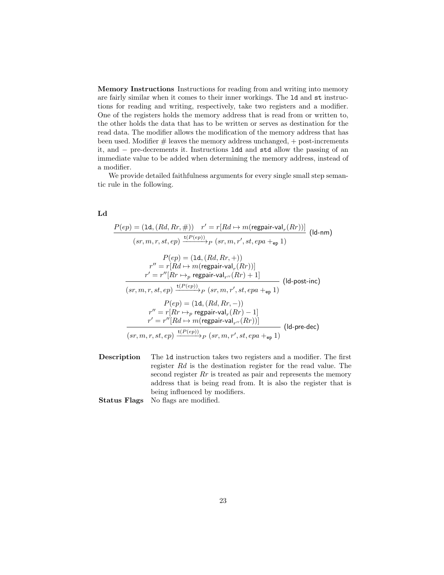Memory Instructions Instructions for reading from and writing into memory are fairly similar when it comes to their inner workings. The ld and st instructions for reading and writing, respectively, take two registers and a modifier. One of the registers holds the memory address that is read from or written to, the other holds the data that has to be written or serves as destination for the read data. The modifier allows the modification of the memory address that has been used. Modifier  $#$  leaves the memory address unchanged,  $+$  post-increments it, and − pre-decrements it. Instructions ldd and std allow the passing of an immediate value to be added when determining the memory address, instead of a modifier.

We provide detailed faithfulness arguments for every single small step semantic rule in the following.

## Ld

$$
P(ep) = (\text{1d}, (Rd, Rr, \#)) \quad r' = r[Rd \mapsto m(\text{regular-val}_r(Rr))]
$$
\n
$$
(sr, m, r, st, ep) \xrightarrow{\text{t}(P(ep))} p (sr, m, r', st, epa +_{ep} 1)
$$
\n
$$
P(ep) = (\text{1d}, (Rd, Rr, +))
$$
\n
$$
r'' = r[Rd \mapsto m(\text{regular-val}_r(Rr))]
$$
\n
$$
r' = r''[Rr \mapsto_{p} \text{regular-val}_{r''}(Rr) + 1]
$$
\n
$$
(sr, m, r, st, ep) \xrightarrow{\text{t}(P(ep))} p (sr, m, r', st, epa +_{ep} 1)
$$
\n
$$
P(ep) = (\text{1d}, (Rd, Rr, -))
$$
\n
$$
r'' = r[Rr \mapsto_{p} \text{regular-val}_r(Rr) - 1]
$$
\n
$$
r' = r''[Rd \mapsto m(\text{regular-val}_{r''}(Rr))]
$$
\n
$$
(d\text{-pre-dec})
$$
\n
$$
(sr, m, r, st, ep) \xrightarrow{\text{t}(P(ep))} p (sr, m, r', st, epa +_{ep} 1)
$$
\n
$$
(d\text{-pre-dec})
$$

Description The ld instruction takes two registers and a modifier. The first register Rd is the destination register for the read value. The second register  $Rr$  is treated as pair and represents the memory address that is being read from. It is also the register that is being influenced by modifiers.

Status Flags No flags are modified.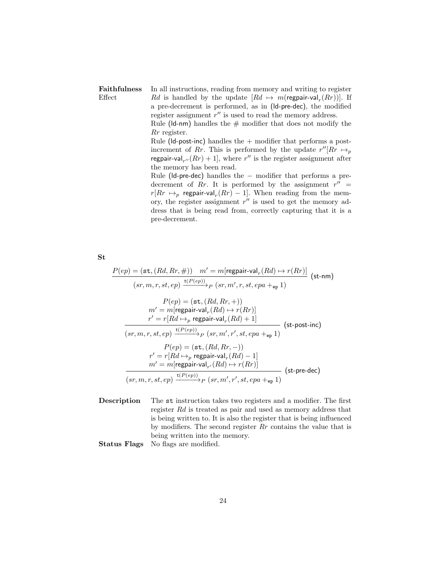#### Faithfulness Effect In all instructions, reading from memory and writing to register Rd is handled by the update  $[Rd \mapsto m(\text{regular-val}_r(Rr))]$ . If a pre-decrement is performed, as in (ld-pre-dec), the modified register assignment  $r''$  is used to read the memory address.

Rule ( $\mathsf{Id}\text{-nm}$ ) handles the  $\#$  modifier that does not modify the Rr register.

Rule ( $\mathsf{Id}\text{-}\mathsf{post}\text{-}\mathsf{inc}$ ) handles the  $+$  modifier that performs a postincrement of Rr. This is performed by the update  $r''[Rr \rightarrow_p$ regpair-val<sub>r</sub> $(nRr) + 1$ , where r'' is the register assignment after the memory has been read.

Rule (ld-pre-dec) handles the − modifier that performs a predecrement of Rr. It is performed by the assignment  $r'' =$  $r[Rr \mapsto_p \text{regular-val}_r(Rr) - 1]$ . When reading from the memory, the register assignment  $r''$  is used to get the memory address that is being read from, correctly capturing that it is a pre-decrement.

St

$$
P(ep) = (\text{st}, (Rd, Rr, \#)) \quad m' = m[\text{regular-val}_r(Rd) \mapsto r(Rr)] \quad (\text{st-nm})
$$
\n
$$
(sr, m, r, st, ep) \xrightarrow{\text{t}(P(ep))} p (sr, m', r, st, epa +_{ep} 1) \quad P(ep) = (\text{st}, (Rd, Rr, +))
$$
\n
$$
m' = m[\text{regular-val}_r(Rd) \mapsto r(Rr)] \quad r' = r[Rd \mapsto_p \text{regular-val}_r(Rd) + 1] \quad (\text{st-post-inc})
$$
\n
$$
(sr, m, r, st, ep) \xrightarrow{\text{t}(P(ep))} p (sr, m', r', st, epa +_{ep} 1) \quad P(ep) = (\text{st}, (Rd, Rr, -)) \quad r' = r[Rd \mapsto_p \text{regular-val}_r(Rd) - 1] \quad m' = m[\text{regular-val}_{r'}(Rd) \mapsto r(Rr)] \quad (\text{st-pre-dec})
$$
\n
$$
(sr, m, r, st, ep) \xrightarrow{\text{t}(P(ep))} p (sr, m', r', st, epa +_{ep} 1) \quad (\text{st-pre-dec})
$$

Description The st instruction takes two registers and a modifier. The first register Rd is treated as pair and used as memory address that is being written to. It is also the register that is being influenced by modifiers. The second register  $Rr$  contains the value that is being written into the memory. Status Flags No flags are modified.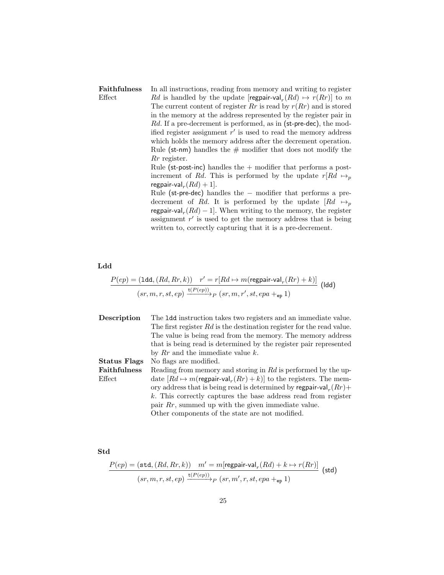### Faithfulness Effect In all instructions, reading from memory and writing to register Rd is handled by the update  $[regular-val<sub>r</sub>(Rd) \mapsto r(Rr)]$  to m The current content of register  $Rr$  is read by  $r(Rr)$  and is stored in the memory at the address represented by the register pair in Rd. If a pre-decrement is performed, as in (st-pre-dec), the modified register assignment  $r'$  is used to read the memory address which holds the memory address after the decrement operation. Rule (st-nm) handles the  $#$  modifier that does not modify the Rr register. Rule (st-post-inc) handles the  $+$  modifier that performs a postincrement of Rd. This is performed by the update  $r[Rd \mapsto_p$ regpair-val $_r(Rd) + 1$ . Rule (st-pre-dec) handles the − modifier that performs a predecrement of Rd. It is performed by the update  $[Rd \rightarrow p]$

regpair-val<sub>r</sub> $(Rd) - 1$ . When writing to the memory, the register assignment  $r'$  is used to get the memory address that is being written to, correctly capturing that it is a pre-decrement.

Ldd

$$
\frac{P(ep) = (\texttt{1dd}, (Rd, Rr, k)) \quad r' = r[Rd \mapsto m(\text{regular-val}_r(Rr) + k)]}{(sr, m, r, st, ep) \xrightarrow{\mathbf{t}(P(ep))} p (sr, m, r', st, epa +_{\texttt{ep}} 1)}
$$
 (ldd)

| Description         | The 1dd instruction takes two registers and an immediate value.                   |
|---------------------|-----------------------------------------------------------------------------------|
|                     | The first register Rd is the destination register for the read value.             |
|                     | The value is being read from the memory. The memory address                       |
|                     | that is being read is determined by the register pair represented                 |
|                     | by $Rr$ and the immediate value k.                                                |
| Status Flags        | No flags are modified.                                                            |
| <b>Faithfulness</b> | Reading from memory and storing in Rd is performed by the up-                     |
| Effect              | date $[Rd \mapsto m(\text{regular-val}_r(Rr)+k)]$ to the registers. The mem-      |
|                     | ory address that is being read is determined by regpair-val <sub>r</sub> $(Rr)$ + |
|                     | k. This correctly captures the base address read from register                    |
|                     | pair $Rr$ , summed up with the given immediate value.                             |
|                     | Other components of the state are not modified.                                   |

Std

$$
\frac{P(ep) = (\texttt{std}, (Rd, Rr, k)) \quad m' = m[\text{regular-val}_r(Rd) + k \mapsto r(Rr)]}{(sr, m, r, st, ep) \xrightarrow{\text{t}(P(ep))} p (sr, m', r, st, epa +_{ep} 1)}
$$
(std)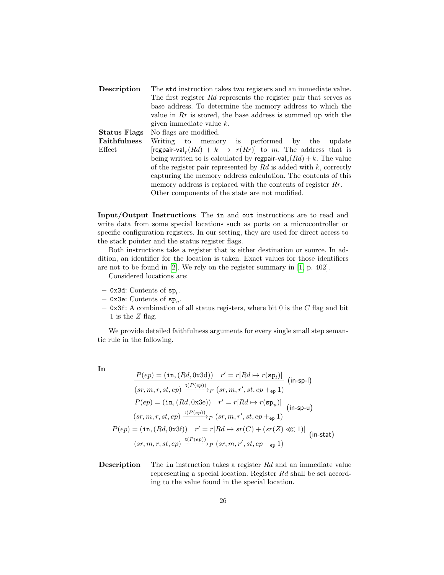| Description         | The std instruction takes two registers and an immediate value.                     |  |  |
|---------------------|-------------------------------------------------------------------------------------|--|--|
|                     | The first register Rd represents the register pair that serves as                   |  |  |
|                     | base address. To determine the memory address to which the                          |  |  |
|                     | value in $Rr$ is stored, the base address is summed up with the                     |  |  |
|                     | given immediate value $k$ .                                                         |  |  |
| Status Flags        | No flags are modified.                                                              |  |  |
| <b>Faithfulness</b> | Writing to memory is performed by the update                                        |  |  |
| Effect              | regpair-val <sub>r</sub> $(Rd) + k \leftrightarrow r(Rr)$ to m. The address that is |  |  |
|                     | being written to is calculated by regpair-val <sub>r</sub> $(Rd) + k$ . The value   |  |  |
|                     | of the register pair represented by $Rd$ is added with k, correctly                 |  |  |
|                     | capturing the memory address calculation. The contents of this                      |  |  |
|                     | memory address is replaced with the contents of register $Rr$ .                     |  |  |
|                     | Other components of the state are not modified.                                     |  |  |

Input/Output Instructions The in and out instructions are to read and write data from some special locations such as ports on a microcontroller or specific configuration registers. In our setting, they are used for direct access to the stack pointer and the status register flags.

Both instructions take a register that is either destination or source. In addition, an identifier for the location is taken. Exact values for those identifiers are not to be found in [\[2\]](#page-73-0). We rely on the register summary in [\[1,](#page-73-1) p. 402].

Considered locations are:

- $-$  0x3d: Contents of  $sp_l$ .
- 0x3e: Contents of  ${\tt sp}_u.$
- $-$  0x3f: A combination of all status registers, where bit 0 is the C flag and bit 1 is the Z flag.

We provide detailed faithfulness arguments for every single small step semantic rule in the following.

| × | n |
|---|---|
|   | ٦ |
|   |   |
|   |   |

$$
\frac{P(ep) = (\text{in}, (Rd, 0x3d)) \quad r' = r[Rd \mapsto r(\text{sp}_l)]}{(sr, m, r, st, ep) \xrightarrow{t(P(ep))} p (sr, m, r', st, ep +_{ep} 1)} (\text{in-sp-l})
$$
\n
$$
\frac{P(ep) = (\text{in}, (Rd, 0x3e)) \quad r' = r[Rd \mapsto r(\text{sp}_u)]}{(sr, m, r, st, ep) \xrightarrow{t(P(ep))} p (sr, m, r', st, ep +_{ep} 1)} (\text{in-sp-u})
$$
\n
$$
\frac{P(ep) = (\text{in}, (Rd, 0x3f)) \quad r' = r[Rd \mapsto sr(C) + (sr(Z) \ll 1)]}{(sr, m, r, st, ep) \xrightarrow{t(P(ep))} p (sr, m, r', st, ep +_{ep} 1)} (\text{in-stat})
$$

**Description** The in instruction takes a register Rd and an immediate value representing a special location. Register Rd shall be set according to the value found in the special location.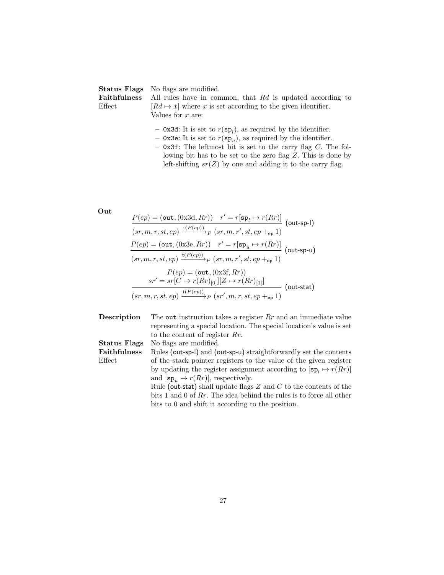|           | <b>Status Flags</b> No flags are modified.                                                |  |
|-----------|-------------------------------------------------------------------------------------------|--|
|           | <b>Faithfulness</b> All rules have in common, that $Rd$ is updated according to           |  |
| $E$ ffect | $[Rd \mapsto x]$ where x is set according to the given identifier.<br>Values for $x$ are: |  |
|           | $-$ 0x3d: It is set to $r(sp_l)$ , as required by the identifier.                         |  |

- $-$  0x3e: It is set to  $r(sp_u)$ , as required by the identifier.
- $-$  0x3f: The leftmost bit is set to the carry flag  $C$ . The following bit has to be set to the zero flag Z. This is done by left-shifting  $sr(Z)$  by one and adding it to the carry flag.

Out

$$
\frac{P(ep) = (\text{out}, (\text{0x3d}, Rr)) \quad r' = r[\text{sp}_l \mapsto r(Rr)]}{(sr, m, r, st, ep) \xrightarrow{\text{t}(P(ep))} p (sr, m, r', st, ep +_{ep} 1)} (\text{out-sp-l})
$$
\n
$$
\frac{P(ep) = (\text{out}, (\text{0x3e}, Rr)) \quad r' = r[\text{sp}_u \mapsto r(Rr)]}{(sr, m, r, st, ep) \xrightarrow{\text{t}(P(ep))} p (sr, m, r', st, ep +_{ep} 1)} (\text{out-sp-u})
$$
\n
$$
\frac{P(ep) = (\text{out}, (\text{0x3f}, Rr))}{sr' = sr[C \mapsto r(Rr)_{[0]}][Z \mapsto r(Rr)_{[1]}]}
$$
\n
$$
\frac{(sr, m, r, st, ep) \xrightarrow{\text{t}(P(ep))} p (sr', m, r, st, ep +_{ep} 1)} (\text{out-stat})
$$

**Description** The out instruction takes a register  $Rr$  and an immediate value representing a special location. The special location's value is set to the content of register Rr. Status Flags No flags are modified. Faithfulness Effect Rules (out-sp-l) and (out-sp-u) straightforwardly set the contents of the stack pointer registers to the value of the given register by updating the register assignment according to  $[\mathbf{sp}_l \mapsto r(Rr)]$ and  $[\mathbf{sp}_u \mapsto r(Rr)]$ , respectively. Rule (out-stat) shall update flags  $Z$  and  $C$  to the contents of the bits 1 and 0 of Rr. The idea behind the rules is to force all other bits to 0 and shift it according to the position.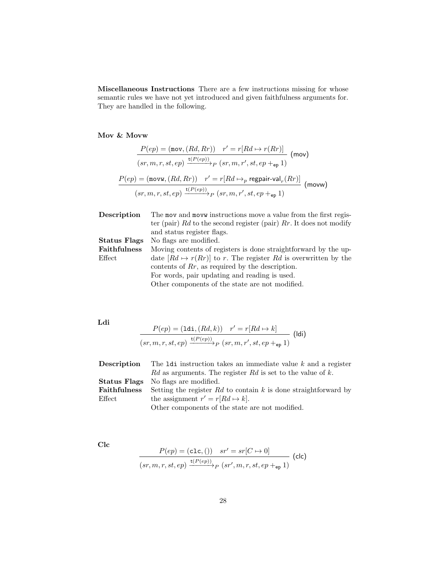Miscellaneous Instructions There are a few instructions missing for whose semantic rules we have not yet introduced and given faithfulness arguments for. They are handled in the following.

# Mov & Movw

$$
\frac{P(ep) = (\text{mov}, (Rd, Rr)) \quad r' = r[Rd \mapsto r(Rr)]}{(sr, m, r, st, ep) \xrightarrow{t(P(ep))} p (sr, m, r', st, ep +_{ep} 1)}
$$
 (mov)  

$$
\frac{P(ep) = (\text{movw}, (Rd, Rr)) \quad r' = r[Rd \mapsto_p \text{regular-val}_r(Rr)]}{(sr, m, r, st, ep) \xrightarrow{t(P(ep))} p (sr, m, r', st, ep +_{ep} 1)}
$$
 (movw)

| Description         | The mov and movw instructions move a value from the first regis-      |
|---------------------|-----------------------------------------------------------------------|
|                     | ter (pair) Rd to the second register (pair) Rr. It does not modify    |
|                     | and status register flags.                                            |
| <b>Status Flags</b> | No flags are modified.                                                |
| <b>Faithfulness</b> | Moving contents of registers is done straightforward by the up-       |
| Effect              | date $[Rd \mapsto r(Rr)]$ to r. The register Rd is overwritten by the |
|                     | contents of $Rr$ , as required by the description.                    |
|                     | For words, pair updating and reading is used.                         |
|                     | Other components of the state are not modified.                       |

Ldi

$$
\frac{P(ep) = (\text{1di}, (Rd, k)) \quad r' = r[Rd \mapsto k]}{(sr, m, r, st, ep) \xrightarrow{\text{t}(P(ep))} p (sr, m, r', st, ep +_{ep} 1)}
$$
 (ldi)

| Description         | The $Idi$ instruction takes an immediate value $k$ and a register |
|---------------------|-------------------------------------------------------------------|
|                     | Rd as arguments. The register Rd is set to the value of k.        |
| Status Flags        | No flags are modified.                                            |
| <b>Faithfulness</b> | Setting the register $Rd$ to contain k is done straightforward by |
| $E$ ffect           | the assignment $r' = r[Rd \mapsto k].$                            |
|                     | Other components of the state are not modified.                   |

Clc

$$
\frac{P(ep) = (\texttt{clc}, () \quad sr' = sr[C \mapsto 0]}{(sr, m, r, st, ep) \xrightarrow{\texttt{t}(P(ep))} p (sr', m, r, st, ep +_{ep} 1)}
$$
 (clc)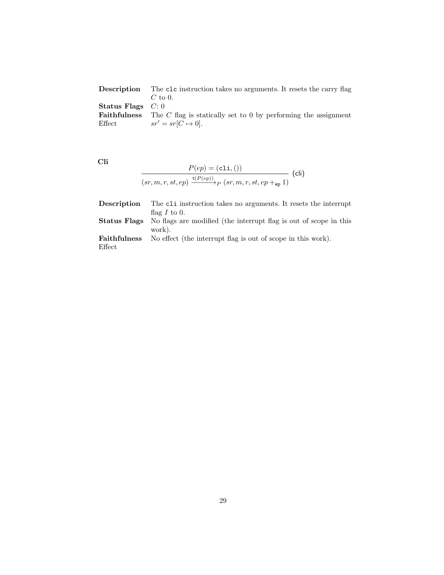| Description                | The clc instruction takes no arguments. It resets the carry flag                   |
|----------------------------|------------------------------------------------------------------------------------|
|                            | $C$ to 0.                                                                          |
| <b>Status Flags</b> $C: 0$ |                                                                                    |
|                            | <b>Faithfulness</b> The C flag is statically set to 0 by performing the assignment |
| Effect                     | $sr' = sr[C \mapsto 0].$                                                           |

Cli

$$
\frac{P(ep) = (c1i, ())}{(sr, m, r, st, ep) \xrightarrow{t(P(ep))} p (sr, m, r, st, ep +_{ep} 1)}
$$
 (cli)

| Description  | The cli instruction takes no arguments. It resets the interrupt                       |
|--------------|---------------------------------------------------------------------------------------|
|              | flag $I$ to 0.                                                                        |
|              | <b>Status Flags</b> No flags are modified (the interrupt flag is out of scope in this |
|              | work).                                                                                |
| Faithfulness | No effect (the interrupt flag is out of scope in this work).                          |
| Effect       |                                                                                       |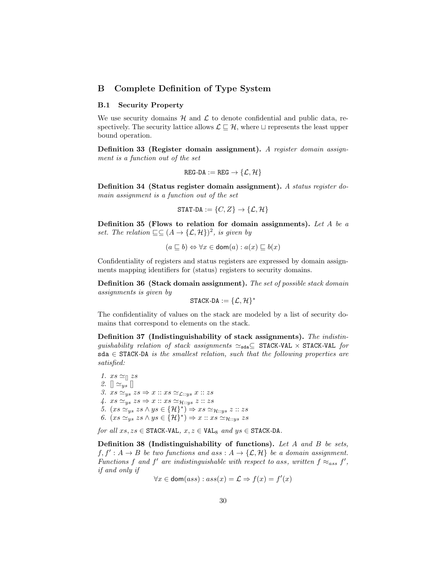## <span id="page-29-0"></span>B Complete Definition of Type System

#### B.1 Security Property

We use security domains  $H$  and  $L$  to denote confidential and public data, respectively. The security lattice allows  $\mathcal{L} \subseteq \mathcal{H}$ , where  $\sqcup$  represents the least upper bound operation.

Definition 33 (Register domain assignment). A register domain assignment is a function out of the set

$$
\texttt{REG-DA}:=\texttt{REG}\to\{\mathcal{L},\mathcal{H}\}
$$

Definition 34 (Status register domain assignment). A status register domain assignment is a function out of the set

$$
\texttt{STAT-DA} := \{C, Z\} \to \{\mathcal{L}, \mathcal{H}\}
$$

Definition 35 (Flows to relation for domain assignments). Let A be a set. The relation  $\sqsubseteq \subseteq (A \rightarrow \{\mathcal{L}, \mathcal{H}\})^2$ , is given by

$$
(a \sqsubseteq b) \Leftrightarrow \forall x \in \text{dom}(a) : a(x) \sqsubseteq b(x)
$$

Confidentiality of registers and status registers are expressed by domain assignments mapping identifiers for (status) registers to security domains.

Definition 36 (Stack domain assignment). The set of possible stack domain assignments is given by

$$
\texttt{STACK-DA}:=\{\mathcal{L},\mathcal{H}\}^*
$$

The confidentiality of values on the stack are modeled by a list of security domains that correspond to elements on the stack.

Definition 37 (Indistinguishability of stack assignments). The indistinguishability relation of stack assignments  $\simeq_{\text{sda}}\subseteq$  STACK-VAL  $\times$  STACK-VAL for  $sda \in$  STACK-DA is the smallest relation, such that the following properties are satisfied:

1.  $xs \simeq_{\Box} xs$ 2.  $\Vert \simeq_{ys} \Vert$ 3.  $xs \simeq_{ys} zs \Rightarrow x :: xs \simeq_{\mathcal{L}::ys} x :: zs$ 4.  $xs \simeq_{ys} zs \Rightarrow x :: xs \simeq_{\mathcal{H}::ys} z :: zs$ 5.  $(xs \simeq_{ys} ss \wedge ys \in {\mathcal{H}}^*) \Rightarrow xs \simeq_{\mathcal{H}::ys} z :: zs$ 6.  $(xs \simeq_{ys} ss \wedge ys \in {\mathcal{H}}^{*}) \Rightarrow x :: xs \simeq_{\mathcal{H}::ys} zs$ 

for all  $xs, zs \in$  STACK-VAL,  $x, z \in$  VAL<sub>8</sub> and  $ys \in$  STACK-DA.

Definition 38 (Indistinguishability of functions). Let A and B be sets,  $f, f' : A \to B$  be two functions and ass :  $A \to \{\mathcal{L}, \mathcal{H}\}\$ be a domain assignment. Functions f and f' are indistinguishable with respect to ass, written  $f \approx_{ass} f'$ , if and only if

$$
\forall x \in \text{dom}(ass) : ass(x) = \mathcal{L} \Rightarrow f(x) = f'(x)
$$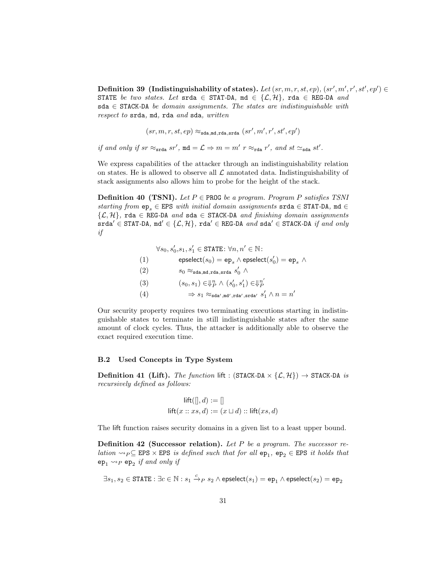Definition 39 (Indistinguishability of states). Let  $(sr, m, r, st, ep)$ ,  $(sr', m', r', st', ep') \in$ STATE be two states. Let srda  $\in$  STAT-DA, md  $\in$  { $\mathcal{L}, \mathcal{H}$ }, rda  $\in$  REG-DA and sda  $\in$  STACK-DA be domain assignments. The states are indistinguishable with respect to srda, md, rda and sda, written

,  $\sim$ 

$$
(sr, m, r, st, ep) \approx_{\texttt{sda}, \texttt{md}, \texttt{rda}, \texttt{srda}} (sr', m', r', st', ep')
$$

if and only if  $sr \approx_{\text{srda}} sr'$ ,  $md = \mathcal{L} \Rightarrow m = m' r \approx_{\text{rda}} r'$ , and  $st \approx_{\text{sda}} st'$ .

We express capabilities of the attacker through an indistinguishability relation on states. He is allowed to observe all  $\mathcal L$  annotated data. Indistinguishability of stack assignments also allows him to probe for the height of the stack.

**Definition 40 (TSNI).** Let  $P \in \text{PROG}$  be a program. Program P satisfies TSNI starting from  $ep_e \in EPS$  with initial domain assignments  $srda \in STAT-DA$ ,  $md \in$  $\{\mathcal{L}, \mathcal{H}\}\$ , rda  $\in$  REG-DA and sda  $\in$  STACK-DA and finishing domain assignments srda' ∈ STAT-DA, md' ∈ { $\mathcal{L}, \mathcal{H}$ }, rda' ∈ REG-DA and sda' ∈ STACK-DA if and only if

> $\forall s_0, s_0', s_1, s_1' \in \texttt{STATE}: \forall n, n' \in \mathbb{N}:$  $(1) \qquad \qquad \mathsf{epselect}\big(s_0) = \mathsf{ep}_s \wedge \mathsf{epselect}\big(s'_0) = \mathsf{ep}_s \; \wedge \;$ (2)  $s_0 \approx_{\texttt{sda}, \texttt{md}, \texttt{rda}, \texttt{srda}} s'_0 \wedge$ (3)  $(s_0, s_1) \in \mathbb{F}_P^n \wedge (s'_0, s'_1) \in \mathbb{F}_P^{n'}$ P (4)  $\Rightarrow s_1 \approx_{\text{sda}',\text{md}',\text{rda}',\text{srda}' } s'_1 \wedge n = n'$

Our security property requires two terminating executions starting in indistinguishable states to terminate in still indistinguishable states after the same amount of clock cycles. Thus, the attacker is additionally able to observe the exact required execution time.

### B.2 Used Concepts in Type System

**Definition 41 (Lift).** The function lift : (STACK-DA  $\times \{L, H\}$ )  $\rightarrow$  STACK-DA is recursively defined as follows:

$$
\mathsf{lift}([], d) := []
$$
  

$$
\mathsf{lift}(x :: xs, d) := (x \sqcup d) :: \mathsf{lift}(xs, d)
$$

The lift function raises security domains in a given list to a least upper bound.

**Definition 42 (Successor relation).** Let P be a program. The successor relation  $\leadsto_P \subseteq$  EPS  $\times$  EPS is defined such that for all  $ep_1$ ,  $ep_2 \in$  EPS it holds that  $ep_1 \leadsto_P ep_2$  if and only if

$$
\exists s_1, s_2 \in \texttt{STATE}: \exists c \in \mathbb{N}: s_1 \xrightarrow{c} {P} \ s_2 \wedge \textsf{epselect}(s_1) = \texttt{ep}_1 \wedge \textsf{epselect}(s_2) = \texttt{ep}_2
$$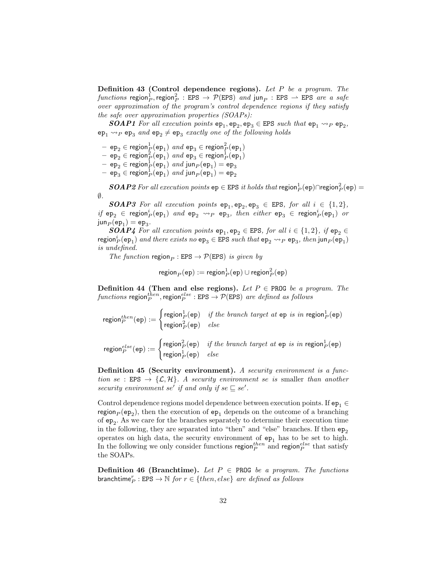Definition 43 (Control dependence regions). Let P be a program. The  $\textit{functions}$  region $_P^1$ , region $_P^2$  : EPS  $\rightarrow$   $\mathcal{P}(\texttt{EPS})$  and jun $_P$  : EPS  $\rightarrow$  EPS are a safe over approximation of the program's control dependence regions if they satisfy the safe over approximation properties (SOAPs):

**SOAP1** For all execution points  $ep_1, ep_2, ep_3 \in EPS$  such that  $ep_1 \rightarrow_P ep_2$ ,  $ep_1 \rightarrow_P ep_3$  and  $ep_2 \ne ep_3$  exactly one of the following holds

- $-$  ep $_2$   $\in$  region $^1_P(\texttt{ep}_1)$  and ep $_3$   $\in$  region $^2_P(\texttt{ep}_1)$
- $-$  ep<sub>2</sub>  $\in$  region $\frac{2}{P}$ (ep<sub>1</sub>) and ep<sub>3</sub>  $\in$  region $\frac{1}{P}$ (ep<sub>1</sub>)
- $-$  ep<sub>2</sub>  $\in$  region $\frac{1}{P}$ (ep<sub>1</sub>) and jun<sub>P</sub>(ep<sub>1</sub>) = ep<sub>3</sub>
- $-$  ep $_3^ \in$  region $_P^1(\mathtt{ep}_1)$  and jun $_P(\mathtt{ep}_1) = \mathtt{ep}_2$

 $\boldsymbol{SOAP2}$  For all execution points  $\texttt{ep} \in \texttt{EPS}$  it holds that  $\textsf{region}^1_P(\texttt{ep}) \cap \textsf{region}^2_P(\texttt{ep}) =$  $\emptyset$ .

**SOAP3** For all execution points  $ep_1, ep_2, ep_3 \in EPS$ , for all  $i \in \{1,2\}$ , if  $ep_2 \in region_P^i(ep_1)$  and  $ep_2 \rightarrow_P ep_3$ , then either  $ep_3 \in region_P^i(ep_1)$  or  $\mathsf{jun}_P(\mathsf{ep}_1) = \mathsf{ep}_3.$ 

**SOAP4** For all execution points  $ep_1, ep_2 \in EPS$ , for all  $i \in \{1,2\}$ , if  $ep_2 \in$ region<sup>i</sup><sub>P</sub>(ep<sub>1</sub>) and there exists no ep<sub>3</sub>  $\in$  EPS such that ep<sub>2</sub>  $\leadsto_P$  ep<sub>3</sub>, then jun<sub>P</sub>(ep<sub>1</sub>) is undefined.

The function region  $_P$ : EPS  $\rightarrow$  P(EPS) is given by

$$
\mathop{\mathsf{region}}\nolimits_P({\mathop{\mathsf{ep}}\nolimits}) := \mathop{\mathsf{region}}\nolimits_P^1({\mathop{\mathsf{ep}}\nolimits}) \cup \mathop{\mathsf{region}}\nolimits_P^2({\mathop{\mathsf{ep}}\nolimits})
$$

Definition 44 (Then and else regions). Let  $P \in \text{PROG}$  be a program. The functions region $_P^{then}$ , region $_P^{else}$  : EPS  $\rightarrow$   $\mathcal{P}(\texttt{EPS})$  are defined as follows

region<sup>then</sup>(ep) :=  $\begin{cases} \text{region}_P^1(\text{ep}) & \text{if the branch target at } \text{ep is in region}_P^1(\text{ep}) \\ \text{region}_P^2(\text{ep}) & \text{else} \end{cases}$  $\mathsf{region}_P^2(\mathtt{ep})$   $else$ region<sup>else</sup>(ep) :=  $\begin{cases} \text{region}_P^2(\text{ep}) & \text{if the branch target at ep is in region}_P^1(\text{ep}) \\ \text{region}_P^1(\text{ep}) & \text{else} \end{cases}$ region $_{P}^{1}(\texttt{ep})$   $\quad$   $else$ 

Definition 45 (Security environment). A security environment is a function se : EPS  $\rightarrow \{\mathcal{L}, \mathcal{H}\}\$ . A security environment se is smaller than another security environment se' if and only if se  $\subseteq$  se'.

Control dependence regions model dependence between execution points. If  $ep_1 \in$  $\text{region}_P(\texttt{ep}_2)$ , then the execution of  $\texttt{ep}_1$  depends on the outcome of a branching of  $ep_2$ . As we care for the branches separately to determine their execution time in the following, they are separated into "then" and "else" branches. If then  $ep_2$ operates on high data, the security environment of  $ep<sub>1</sub>$  has to be set to high. In the following we only consider functions region  $_P^{then}$  and region  $_P^{else}$  that satisfy the SOAPs.

**Definition 46 (Branchtime).** Let  $P \in \text{PROG}$  be a program. The functions branchtime ${}^r_P$ : EPS  $\rightarrow \mathbb{N}$  for  $r \in \{then, else\}$  are defined as follows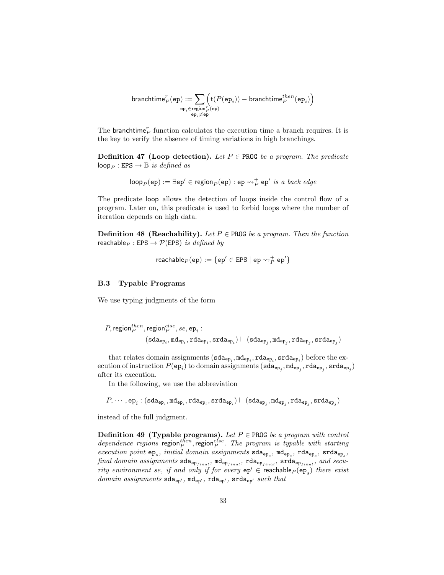branchtime<sup>r</sup> <sup>P</sup> (ep) := X epi∈region<sup>r</sup> <sup>P</sup> (ep) ep<sup>i</sup> 6=ep t(P(ep<sup>i</sup> )) − branchtimethen <sup>P</sup> (ep<sup>i</sup> ) 

The branchtime<sup>r</sup> function calculates the execution time a branch requires. It is the key to verify the absence of timing variations in high branchings.

**Definition 47 (Loop detection).** Let  $P \in \text{PROG}$  be a program. The predicate  $loop_P : EPS \rightarrow \mathbb{B}$  is defined as

$$
\mathsf{loop}_{P}(\mathsf{ep}) := \exists \mathsf{ep}' \in \mathsf{region}_{P}(\mathsf{ep}) : \mathsf{ep} \leadsto_{P}^+ \mathsf{ep}' \; \mathit{is a back\; edge}
$$

The predicate loop allows the detection of loops inside the control flow of a program. Later on, this predicate is used to forbid loops where the number of iteration depends on high data.

**Definition 48 (Reachability).** Let  $P \in \text{PROG}$  be a program. Then the function reachable<sub>P</sub> : EPS  $\rightarrow$  P(EPS) is defined by

$$
\mathsf{reachable}_P(\mathsf{ep}) := \{\mathsf{ep}' \in \mathsf{EPS} \mid \mathsf{ep} \leadsto^+_P \mathsf{ep}'\}
$$

### B.3 Typable Programs

We use typing judgments of the form

$$
\begin{aligned} P, \mathsf{region}_{P}^{then}, \mathsf{region}_{P}^{else}, se, \mathsf{ep}_i: \\ & (\mathsf{sda}_{\mathsf{ep}_i}, \mathsf{md}_{\mathsf{ep}_i}, \mathsf{rda}_{\mathsf{ep}_i}, \mathsf{srda}_{\mathsf{ep}_i}) \vdash (\mathsf{sda}_{\mathsf{ep}_j}, \mathsf{md}_{\mathsf{ep}_j}, \mathsf{rda}_{\mathsf{ep}_j}, \mathsf{srda}_{\mathsf{ep}_j}) \end{aligned}
$$

that relates domain assignments  $(\texttt{sda}_{\texttt{ep}_i}, \texttt{md}_{\texttt{ep}_i}, \texttt{rda}_{\texttt{ep}_i}, \texttt{srda}_{\texttt{ep}_i})$  before the execution of instruction  $P(\mathtt{ep}_i)$  to domain assignments  $(\mathtt{sda}_{\mathtt{ep}_j},\mathtt{mda}_{\mathtt{ep}_j},\mathtt{rda}_{\mathtt{ep}_j},\mathtt{srda}_{\mathtt{ep}_j})$ after its execution.

In the following, we use the abbreviation

$$
P,\cdots,\texttt{ep}_i:({\texttt{sda}}_{\texttt{ep}_i},{\texttt{mda}}_{\texttt{ep}_i},{\texttt{rda}}_{\texttt{ep}_i},{\texttt{srda}}_{\texttt{ep}_i})\vdash ({\texttt{sda}}_{\texttt{ep}_j},{\texttt{mda}}_{\texttt{ep}_j},{\texttt{rda}}_{\texttt{ep}_j},{\texttt{srda}}_{\texttt{ep}_j})
$$

instead of the full judgment.

Definition 49 (Typable programs). Let  $P \in \text{PROG}$  be a program with control dependence regions region $p_P^{then}$ , region $p_P^{else}$ . The program is typable with starting execution point  $ep_s$ , initial domain assignments  $\texttt{sda}_{ep_s}$ ,  $\texttt{mde}_{ep_s}$ ,  $\texttt{rda}_{ep_s}$ ,  $\texttt{std}_{ep_s}$ ,  $\emph{final domain assignments}$  sda $_{\rm ep_{final}},$  md $_{\rm ep_{final}},$  rda $_{\rm ep_{final}},$  srda $_{\rm ep_{final}},$  and security environment se, if and only if for every  $ep' \in$  reachable<sub>P</sub> $(ep_s)$  there exist  $domain\ assignments\ sta_{ep'},\ md_{ep'},\ rda_{ep'},\ srda_{ep'}\, such\ that$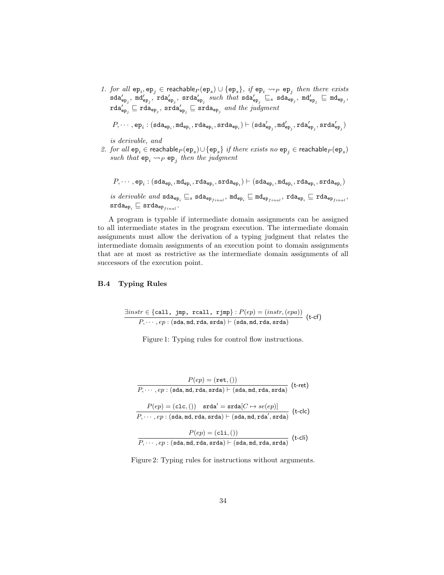1. for all  $ep_i, ep_j \in reachable_P(ep_s) \cup \{ep_s\}$ , if  $ep_i \leadsto_P ep_j$  then there exists  $\texttt{sda}'_{\texttt{ep}_j}, \ \texttt{mda}'_{\texttt{ep}_j}, \ \texttt{srda}'_{\texttt{ep}_j} \ \ \textit{such that} \ \texttt{sda}'_{\texttt{ep}_j} \sqsubseteq_s \ \texttt{sda}_{\texttt{ep}_j}, \ \texttt{md}'_{\texttt{ep}_j} \sqsubseteq \texttt{md}_{\texttt{ep}_j},$  $\texttt{rda}'_\texttt{ep}_j \sqsubseteq \texttt{rda}_\texttt{ep}_j \sqsubseteq \texttt{srda}_\texttt{ep}_j \enspace \textit{and the judgment}$ 

 $P,\cdots,$ e $\texttt{p}_i: (\texttt{sda}_{\texttt{ep}_i},\texttt{mda}_{\texttt{ep}_i},\texttt{rda}_{\texttt{ep}_i},\texttt{srda}_{\texttt{ep}_i})\vdash (\texttt{sda}'_{\texttt{ep}_j},\texttt{md}'_{\texttt{ep}_j},\texttt{rda}'_{\texttt{ep}_j},\texttt{srda}_{\texttt{ep}_j})$ 

is derivable, and

2. for all  $ep_i \in$  reachable $_P(ep_s) \cup \{ep_s\}$  if there exists no  $ep_j \in$  reachable $_P(ep_s)$ such that  $ep_i \rightarrow_P ep_j$  then the judgment

 $P,\cdots, {\tt ep}_i:({\tt sda_{ep_i},md_{ep_i}},{\tt rda_{ep_i}},{\tt srda_{ep_i}}) \vdash ({\tt sda_{ep_i},md_{ep_i}},{\tt rda_{ep_i}},{\tt srda_{ep_i}})$ 

 $is\,\,derivable\,\, and\,\, \texttt{sda}_{\texttt{ep}_i} \sqsubseteq_s \texttt{sda}_{\texttt{ep}_{final}},\, \texttt{md}_{\texttt{ep}_i} \sqsubseteq \texttt{md}_{\texttt{ep}_{final}},\, \texttt{rda}_{\texttt{ep}_i} \sqsubseteq \texttt{rda}_{\texttt{ep}_{final}},$  $\mathsf{srda}_{\mathsf{ep}_i} \sqsubseteq \mathsf{srda}_{\mathsf{ep}_{final}}.$ 

A program is typable if intermediate domain assignments can be assigned to all intermediate states in the program execution. The intermediate domain assignments must allow the derivation of a typing judgment that relates the intermediate domain assignments of an execution point to domain assignments that are at most as restrictive as the intermediate domain assignments of all successors of the execution point.

### B.4 Typing Rules

$$
\frac{\exists instr \in \{\text{call, jmp, real1, rjmp}\}: P(ep) = (instr, (epa))}{P, \cdots, ep : (\text{sda}, \text{md}, \text{rda}, \text{srda}) \vdash (\text{sda}, \text{md}, \text{rda}, \text{srda})} \text{ (t-cf)}
$$

Figure 1: Typing rules for control flow instructions.

$$
P(ep) = (\mathtt{ret},())
$$
\n
$$
P, \cdots, ep : (\mathtt{sda}, \mathtt{md}, \mathtt{rda}, \mathtt{srda}) \vdash (\mathtt{sda}, \mathtt{md}, \mathtt{rda}, \mathtt{srda}) \quad (\text{t-ret})
$$
\n
$$
P(ep) = (\mathtt{clc},()) \quad \mathtt{srda'} = \mathtt{srda}[C \mapsto se(ep)]
$$
\n
$$
P, \cdots, ep : (\mathtt{sda}, \mathtt{md}, \mathtt{rda}, \mathtt{srda}) \vdash (\mathtt{sda}, \mathtt{md}, \mathtt{rda}', \mathtt{srda}) \quad (\text{t-clc})
$$
\n
$$
P(ep) = (\mathtt{cli},())
$$
\n
$$
P, \cdots, ep : (\mathtt{sda}, \mathtt{md}, \mathtt{rda}, \mathtt{srda}) \vdash (\mathtt{sda}, \mathtt{md}, \mathtt{rda}, \mathtt{srda}) \quad (\text{t-cli})
$$

Figure 2: Typing rules for instructions without arguments.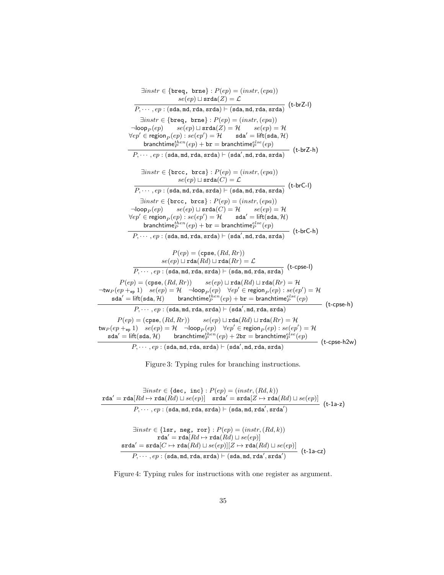$\exists instr \in \{ \text{breq}, \text{ brne} \} : P(ep) = (instr, (epa))$  $se(ep) \sqcup \texttt{srda}(Z) = \mathcal{L}$  $\overline{P, \dots, ep : (sda, md, rda, srda) \vdash (sda, md, rda, srda)}$ (t-brZ-l)  $\exists instr \in \{ \text{breq}, \text{ brne} \} : P(ep) = (instr, (epa))$  $\neg loop_P(ep)$   $se(ep) \sqcup \text{stad}(Z) = \mathcal{H}$   $se(ep) = \mathcal{H}$  $\forall ep' \in \mathsf{region}_P(ep) : se(ep') = \mathcal{H} \qquad \mathsf{sda'} = \mathsf{lift}(\mathsf{sda}, \mathcal{H})$ branchtime $_{P}^{then}(ep) + \mathtt{br} =$  branchtime $_{P}^{else}(ep)$  $P, \cdots, ep:(sda, md, rda, srda) \vdash (sda', md, rda, srda)$  (t-brZ-h)  $\exists instr \in \{brec, brcs\} : P(ep) = (instr,(epa))$  $se(ep) \sqcup \texttt{srda}(C) = \mathcal{L}$  $P, \cdots, ep : (\texttt{sda}, \texttt{md}, \texttt{rda}, \texttt{srda}) \vdash (\texttt{sda}, \texttt{md}, \texttt{rda}, \texttt{srda})$ (t-brC-l)  $\exists instr \in \{ \text{brec}, \text{brcs} \} : P(ep) = (instr, (epa))$  $\neg loop_P(ep)$   $se(ep) \sqcup \text{srda}(C) = \mathcal{H}$   $se(ep) = \mathcal{H}$  $\forall ep' \in \mathsf{region}_P(ep) : se(ep') = \mathcal{H} \qquad \mathsf{sda'} = \mathsf{lift}(\mathsf{sda}, \mathcal{H})$  $\mathsf{branchtime}_P^{then}(ep) + \mathtt{br} = \mathsf{branchtime}_P^{else}(ep)$  $P,\cdots ,ep:({\tt sda}, {\tt md}, {\tt rda}, {\tt srda}) \vdash ({\tt sda}', {\tt md}, {\tt rda}, {\tt srda})$ (t-brC-h)  $P(ep) = (cpse, (Rd, Rr))$  $se(ep) \sqcup \texttt{rda}(Rd) \sqcup \texttt{rda}(Rr) = \mathcal{L}$  $\overrightarrow{P, \cdots, ep:(\text{sda}, \text{mda}, \text{rda}, \text{srda}) \vdash (\text{sda}, \text{mda}, \text{rda}, \text{srda})}$  (t-cpse-l)  $P(ep) = (cpse, (Rd, Rr))$   $se(ep) \sqcup \texttt{rda}(Rd) \sqcup \texttt{rda}(Rr) = H$  $\neg \textsf{tw}_P(ep +_\textsf{ep} 1) \quad se(ep) = \mathcal{H} \quad \neg \textsf{loop}_P(ep) \quad \forall ep' \in \textsf{region}_P(ep) : se(ep') = \mathcal{H}$  $\mathsf{sda}' = \mathsf{lift}(\mathsf{sda}, \mathcal{H})$  branchtim $\mathsf{e}_P^{then}(ep) + \mathsf{br} = \mathsf{branchtime}_P^{else}(ep)$  $P,\cdots ,ep:({\tt sda}, {\tt md}, {\tt rda}, {\tt srda}) \vdash ({\tt sda}', {\tt md}, {\tt rda}, {\tt srda})$ (t-cpse-h)  $P(ep) = (cpse, (Rd, Rr)) \qquad se(ep) \sqcup \texttt{rda}(Rd) \sqcup \texttt{rda}(Rr) = \mathcal{H}$  $\tanho (ep +_{ep} 1)$   $se(ep) = \mathcal{H}$   $\neg loop_P(ep)$   $\forall ep' \in region_P(ep) : se(ep') = \mathcal{H}$  $\mathsf{sda}' = \mathsf{lift}(\mathsf{sda}, \mathcal{H})$  branchtim $\mathsf{e}^{then}_P(ep) + 2\mathsf{br} = \mathsf{branchtime}^{else}_P(ep)$ (t-cpse-h2w)

 $P,\cdots ,ep:(\texttt{sda},\texttt{md},\texttt{rda},\texttt{srda})\vdash(\texttt{sda}',\texttt{md},\texttt{rda},\texttt{srda})$ 

Figure 3: Typing rules for branching instructions.

 $\exists instr \in \{dec, inc\} : P(ep) = (instr, (Rd, k))$  $\mathtt{rda'}=\mathtt{rda}[Rd\mapsto \mathtt{rda}(\overset{\textstyle n}{Rd})\sqcup se(ep)]\quad \mathtt{srda'}=\mathtt{srda}[Z\mapsto \mathtt{rda}(Rd)\sqcup se(ep)]$  $P,\cdots ,ep:({\tt sda}, {\tt md}, {\tt rda}, {\tt srda}) \vdash ({\tt sda}, {\tt md}, {\tt rda}', {\tt srda}')$ (t-1a-z)

$$
\exists instr \in \{\texttt{lsr, neg, ror}\} : P(ep) = (instr, (Rd, k))
$$
\n
$$
\mathbf{rda'} = \mathbf{rda}[Rd \mapsto \mathbf{rda}(Rd) \sqcup se(ep)]
$$
\n
$$
\mathbf{srda'} = \mathbf{srda}[C \mapsto \mathbf{rda}(Rd) \sqcup se(ep)][Z \mapsto \mathbf{rda}(Rd) \sqcup se(ep)]
$$
\n
$$
P, \cdots, ep : (\texttt{sda}, \texttt{md}, \texttt{rda}, \texttt{srda}) \vdash (\texttt{sda}, \texttt{md}, \texttt{rda'}, \texttt{srda'})
$$
\n
$$
(t\text{-}1a\text{-}cz)
$$

Figure 4: Typing rules for instructions with one register as argument.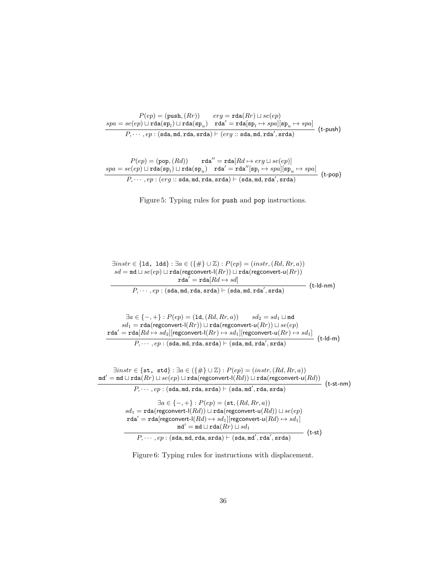$$
P(ep) = (push, (Rr)) \qquad erg = \text{rda}(Rr) \sqcup se(ep)
$$
\n
$$
spa = se(ep) \sqcup \text{rda}(sp_l) \sqcup \text{rda}(sp_u) \qquad \text{rda}' = \text{rda}[sp_l \mapsto spa][sp_u \mapsto spa]
$$
\n
$$
P, \cdots, ep : (\text{sda}, \text{md}, \text{rda}, \text{srda}) \vdash (erg :: \text{sda}, \text{md}, \text{rda}', \text{srda})
$$
\n
$$
(t\text{-push})
$$

 $P(ep) = (pop, (Rd))$  rda<sup>"</sup> = rda $[Rd \mapsto erg \sqcup se(ep)]$  $spa = se(ep) \sqcup \texttt{rda}(\texttt{sp}_l) \sqcup \texttt{rda}(\texttt{sp}_u) \quad \texttt{rda}' = \texttt{rda}''[\texttt{sp}_l \mapsto spa][\texttt{sp}_u \mapsto spa]$  $P, \cdots, ep:(erg::sda, md, rda, srda) \vdash (sda, md, rda', srda)$  (t-pop)

Figure 5: Typing rules for push and pop instructions.

| $\exists instr \in \{1d, 1dd\} : \exists a \in (\{\#\} \cup \mathbb{Z}) : P(ep) = (instr, (Rd, Rr, a))$              |                 |
|----------------------------------------------------------------------------------------------------------------------|-----------------|
| $sd = \text{md} \sqcup se(ep) \sqcup \text{rda}(\text{regconvert-l}(Rr)) \sqcup \text{rda}(\text{regconvert-u}(Rr))$ |                 |
| $\texttt{rda}' = \texttt{rda}[Rd \mapsto sd]$                                                                        | $(t$ -ld-nm $)$ |
| $P, \dots, ep : (sda, md, rda, srda) \vdash (sda, md, rda', srda)$                                                   |                 |

 $\exists a \in \{-,+\}: P(ep) = (\mathtt{ld},(Rd,Rr,a)) \qquad sd_2 = sd_1 \sqcup \mathtt{md}$  $sd_1 = \texttt{rda}(\mathsf{regconvert-l}(Rr)) \sqcup \texttt{rda}(\mathsf{regconvert-u}(Rr)) \sqcup se(ep)$  $\mathtt{rda'} = \mathtt{rda}[Rd \mapsto sd_2][\mathsf{regconvert-l}(Rr) \mapsto sd_1][\mathsf{regconvert-u}(Rr) \mapsto sd_1]$  $P_1, \cdots, ep : (\text{sda}, \text{md}, \text{rda}) \vdash (\text{sda}, \text{md}, \text{rda}', \text{srda})$  (t-ld-m)

 $\exists instr \in \{\texttt{st}, \texttt{ std}\} : \exists a \in (\{\#\} \cup \mathbb{Z}) : P(ep) = (instr, (Rd, Rr, a))$  $\mathfrak{m}$ d'  $=\mathfrak{m}$ d $\sqcup$  rda $(Rr)\sqcup se(ep)$   $\sqcup$  rda $(\mathsf{regconvert}\text{-}\mathsf{l}(Rd))$   $\sqcup$  rda $(\mathsf{regconvert}\text{-}\mathsf{u}(Rd))$ 

|                                                                                                            |        | $(t-st-nm)$ |
|------------------------------------------------------------------------------------------------------------|--------|-------------|
| $P, \dots, ep : (sda, md, rda, srda) \vdash (sda, md', rda, srda)$                                         |        |             |
| $\exists a \in \{-, +\}: P(ep) = (\text{st}, (Rd, Rr, a))$                                                 |        |             |
| $sd_1 = \text{rda}(\text{regconvert-l}(Rd)) \sqcup \text{rda}(\text{regconvert-u}(Rd)) \sqcup se(ep)$      |        |             |
| $\texttt{rda}' = \texttt{rda}[\text{regconvert-l}(Rd) \mapsto sd_1][\text{regconvert-u}(Rd) \mapsto sd_1]$ |        |             |
| $md' = md \sqcup \text{rda}(Rr) \sqcup sd_1$                                                               |        |             |
| $P, \cdots, ep : (sda, md, rda, srda) \vdash (sda, md', rda', srda)$                                       | (t-st) |             |

Figure 6: Typing rules for instructions with displacement.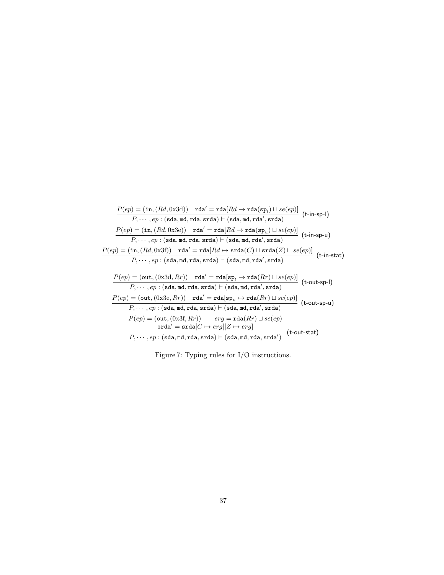$$
\frac{P(ep) = (\text{in}, (Rd, 0x3d)) \text{ rad}^{\prime} = \text{rda}[Rd \mapsto \text{rda}(\text{sp}_l) \sqcup se(ep)]}{P, \cdots, ep : (\text{sda}, \text{mda}, \text{rda}) \vdash (\text{sda}, \text{mda}, \text{rda}^{\prime}, \text{srda})} \quad \text{(t-in-sp-I)}
$$
\n
$$
\frac{P(ep) = (\text{in}, (Rd, 0x3e)) \text{ rad}^{\prime} = \text{rda}[Rd \mapsto \text{rda}(\text{sp}_u) \sqcup se(ep)]}{P, \cdots, ep : (\text{sda}, \text{mda}, \text{rda}, \text{srda}) \vdash (\text{sda}, \text{mda}, \text{rda}^{\prime}, \text{srda})} \quad \text{(t-in-sp-u)}
$$
\n
$$
\frac{P(ep) = (\text{in}, (Rd, 0x3f)) \text{ rad}^{\prime} = \text{rda}[Rd \mapsto \text{srda}(C) \sqcup \text{srda}(Z) \sqcup se(ep)]}{P, \cdots, ep : (\text{sda}, \text{mda}, \text{rda}, \text{srda}) \vdash (\text{sda}, \text{mda}, \text{rda}^{\prime}, \text{srda})} \quad \text{(t-in-stat)}
$$
\n
$$
\frac{P(ep) = (\text{out}, (0x3d, Rr)) \text{ rda}^{\prime} = \text{rda}[\text{sp}_l \mapsto \text{rda}(Rr) \sqcup se(ep)]}{P, \cdots, ep : (\text{sda}, \text{mda}, \text{rda}, \text{srda}) \vdash (\text{sda}, \text{mda}, \text{rda}^{\prime}, \text{srda})} \quad \text{(t-out-sp-I)}
$$
\n
$$
\frac{P(ep) = (\text{out}, (0x3e, Rr)) \text{ rda}^{\prime} = \text{rda}[\text{sp}_u \mapsto \text{rda}(Rr) \sqcup se(ep)]}{P, \cdots, ep : (\text{sda}, \text{mda}, \text{rda}, \text{srda}) \vdash (\text{sda}, \text{mda}, \text{rda}^{\prime}, \text{srda})} \quad \text{(t-out-sp-u)}
$$
\n
$$
\frac{P(ep) = (\text{out}, (0x3f, Rr)) \text{ rda}^{\prime} = \text{
$$

Figure 7: Typing rules for I/O instructions.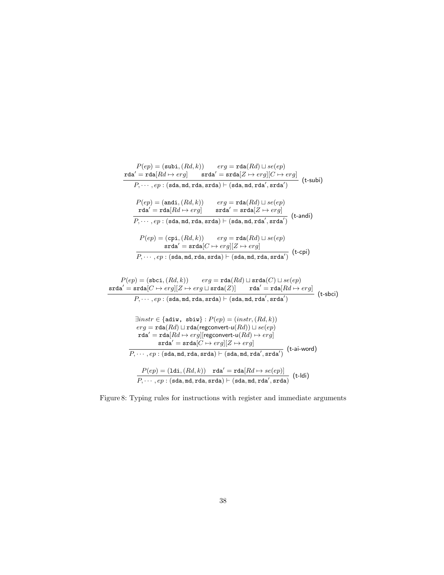$$
P(ep) = (\text{subi}, (Rd, k)) \quad erg = \text{rda}(Rd) \sqcup se(ep)
$$
\n
$$
\text{rda}' = \text{rda}[Rd \leftrightarrow erg] \quad \text{srda}' = \text{srda}[Z \leftrightarrow erg][C \leftrightarrow erg]
$$
\n
$$
P, \dots, ep : (\text{sda}, \text{md}, \text{rda}, \text{srda}) \vdash (\text{sda}, \text{md}, \text{rda}', \text{srda}') \quad \text{(t-subi)}
$$
\n
$$
P(ep) = (\text{andi}, (Rd, k)) \quad erg = \text{rda}(Rd) \sqcup se(ep)
$$
\n
$$
\text{rda}' = \text{rda}[Rd \leftrightarrow erg] \quad \text{srda}' = \text{srda}[Z \leftrightarrow erg]
$$
\n
$$
P, \dots, ep : (\text{sda}, \text{md}, \text{rda}, \text{srda}) \vdash (\text{sda}, \text{md}, \text{rda}', \text{srda}') \quad \text{(t-andi)}
$$
\n
$$
P(ep) = (\text{cpi}, (Rd, k)) \quad erg = \text{rda}(Rd) \sqcup se(ep)
$$
\n
$$
\text{srda}' = \text{srda}[C \leftrightarrow erg][Z \leftrightarrow erg]
$$
\n
$$
P, \dots, ep : (\text{sda}, \text{md}, \text{rda}, \text{srda}) \vdash (\text{sda}, \text{md}, \text{rda}, \text{srda}') \quad \text{(t-cpi)}
$$
\n
$$
P(ep) = (\text{sbci}, (Rd, k)) \quad erg = \text{rda}(Rd) \sqcup \text{srda}(C) \sqcup se(ep)
$$

$$
P(ep) = (\text{sbc1}, (Ra, k)) \quad erg = \text{rda}(Ra) \sqcup \text{srad}(C) \sqcup \text{se}(ep)
$$
\n
$$
\text{srda}' = \text{srda}[C \rightarrow erg][Z \rightarrow erg \sqcup \text{srda}(Z)] \quad \text{rda}' = \text{rda}[Rd \rightarrow erg]
$$
\n
$$
P, \dots, ep : (\text{sda}, md, \text{rda}, \text{srda}) \vdash (\text{sda}, md, \text{rda}', \text{srda}') \quad \text{(t-sbci)}
$$
\n
$$
\exists instr \in \{\text{adiw}, \text{sbiw}\} : P(ep) = (instr, (Rd, k))
$$
\n
$$
erg = \text{rda}(Rd) \sqcup \text{rda}(\text{regconvert-u}(Rd)) \sqcup se(ep)
$$
\n
$$
\text{rda}' = \text{rda}[Rd \rightarrow erg][\text{regconvert-u}(Rd) \rightarrow erg]
$$
\n
$$
\text{srda}' = \text{srda}[C \rightarrow erg][Z \rightarrow erg]
$$
\n
$$
P, \dots, ep : (\text{sda}, md, \text{rda}, \text{srda}) \vdash (\text{sda}, md, \text{rda}', \text{srda}') \quad \text{(t-ai-word)}
$$
\n
$$
\frac{P(ep) = (\text{ldi}, (Rd, k))}{P, \dots, ep : (\text{sda}, md, \text{rda}, \text{srda}) \vdash (\text{sda}, md, \text{rda}', \text{srda})} \quad \text{(t-ldi)}
$$

Figure 8: Typing rules for instructions with register and immediate arguments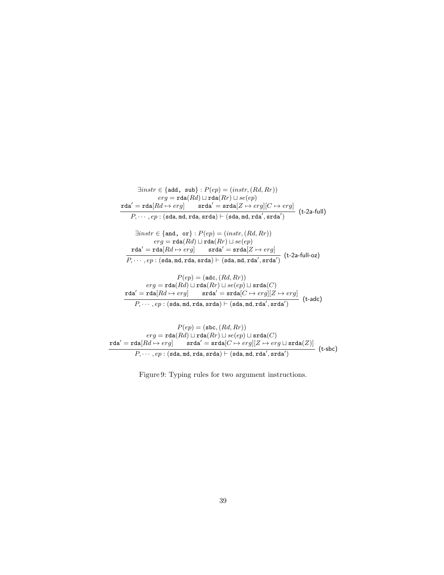$$
\exists instr \in \{\text{add, sub}\} : P(ep) = (instr, (Rd, Rr))
$$
\n
$$
erg = \text{rda}(Rd) \sqcup \text{rda}(Rr) \sqcup se(ep)
$$
\n
$$
\text{rda}' = \text{rda}[Rd \leftrightarrow erg] \qquad \text{srda}' = \text{srda}[Z \leftrightarrow erg][C \leftrightarrow erg]
$$
\n
$$
P, \dots, ep : (\text{sda}, \text{md}, \text{rda}, \text{srda}) \vdash (\text{sda}, \text{md}, \text{rda}', \text{srda}')
$$
\n
$$
\exists instr \in \{\text{and, or}\} : P(ep) = (instr, (Rd, Rr))
$$
\n
$$
erg = \text{rda}(Rd) \sqcup \text{rda}(Rr) \sqcup se(ep)
$$
\n
$$
\text{rda}' = \text{rda}[Rd \leftrightarrow erg] \qquad \text{srda}' = \text{srda}[Z \leftrightarrow erg]
$$
\n
$$
P, \dots, ep : (\text{sda}, \text{md}, \text{rda}, \text{srda}) \vdash (\text{sda}, \text{md}, \text{rda}', \text{srda}') \qquad (\text{t-2a-full-oz})
$$
\n
$$
P(ep) = (\text{adc}, (Rd, Rr))
$$
\n
$$
erg = \text{rda}(Rd) \sqcup \text{rda}(Rr) \sqcup se(ep) \sqcup \text{srda}(C)
$$
\n
$$
\text{rda}' = \text{rda}[Rd \mapsto erg] \qquad \text{srda}' = \text{srda}[C \leftrightarrow erg][Z \leftrightarrow erg]
$$
\n
$$
P, \dots, ep : (\text{sda}, \text{md}, \text{rda}, \text{srda}) \vdash (\text{sda}, \text{md}, \text{rda}', \text{srda}') \qquad (\text{t-adc})
$$

$$
P(ep) = (\mathtt{sbc}, (Rd, Rr))
$$
\n
$$
erg = \mathtt{rda}(Rd) \sqcup \mathtt{rda}(Rr) \sqcup se(ep) \sqcup \mathtt{srda}(C)
$$
\n
$$
\mathtt{rda'} = \mathtt{rda}[Rd \mapsto erg] \qquad \mathtt{srda'} = \mathtt{srda}[C \mapsto erg][Z \mapsto erg \sqcup \mathtt{srda}(Z)]
$$
\n
$$
P, \cdots, ep : (\mathtt{sda}, \mathtt{md}, \mathtt{rda}, \mathtt{srda}) \vdash (\mathtt{sda}, \mathtt{md}, \mathtt{rda'}, \mathtt{srda'})
$$
\n
$$
(t\text{-}sbc)
$$

Figure 9: Typing rules for two argument instructions.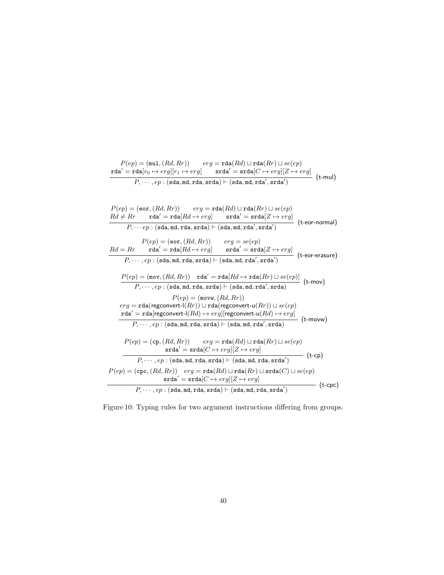$$
\begin{array}{c} P(ep)=({\tt mul},(Rd,Rr))\qquad erg={\tt rda}(Rd)\sqcup{\tt rda}(Rr)\sqcup se(ep)\\ {\tt rda'}={\tt rda}[r_0\mapsto erg][r_1\mapsto erg]\qquad {\tt srda'}={\tt srda}[C\mapsto erg][Z\mapsto erg]\\ \hline P,\cdots,ep:({\tt sda},{\tt md},{\tt rda},{\tt srda})\vdash ({\tt sda},{\tt md},{\tt rda'},{\tt srda'}) \end{array} \bigl(\text{t-mul}\bigr)
$$

$$
P(ep) = (eor, (Rd, Rr)) \qquad erg = \text{rda}(Rd) \sqcup \text{rda}(Rr) \sqcup se(ep)
$$
\n
$$
Rd \neq Rr \qquad \text{rda}' = \text{rda}[Rd \mapsto erg] \qquad \text{srda}' = \text{srda}[Z \mapsto erg]
$$
\n
$$
P, \cdots ep : (\text{sda}, \text{md}, \text{rda}, \text{srda}) \vdash (\text{sda}, \text{md}, \text{rda}', \text{srda}') \qquad (\text{teor-normal})
$$
\n
$$
P(ep) = (\text{eor}, (Rd, Rr)) \qquad erg = se(ep)
$$
\n
$$
Rd = Rr \qquad \text{rda}' = \text{rda}[Rd \mapsto erg] \qquad \text{srda}' = \text{srda}[Z \mapsto erg]
$$
\n
$$
P, \cdots, ep : (\text{sda}, \text{md}, \text{rda}, \text{srda}) \vdash (\text{sda}, \text{md}, \text{rda}', \text{srda}') \qquad (\text{teor-erasure})
$$
\n
$$
P(ep) = (\text{mov}, (Rd, Rr)) \qquad \text{rda}' = \text{rda}[Rd \mapsto \text{rda}(Rr) \sqcup se(ep)] \qquad (\text{t-mov})
$$
\n
$$
P, \cdots, ep : (\text{sda}, \text{md}, \text{rda}, \text{srda}) \vdash (\text{sda}, \text{md}, \text{rda}', \text{srda}) \qquad (\text{t-mov})
$$
\n
$$
reg = \text{rda}(\text{regconvert-1}(Rr)) \sqcup \text{rda}(\text{regconvert-u}(Rr)) \sqcup se(ep)
$$
\n
$$
\text{rda}' = \text{rda}(\text{regconvert-1}(Rd) \mapsto erg||\text{regconvert-u}(Rd) \mapsto erg|
$$
\n
$$
P(ep) = (\text{cp}, (Rd, Rr)) \qquad erg = \text{rda}(Rd) \sqcup \text{rda}(Rr) \sqcup se(ep)
$$
\n
$$
F(ep) = (\text{cp}, (Rd, Rr)) \qquad erg = \text{rda}(Rd) \sqcup \text{rda}(Rr) \sqcup se(ep)
$$
\n
$$
\text{srda}' = \text{srda}[C \mapsto erg][Z \mapsto erg]
$$

Figure 10: Typing rules for two argument instructions differing from groups.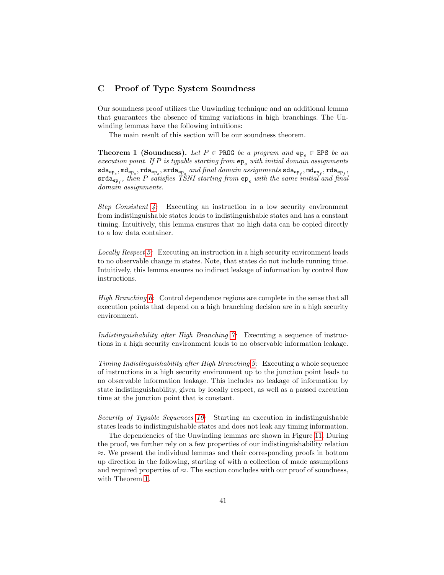# C Proof of Type System Soundness

Our soundness proof utilizes the Unwinding technique and an additional lemma that guarantees the absence of timing variations in high branchings. The Unwinding lemmas have the following intuitions:

<span id="page-40-0"></span>The main result of this section will be our soundness theorem.

**Theorem 1 (Soundness).** Let  $P \in \text{PROG}$  be a program and ep<sub>s</sub>  $\in$  EPS be an execution point. If P is typable starting from  $ep_s$  with initial domain assignments  $\verb|sda_{ep_s},\verb|md_{ep_s},\verb|rda_{ep_s},\verb|srda_{ep_s}| and final\ domain\ assignments\ \verb|sda_{ep_f},\verb|md_{ep_f},\verb|rda_{ep_f}|$  $\mathsf{srda}_{\mathsf{ep}_f},$  then  $P$  satisfies TSNI starting from  $\mathsf{ep}_s$  with the same initial and final domain assignments.

Step Consistent [4:](#page-43-0) Executing an instruction in a low security environment from indistinguishable states leads to indistinguishable states and has a constant timing. Intuitively, this lemma ensures that no high data can be copied directly to a low data container.

Locally Respect [5:](#page-54-0) Executing an instruction in a high security environment leads to no observable change in states. Note, that states do not include running time. Intuitively, this lemma ensures no indirect leakage of information by control flow instructions.

High Branching [6:](#page-61-0) Control dependence regions are complete in the sense that all execution points that depend on a high branching decision are in a high security environment.

Indistinguishability after High Branching [7:](#page-62-0) Executing a sequence of instructions in a high security environment leads to no observable information leakage.

Timing Indistinguishability after High Branching [9:](#page-66-0) Executing a whole sequence of instructions in a high security environment up to the junction point leads to no observable information leakage. This includes no leakage of information by state indistinguishability, given by locally respect, as well as a passed execution time at the junction point that is constant.

Security of Typable Sequences [10:](#page-68-0) Starting an execution in indistinguishable states leads to indistinguishable states and does not leak any timing information.

The dependencies of the Unwinding lemmas are shown in Figure [11.](#page-41-0) During the proof, we further rely on a few properties of our indistinguishability relation  $\approx$ . We present the individual lemmas and their corresponding proofs in bottom up direction in the following, starting of with a collection of made assumptions and required properties of  $\approx$ . The section concludes with our proof of soundness, with Theorem [1.](#page-40-0)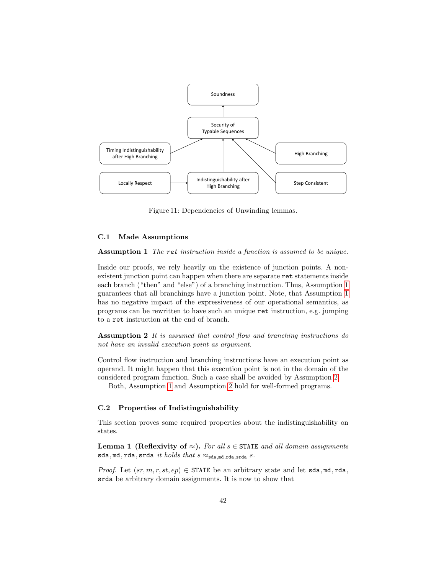<span id="page-41-0"></span>

Figure 11: Dependencies of Unwinding lemmas.

# C.1 Made Assumptions

<span id="page-41-1"></span>Assumption 1 The ret instruction inside a function is assumed to be unique.

Inside our proofs, we rely heavily on the existence of junction points. A nonexistent junction point can happen when there are separate ret statements inside each branch ("then" and "else") of a branching instruction. Thus, Assumption [1](#page-41-1) guarantees that all branchings have a junction point. Note, that Assumption [1](#page-41-1) has no negative impact of the expressiveness of our operational semantics, as programs can be rewritten to have such an unique ret instruction, e.g. jumping to a ret instruction at the end of branch.

<span id="page-41-2"></span>Assumption 2 It is assumed that control flow and branching instructions do not have an invalid execution point as argument.

Control flow instruction and branching instructions have an execution point as operand. It might happen that this execution point is not in the domain of the considered program function. Such a case shall be avoided by Assumption [2.](#page-41-2)

Both, Assumption [1](#page-41-1) and Assumption [2](#page-41-2) hold for well-formed programs.

### C.2 Properties of Indistinguishability

This section proves some required properties about the indistinguishability on states.

<span id="page-41-3"></span>**Lemma 1 (Reflexivity of**  $\approx$ **).** For all  $s \in$  STATE and all domain assignments sda, md, rda, srda it holds that  $s \approx_{\texttt{sda}, \texttt{md}, \texttt{rda}, \texttt{srda}} s$ .

*Proof.* Let  $(sr, m, r, st, ep) \in \text{STATE}$  be an arbitrary state and let sda, md, rda, srda be arbitrary domain assignments. It is now to show that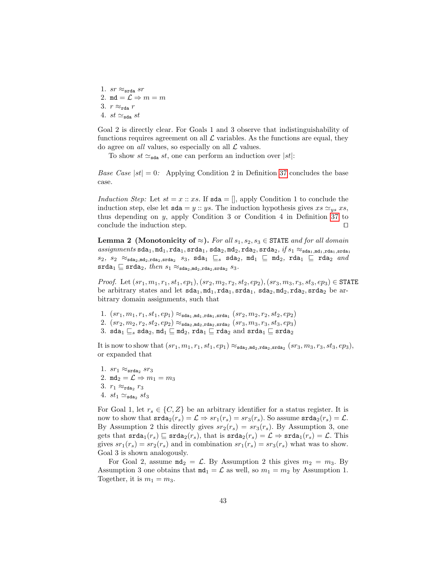1.  $sr \approx_{\text{srda}} sr$ 2. md =  $\mathcal{L} \Rightarrow m = m$ 3.  $r \approx_{\text{rda}} r$ 4. st  $\simeq_{\text{sda}} st$ 

Goal 2 is directly clear. For Goals 1 and 3 observe that indistinguishability of functions requires agreement on all  $\mathcal L$  variables. As the functions are equal, they do agree on *all* values, so especially on all  $\mathcal L$  values.

To show  $st \simeq_{\text{sda}} st$ , one can perform an induction over  $|st|$ :

*Base Case*  $|st| = 0$ : Applying Condition 2 in Definition [37](#page-29-0) concludes the base case.

Induction Step: Let  $st = x :: xs$ . If  $sda = []$ , apply Condition 1 to conclude the induction step, else let  $sda = y :: ys$ . The induction hypothesis gives  $xs \simeq_{ys} xs$ , thus depending on  $y$ , apply Condition 3 or Condition 4 in Definition [37](#page-29-0) to conclude the induction step.  $\Box$ 

<span id="page-42-0"></span>**Lemma 2** (Monotonicity of  $\approx$ ). For all  $s_1, s_2, s_3 \in$  STATE and for all domain  $\emph{assignments} \ \verb|sda1,md1,rda1,srda1,sda2,md2,rda2,srda2,\emph{if} \ \emph{s}\textsubscript{$1$} \ \emph{r}\textsubscript{$3$} \ \emph{r}\textsubscript{$3$} \ \emph{r}\textsubscript{$4$} \ \emph{r}\textsubscript{$4$} \ \emph{r}\textsubscript{$5$} \ \emph{r} \ \emph{r} \ \emph{r} \ \emph{r} \ \emph{r} \ \emph{r} \ \emph{r} \ \emph{r} \ \emph{r} \ \emph{r} \ \emph{r} \ \emph{r} \ \emph{r} \ \em$  $s_2$ ,  $s_2 \approx_{\texttt{sda}_2, \texttt{md}_2, \texttt{srda}_2} s_3$ ,  $\texttt{sda}_1 \sqsubseteq s$   $\texttt{sda}_2$ ,  $\texttt{md}_1 \sqsubseteq \texttt{md}_2$ ,  $\texttt{rda}_1 \sqsubseteq \texttt{rda}_2$  and  $\texttt{srda}_1 \sqsubseteq \texttt{srda}_2, \textit{then } s_1 \approx_{\texttt{sdaa}_2,\texttt{mda}_2,\texttt{srda}_2} s_3.$ 

*Proof.* Let  $(sr_1, m_1, r_1, st_1, ep_1), (sr_2, m_2, r_2, st_2, ep_2), (sr_3, m_3, r_3, st_3, ep_3) \in \text{STATE}$ be arbitrary states and let  $sda_1, md_1, rada_1, srda_1, sda_2, mda_2, rada_2$  be arbitrary domain assignments, such that

- $1. (sr_1, m_1, r_1, st_1, ep_1) \approx_{\texttt{sda}_1, \texttt{md}_1, \texttt{rda}_1, \texttt{srda}_1} (sr_2, m_2, r_2, st_2, ep_2)$
- 2.  $(sr_2, m_2, r_2, st_2, ep_2) \approx_{\text{sda}_2, \text{mda}_2, \text{rda}_2, \text{srda}_2} (sr_3, m_3, r_3, st_3, ep_3)$
- 3. sda<sub>1</sub>  $\sqsubseteq_s$  sda<sub>2</sub>,  $md_1 \sqsubseteq md_2$ , rda<sub>1</sub>  $\sqsubseteq$  rda<sub>2</sub> and srda<sub>1</sub>  $\sqsubseteq$  srda<sub>2</sub>

It is now to show that  $(sr_1, m_1, r_1, st_1, ep_1) \approx_{\texttt{sda}_2, \texttt{mda}_2, \texttt{rda}_2, \texttt{srda}_2} (sr_3, m_3, r_3, st_3, ep_3),$ or expanded that

1.  $sr_1 \approx_{\text{srda}_2} sr_3$ 2. md<sub>2</sub> =  $\mathcal{L} \Rightarrow m_1 = m_3$ 3.  $r_1 \approx_{\text{rda}_2} r_3$ 4.  $st_1 \simeq_{\text{sda}_2} st_3$ 

For Goal 1, let  $r_s \in \{C, Z\}$  be an arbitrary identifier for a status register. It is now to show that  $\text{srda}_2(r_s) = \mathcal{L} \Rightarrow sr_1(r_s) = sr_3(r_s)$ . So assume  $\text{srda}_2(r_s) = \mathcal{L}$ . By Assumption 2 this directly gives  $sr_2(r_s) = sr_3(r_s)$ . By Assumption 3, one gets that  $\text{srda}_1(r_s) \sqsubseteq \text{srda}_2(r_s)$ , that is  $\text{srda}_2(r_s) = \mathcal{L} \Rightarrow \text{srda}_1(r_s) = \mathcal{L}$ . This gives  $sr_1(r_s) = sr_2(r_s)$  and in combination  $sr_1(r_s) = sr_3(r_s)$  what was to show. Goal 3 is shown analogously.

For Goal 2, assume  $m\mathbf{d}_2 = \mathcal{L}$ . By Assumption 2 this gives  $m_2 = m_3$ . By Assumption 3 one obtains that  $m_1 = \mathcal{L}$  as well, so  $m_1 = m_2$  by Assumption 1. Together, it is  $m_1 = m_3$ .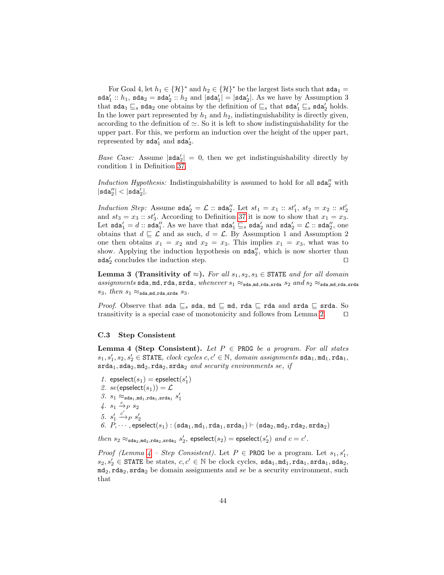For Goal 4, let  $h_1 \in {\mathcal{H}}^*$  and  $h_2 \in {\mathcal{H}}^*$  be the largest lists such that  $\texttt{sda}_1 =$  $\texttt{sda}'_1 :: h_1, \texttt{sda}_2 = \texttt{sda}'_2 :: h_2 \text{ and } |\texttt{sda}'_1| = |\texttt{sda}'_2|.$  As we have by Assumption 3 that  $\texttt{sda}_1 \sqsubseteq_s \texttt{sda}_2$  one obtains by the definition of  $\sqsubseteq_s$  that  $\texttt{sda}'_1 \sqsubseteq_s \texttt{sda}'_2$  holds. In the lower part represented by  $h_1$  and  $h_2$ , indistinguishability is directly given, according to the definition of  $\simeq$ . So it is left to show indistinguishability for the upper part. For this, we perform an induction over the height of the upper part, represented by  $\texttt{sda}'_1$  and  $\texttt{sda}'_2$ .

Base Case: Assume  $|\text{sda}'_2| = 0$ , then we get indistinguishability directly by condition 1 in Definition [37.](#page-29-0)

Induction Hypothesis: Indistinguishability is assumed to hold for all  $\texttt{sda}''_2$  with  $|\verb|sda_{2}''| < |\verb|sda_{2}|.$ 

Induction Step: Assume  $sda'_2 = \mathcal{L}$  ::  $sda''_2$ . Let  $st_1 = x_1$  ::  $st'_1$ ,  $st_2 = x_2$  ::  $st'_2$ and  $st_3 = x_3 :: st'_3$ . According to Definition [37](#page-29-0) it is now to show that  $x_1 = x_3$ . Let  $\texttt{sda}'_1 = d :: \texttt{sda}''_1$ . As we have that  $\texttt{sda}'_1 \sqsubseteq_s \texttt{sda}'_2$  and  $\texttt{sda}'_2 = \mathcal{L} :: \texttt{sda}''_2$ , one obtains that  $d \sqsubseteq \mathcal{L}$  and as such,  $d = \mathcal{L}$ . By Assumption 1 and Assumption 2 one then obtains  $x_1 = x_2$  and  $x_2 = x_3$ . This implies  $x_1 = x_3$ , what was to show. Applying the induction hypothesis on  $sda''_2$ , which is now shorter than  $\texttt{sda}'_2$  concludes the induction step.  $\Box$ 

<span id="page-43-1"></span>Lemma 3 (Transitivity of  $\approx$ ). For all  $s_1, s_2, s_3 \in$  STATE and for all domain assignments sda, md, rda, srda, whenever  $s_1 \approx_{\text{sda},\text{md},\text{rda},\text{srda}} s_2$  and  $s_2 \approx_{\text{sda},\text{md},\text{rda},\text{srda}}$ s<sub>3</sub>, then s<sub>1</sub>  $\approx$ <sub>sda,md,rda,srda</sub> s<sub>3</sub>.

*Proof.* Observe that sda  $\sqsubseteq_s$  sda, md  $\sqsubseteq$  md, rda  $\sqsubseteq$  rda and srda  $\sqsubseteq$  srda. So transitivity is a special case of monotonicity and follows from Lemma [2.](#page-42-0)  $\Box$ 

### C.3 Step Consistent

<span id="page-43-0"></span>**Lemma 4 (Step Consistent).** Let  $P \in \text{PROG}$  be a program. For all states  $s_1, s_1', s_2, s_2' \in \texttt{STATE}, \ clock \ cycles \ c, c' \in \mathbb{N}, \ domain \ assignments \ stal_1, \texttt{nd}_1, \texttt{rd}_1,$  $\texttt{srda}_1, \texttt{sda}_2, \texttt{mda}_2, \texttt{srda}_2$  and security environments se, if

 $1. \ \ \hbox{epselect}(s_1) = \hbox{epselect}(s_1')$ 2. se(epselect(s<sub>1</sub>)) =  $\mathcal{L}$  $\beta$ .  $s_1 \approx_{\texttt{sda}_1,\texttt{md}_1,\texttt{rda}_1,\texttt{srda}_1} s'_1$  $4. s_1 \xrightarrow{c} s_2$ 5.  $s_1'$  $\begin{array}{ll} 5. \;\; s'_1 \stackrel{c'}{\rightarrow} & p \; s'_2 \ 6. \;\; P, \cdots \,, \mathrm{epselect}(s_1):(\mathrm{sda}_1, \mathrm{md}_1, \mathrm{rda}_1, \mathrm{srda}_1) \vdash (\mathrm{sda}_2, \mathrm{md}_2, \mathrm{rda}_2, \mathrm{srda}_2) \end{array}$ 

 $\emph{then $s_2\approx_{\texttt{sda}_2,\texttt{mda}_2,\texttt{srda}_2}$ $s'_2$, } \emph{epselect} (s_2) = \emph{epselect} (s'_2) \text{ and } c=c'.$ 

*Proof (Lemma [4](#page-43-0) – Step Consistent)*. Let  $P \in \text{PROG}$  be a program. Let  $s_1, s'_1$ ,  $s_2, s_2' \in$  STATE be states,  $c, c' \in \mathbb{N}$  be clock cycles,  $\texttt{sda}_1, \texttt{md}_1, \texttt{rda}_1, \texttt{stda}_1, \texttt{sda}_2$  $md_2, rad_2, srda_2$  be domain assignments and se be a security environment, such that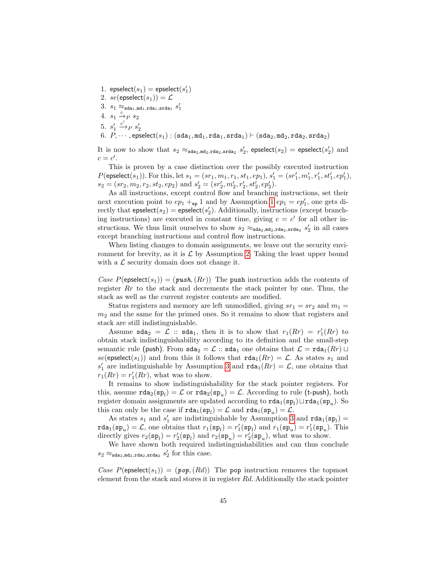<span id="page-44-3"></span><span id="page-44-2"></span><span id="page-44-1"></span><span id="page-44-0"></span>1.  $\mathsf{epselect}(s_1) = \mathsf{epselect}(s'_1)$ 2. se(epselect(s<sub>1</sub>)) =  $\mathcal{L}$  $3. \, s_1 \approx_{\texttt{sda}_1, \texttt{md}_1, \texttt{rda}_1, \texttt{srda}_1} s'_1$ 4.  $s_1 \xrightarrow{c} s_2$ 5.  $s_1'$  $\stackrel{c'}{\longrightarrow}_P s'_2$ 6.  $P_1 \cdots$ , epselect( $s_1$ ) : (sda<sub>1</sub>, md<sub>1</sub>, rda<sub>1</sub>, srda<sub>1</sub>)  $\vdash$  (sda<sub>2</sub>, md<sub>2</sub>, rda<sub>2</sub>, srda<sub>2</sub>)

<span id="page-44-4"></span>It is now to show that  $s_2 \approx_{\text{sda}_2,\text{md}_2,\text{rda}_2,\text{srda}_2} s'_2$ , epselect $(s_2) = \text{epselect}(s'_2)$  and  $c = c'$ .

This is proven by a case distinction over the possibly executed instruction  $P(\mathsf{epselect}(s_1)).$  For this, let  $s_1 = (sr_1, m_1, r_1, st_1, ep_1), s'_1 = (sr'_1, m'_1, r'_1, st'_1, ep'_1),$  $s_2 = (sr_2, m_2, r_2, st_2, ep_2)$  and  $s'_2 = (sr'_2, m'_2, r'_2, st'_2, ep'_2)$ .

As all instructions, except control flow and branching instructions, set their next execution point to  $ep_1 +_{ep} 1$  $ep_1 +_{ep} 1$  and by Assumption 1  $ep_1 = ep'_1$ , one gets directly that  $\mathsf{epselect}(s_2) = \mathsf{epselect}(s_2').$  Additionally, instructions (except branching instructions) are executed in constant time, giving  $c = c'$  for all other instructions. We thus limit ourselves to show  $s_2 \approx_{\text{sda}_2, \text{mda}_2, \text{rda}_2, \text{srda}_2} s'_2$  in all cases except branching instructions and control flow instructions.

When listing changes to domain assignments, we leave out the security environment for brevity, as it is  $\mathcal L$  by Assumption [2.](#page-44-1) Taking the least upper bound with a  $\mathcal L$  security domain does not change it.

Case  $P(\mathsf{epselect}(s_1)) = (\mathit{push}, (Rr))$  The push instruction adds the contents of register  $Rr$  to the stack and decrements the stack pointer by one. Thus, the stack as well as the current register contents are modified.

Status registers and memory are left unmodified, giving  $sr_1 = sr_2$  and  $m_1 =$  $m<sub>2</sub>$  and the same for the primed ones. So it remains to show that registers and stack are still indistinguishable.

Assume  $\texttt{sda}_2 = \mathcal{L}$  ::  $\texttt{sda}_1$ , then it is to show that  $r_1(Rr) = r_1'(Rr)$  to obtain stack indistinguishability according to its definition and the small-step semantic rule (push). From  $\text{sda}_2 = \mathcal{L}$  ::  $\text{sda}_1$  one obtains that  $\mathcal{L} = \text{rda}_1(Rr) \sqcup$ se(epselect(s<sub>1</sub>)) and from this it follows that  $\text{rda}_1(Rr) = \mathcal{L}$ . As states s<sub>1</sub> and  $s'_1$  are indistinguishable by Assumption [3](#page-44-2) and  $\text{rda}_1(Rr) = \mathcal{L}$ , one obtains that  $r_1(Rr) = r_1'(Rr)$ , what was to show.

It remains to show indistinguishability for the stack pointer registers. For this, assume  $\texttt{rda}_2(\texttt{sp}_l) = \mathcal{L}$  or  $\texttt{rda}_2(\texttt{sp}_u) = \mathcal{L}$ . According to rule (t-push), both register domain assignments are updated according to  $\texttt{rda}_1(\texttt{sp}_l) \sqcup \texttt{rda}_1(\texttt{sp}_u)$ . So this can only be the case if  $\texttt{rda}_1(\texttt{sp}_l) = \mathcal{L}$  and  $\texttt{rda}_1(\texttt{sp}_u) = \mathcal{L}$ .

As states  $s_1$  and  $s'_1$  are indistinguishable by Assumption [3](#page-44-2) and  $\text{rda}_1(\text{sp}_l)$  =  $\text{rda}_1(\text{sp}_u) = \mathcal{L}$ , one obtains that  $r_1(\text{sp}_l) = r'_1(\text{sp}_l)$  and  $r_1(\text{sp}_u) = r'_1(\text{sp}_u)$ . This directly gives  $r_2(\mathbf{sp}_l) = r'_2(\mathbf{sp}_l)$  and  $r_2(\mathbf{sp}_u) = r'_2(\mathbf{sp}_u)$ , what was to show.

We have shown both required indistinguishabilities and can thus conclude  $s_2 \approx_{\text{sda}_2, \text{md}_2, \text{rda}_2, \text{srda}_2} s'_2$  for this case.

Case  $P(\mathsf{epselect}(s_1)) = (p \circ p, (Rd))$  The pop instruction removes the topmost element from the stack and stores it in register Rd. Additionally the stack pointer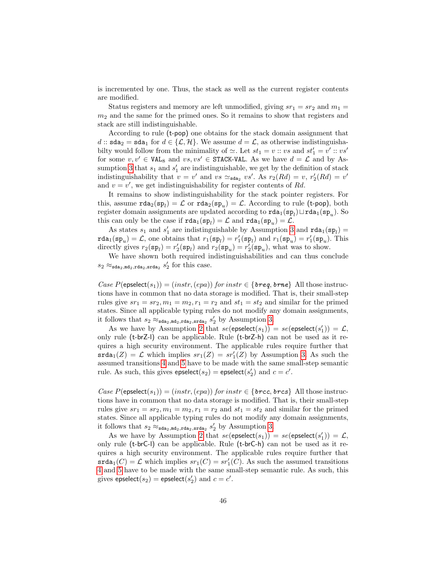is incremented by one. Thus, the stack as well as the current register contents are modified.

Status registers and memory are left unmodified, giving  $sr_1 = sr_2$  and  $m_1 =$  $m<sub>2</sub>$  and the same for the primed ones. So it remains to show that registers and stack are still indistinguishable.

According to rule (t-pop) one obtains for the stack domain assignment that d ::  $\text{sda}_2 = \text{sda}_1$  for  $d \in \{\mathcal{L}, \mathcal{H}\}\$ . We assume  $d = \mathcal{L}$ , as otherwise indistinguishabilty would follow from the minimality of  $\simeq$ . Let  $st_1 = v :: vs$  and  $st'_1 = v' :: vs'$ for some  $v, v' \in \texttt{VAL}_{8}$  and  $vs, vs' \in \texttt{STACK-VAL}$ . As we have  $d = \mathcal{L}$  and by As-sumption [3](#page-44-2) that  $s_1$  and  $s'_1$  are indistinguishable, we get by the definition of stack indistinguishability that  $v = v'$  and  $vs \simeq_{\text{sda}_2} vs'.$  As  $r_2(Rd) = v, r'_2(Rd) = v'$ and  $v = v'$ , we get indistinguishability for register contents of Rd.

It remains to show indistinguishability for the stack pointer registers. For this, assume  $\texttt{rda}_2(\texttt{sp}_l) = \mathcal{L}$  or  $\texttt{rda}_2(\texttt{sp}_u) = \mathcal{L}$ . According to rule (t-pop), both register domain assignments are updated according to  $\texttt{rda}_1(\texttt{sp}_l) \sqcup \texttt{rda}_1(\texttt{sp}_u)$ . So this can only be the case if  $\texttt{rda}_1(\texttt{sp}_l) = \mathcal{L}$  and  $\texttt{rda}_1(\texttt{sp}_u) = \mathcal{L}$ .

As states  $s_1$  and  $s'_1$  are indistinguishable by Assumption [3](#page-44-2) and  $\text{rda}_1(\text{sp}_l)$  =  $\text{rda}_1(\text{sp}_u) = \mathcal{L}$ , one obtains that  $r_1(\text{sp}_l) = r'_1(\text{sp}_l)$  and  $r_1(\text{sp}_u) = r'_1(\text{sp}_u)$ . This directly gives  $r_2(\mathbf{sp}_l) = r'_2(\mathbf{sp}_l)$  and  $r_2(\mathbf{sp}_u) = r'_2(\mathbf{sp}_u)$ , what was to show.

We have shown both required indistinguishabilities and can thus conclude  $s_2 \approx_{\text{sda}_2, \text{md}_2, \text{rda}_2, \text{srda}_2} s'_2$  for this case.

Case  $P(\mathsf{epselect}(s_1)) = (instr, (epa))$  for  $instr \in \{breg, brne\}$  All those instructions have in common that no data storage is modified. That is, their small-step rules give  $sr_1 = sr_2$ ,  $m_1 = m_2$ ,  $r_1 = r_2$  and  $st_1 = st_2$  and similar for the primed states. Since all applicable typing rules do not modify any domain assignments, it follows that  $s_2 \approx_{\text{sda}_2,\text{md}_2,\text{rda}_2,\text{srda}_2} s'_2$  by Assumption [3.](#page-44-2)

As we have by Assumption [2](#page-44-1) that  $se(\text{epselect}(s_1)) = se(\text{epselect}(s'_1)) = \mathcal{L}$ , only rule (t-brZ-l) can be applicable. Rule (t-brZ-h) can not be used as it requires a high security environment. The applicable rules require further that  $\text{srda}_1(Z) = \mathcal{L}$  which implies  $sr_1(Z) = sr'_1(Z)$  by Assumption [3.](#page-44-2) As such the assumed transitions [4](#page-44-3) and [5](#page-44-4) have to be made with the same small-step semantic rule. As such, this gives  $\mathsf{epselect}(s_2) = \mathsf{epselect}(s_2')$  and  $c = c'.$ 

Case  $P(\text{epselect}(s_1)) = (instr, (epa))$  for  $instr \in \{brec, brcs\}$  All those instructions have in common that no data storage is modified. That is, their small-step rules give  $sr_1 = sr_2$ ,  $m_1 = m_2$ ,  $r_1 = r_2$  and  $st_1 = st_2$  and similar for the primed states. Since all applicable typing rules do not modify any domain assignments, it follows that  $s_2 \approx_{\text{sda}_2,\text{md}_2,\text{rda}_2,\text{srda}_2} s'_2$  by Assumption [3.](#page-44-2)

As we have by Assumption [2](#page-44-1) that  $se(\text{epselect}(s_1)) = se(\text{epselect}(s'_1)) = \mathcal{L}$ , only rule (t-brC-l) can be applicable. Rule (t-brC-h) can not be used as it requires a high security environment. The applicable rules require further that  $\texttt{srda}_1(C) = \mathcal{L}$  which implies  $sr_1(C) = sr'_1(C)$ . As such the assumed transitions [4](#page-44-3) and [5](#page-44-4) have to be made with the same small-step semantic rule. As such, this gives  $\mathsf{epselect}(s_2) = \mathsf{epselect}(s_2')$  and  $c = c'.$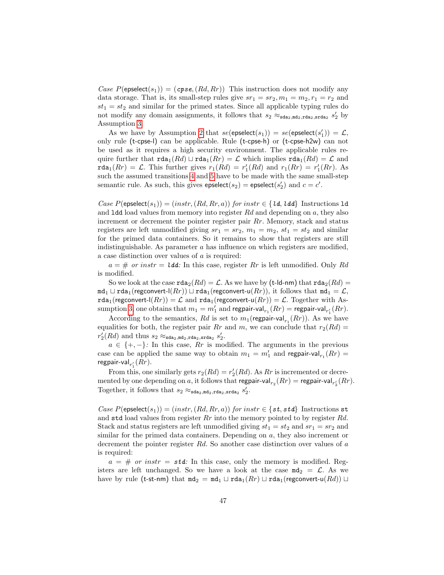Case  $P(\text{epselect}(s_1)) = (c\text{pse}, (Rd, Rr))$  This instruction does not modify any data storage. That is, its small-step rules give  $sr_1 = sr_2, m_1 = m_2, r_1 = r_2$  and  $st_1 = st_2$  and similar for the primed states. Since all applicable typing rules do not modify any domain assignments, it follows that  $s_2 \approx_{\text{sda}_2, \text{md}_2, \text{std}_2, \text{std}_2} s_2'$  by Assumption [3.](#page-44-2)

As we have by Assumption [2](#page-44-1) that  $se(\text{epselect}(s_1)) = se(\text{epselect}(s'_1)) = \mathcal{L}$ , only rule (t-cpse-l) can be applicable. Rule (t-cpse-h) or (t-cpse-h2w) can not be used as it requires a high security environment. The applicable rules require further that  $\text{rda}_1(Rd) \sqcup \text{rda}_1(Rr) = \mathcal{L}$  which implies  $\text{rda}_1(Rd) = \mathcal{L}$  and rda<sub>1</sub> $(Rr) = \mathcal{L}$ . This further gives  $r_1(Rd) = r'_1(Rd)$  and  $r_1(Rr) = r'_1(Rr)$ . As such the assumed transitions [4](#page-44-3) and [5](#page-44-4) have to be made with the same small-step semantic rule. As such, this gives  $\mathsf{epselect}(s_2) = \mathsf{epselect}(s'_2)$  and  $c = c'.$ 

Case  $P(\text{epselect}(s_1)) = (instr, (Rd, Rr, a))$  for instr  $\in \{ \text{ld}, \text{ld} \}$  Instructions 1d and **1dd** load values from memory into register  $Rd$  and depending on  $a$ , they also increment or decrement the pointer register pair Rr. Memory, stack and status registers are left unmodified giving  $sr_1 = sr_2$ ,  $m_1 = m_2$ ,  $st_1 = st_2$  and similar for the primed data containers. So it remains to show that registers are still indistinguishable. As parameter  $a$  has influence on which registers are modified, a case distinction over values of a is required:

 $a = #$  or instr = **ldd**: In this case, register Rr is left unmodified. Only Rd is modified.

So we look at the case  $\texttt{rda}_2(Rd) = \mathcal{L}$ . As we have by (t-ld-nm) that  $\texttt{rda}_2(Rd) =$  $m\texttt{d}_1 \sqcup \texttt{rda}_1(\text{regconvert-l}(Rr)) \sqcup \texttt{rda}_1(\text{regconvert-u}(Rr)),$  it follows that  $m\texttt{d}_1 = \mathcal{L}$ , rda<sub>1</sub>(regconvert-l(Rr)) =  $\mathcal L$  and rda<sub>1</sub>(regconvert-u(Rr)) =  $\mathcal L$ . Together with As-sumption [3,](#page-44-2) one obtains that  $m_1 = m'_1$  and regpair-val $_{r_1}(Rr) =$  regpair-val $_{r'_1}(Rr)$ .

According to the semantics,  $Rd$  is set to  $m_1(\text{regular-val}_{r_1}(Rr))$ . As we have equalities for both, the register pair Rr and m, we can conclude that  $r_2(Rd)$  =  $r'_2(Rd)$  and thus  $s_2 \approx_{\texttt{sda}_2,\texttt{md}_2,\texttt{rda}_2,\texttt{srda}_2} s'_2$ .

 $a \in \{+, -\}$ : In this case, Rr is modified. The arguments in the previous case can be applied the same way to obtain  $m_1 = m'_1$  and regpair-val $_{r_1}(Rr) =$ regpair-val $_{r_{1}^{\prime}}(Rr).$ 

From this, one similarly gets  $r_2(Rd) = r'_2(Rd)$ . As  $Rr$  is incremented or decremented by one depending on  $a$ , it follows that regpair-val $_{r_2}(Rr) =$  regpair-val $_{r'_2}(Rr)$ . Together, it follows that  $s_2 \approx_{\text{sda}_2,\text{md}_2,\text{rda}_2,\text{srda}_2} s_2'.$ 

Case  $P(\mathsf{epselect}(s_1)) = (instr, (Rd, Rr, a))$  for  $instr \in \{st, std\}$  Instructions st and std load values from register  $Rr$  into the memory pointed to by register  $Rd$ . Stack and status registers are left unmodified giving  $st_1 = st_2$  and  $sr_1 = sr_2$  and similar for the primed data containers. Depending on  $a$ , they also increment or decrement the pointer register Rd. So another case distinction over values of a is required:

 $a = #$  or instr = std: In this case, only the memory is modified. Registers are left unchanged. So we have a look at the case  $md_2 = \mathcal{L}$ . As we have by rule (t-st-nm) that  $md_2 = md_1 \sqcup rad_1(Rr) \sqcup rad_1(\text{regconvert-u}(Rd)) \sqcup$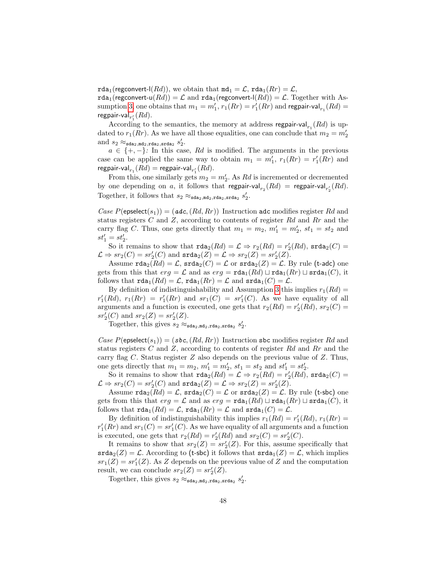rda<sub>1</sub>(regconvert-l(Rd)), we obtain that  $m d_1 = \mathcal{L}$ , rda<sub>1</sub>(Rr) =  $\mathcal{L}$ , rda<sub>1</sub>(regconvert-u( $Rd$ )) =  $\mathcal L$  and rda<sub>1</sub>(regconvert-l( $Rd$ )) =  $\mathcal L$ . Together with As-sumption [3,](#page-44-2) one obtains that  $m_1 = m'_1$ ,  $r_1(Rr) = r'_1(Rr)$  and regpair-val $_{r_1}(Rd) =$ regpair-val $_{r_{1}^{\prime}}(Rd).$ 

According to the semantics, the memory at address regpair-val $_{r_1}(Rd)$  is updated to  $r_1(Rr)$ . As we have all those equalities, one can conclude that  $m_2 = m_2'$ and  $s_2 \approx_{\texttt{sda}_2, \texttt{md}_2, \texttt{rda}_2, \texttt{srda}_2} s'_2$ .

 $a \in \{+, -\}$ : In this case, Rd is modified. The arguments in the previous case can be applied the same way to obtain  $m_1 = m'_1$ ,  $r_1(Rr) = r'_1(Rr)$  and regpair-val $_{r_1}(Rd) =$  regpair-val $_{r'_1}(Rd)$ .

From this, one similarly gets  $m_2 = m'_2$ . As Rd is incremented or decremented by one depending on a, it follows that regpair-val $_{r_2}(Rd) = \text{regular-val}_{r_2'}(Rd)$ . Together, it follows that  $s_2 \approx_{\text{sda}_2,\text{md}_2,\text{rda}_2,\text{srda}_2} s_2'$ .

Case  $P(\text{epselect}(s_1)) = (adc, (Rd, Rr))$  Instruction adc modifies register Rd and status registers  $C$  and  $Z$ , according to contents of register  $Rd$  and  $Rr$  and the carry flag C. Thus, one gets directly that  $m_1 = m_2$ ,  $m'_1 = m'_2$ ,  $st_1 = st_2$  and  $st'_1 = st'_2.$ 

So it remains to show that  $\text{rda}_2(Rd) = \mathcal{L} \Rightarrow r_2(Rd) = r'_2(Rd)$ ,  $\text{srda}_2(C) =$  $\mathcal{L} \Rightarrow sr_2(C) = sr'_2(C)$  and  $\texttt{srda}_2(Z) = \mathcal{L} \Rightarrow sr_2(Z) = sr'_2(Z).$ 

Assume  $\texttt{rda}_2(Rd) = \mathcal{L}$ ,  $\texttt{srda}_2(C) = \mathcal{L}$  or  $\texttt{srda}_2(Z) = \mathcal{L}$ . By rule (t-adc) one gets from this that  $erg = \mathcal{L}$  and as  $erg = \text{rda}_{1}(Rd) \sqcup \text{rda}_{1}(Rr) \sqcup \text{srda}_{1}(C)$ , it follows that  $\text{rda}_1(Rd) = \mathcal{L}$ ,  $\text{rda}_1(Rr) = \mathcal{L}$  and  $\text{srda}_1(C) = \mathcal{L}$ .

By definition of indistinguishability and Assumption [3](#page-44-2) this implies  $r_1(Rd)$  =  $r'_1(Rd)$ ,  $r_1(Rr) = r'_1(Rr)$  and  $sr_1(C) = sr'_1(C)$ . As we have equality of all arguments and a function is executed, one gets that  $r_2(Rd) = r'_2(Rd)$ ,  $sr_2(C) =$  $sr'_2(C)$  and  $sr_2(Z) = sr'_2(Z)$ .

Together, this gives  $s_2 \approx_{\text{sda}_2, \text{mda}_2, \text{rda}_2, \text{srda}_2} s_2'$ .

Case  $P(\text{epselect}(s_1)) = (sbc, (Rd, Rr))$  Instruction sbc modifies register Rd and status registers  $C$  and  $Z$ , according to contents of register  $Rd$  and  $Rr$  and the carry flag C. Status register Z also depends on the previous value of Z. Thus, one gets directly that  $m_1 = m_2, m'_1 = m'_2, st_1 = st_2$  and  $st'_1 = st'_2$ .

So it remains to show that  $\text{rda}_2(Rd) = \mathcal{L} \Rightarrow r_2(Rd) = r'_2(Rd)$ ,  $\text{srda}_2(C) =$  $\mathcal{L} \Rightarrow sr_2(C) = sr'_2(C)$  and  $\texttt{srda}_2(Z) = \mathcal{L} \Rightarrow sr_2(Z) = sr'_2(Z).$ 

Assume  $\text{rda}_2(Rd) = \mathcal{L}$ ,  $\text{srda}_2(C) = \mathcal{L}$  or  $\text{srda}_2(Z) = \mathcal{L}$ . By rule (t-sbc) one gets from this that  $erg = \mathcal{L}$  and as  $erg = \text{rda}_1(Rd) \sqcup \text{rda}_1(Rr) \sqcup \text{srda}_1(C)$ , it follows that  $\text{rda}_1(Rd) = \mathcal{L}$ ,  $\text{rda}_1(Rr) = \mathcal{L}$  and  $\text{srda}_1(C) = \mathcal{L}$ .

By definition of indistinguishability this implies  $r_1(Rd) = r'_1(Rd)$ ,  $r_1(Rr) =$  $r'_{1}(Rr)$  and  $sr_{1}(C) = sr'_{1}(C)$ . As we have equality of all arguments and a function is executed, one gets that  $r_2(Rd) = r'_2(Rd)$  and  $sr_2(C) = sr'_2(C)$ .

It remains to show that  $sr_2(Z) = sr'_2(Z)$ . For this, assume specifically that  $\texttt{srda}_2(Z) = \mathcal{L}$ . According to (t-sbc) it follows that  $\texttt{srda}_1(Z) = \mathcal{L}$ , which implies  $sr_1(Z) = sr'_1(Z)$ . As Z depends on the previous value of Z and the computation result, we can conclude  $sr_2(Z) = sr'_2(Z)$ .

Together, this gives  $s_2 \approx_{\text{sda}_2, \text{mda}_2, \text{rda}_2, \text{srda}_2} s_2'$ .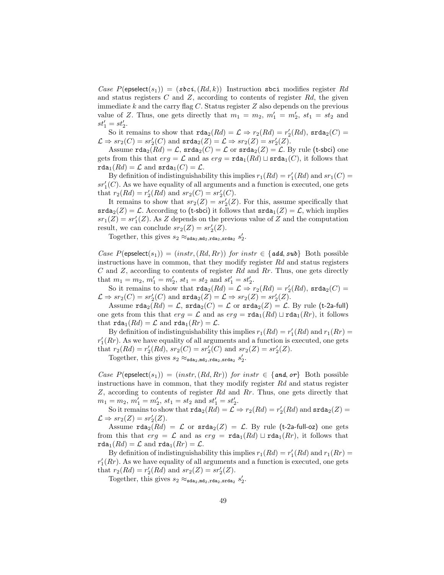Case  $P(\text{epselect}(s_1)) = (sbci, (Rd, k))$  Instruction sbci modifies register Rd and status registers  $C$  and  $Z$ , according to contents of register  $Rd$ , the given immediate  $k$  and the carry flag  $C$ . Status register  $Z$  also depends on the previous value of Z. Thus, one gets directly that  $m_1 = m_2$ ,  $m'_1 = m'_2$ ,  $st_1 = st_2$  and  $st'_1 = st'_2.$ 

So it remains to show that  $\text{rda}_2(Rd) = \mathcal{L} \Rightarrow r_2(Rd) = r'_2(Rd)$ ,  $\text{srda}_2(C) =$  $\mathcal{L} \Rightarrow sr_2(C) = sr'_2(C)$  and  $\texttt{srda}_2(Z) = \mathcal{L} \Rightarrow sr_2(Z) = sr'_2(Z).$ 

Assume  $\texttt{rda}_2(Rd) = \mathcal{L}$ ,  $\texttt{srda}_2(C) = \mathcal{L}$  or  $\texttt{srda}_2(Z) = \mathcal{L}$ . By rule (t-sbci) one gets from this that  $erg = \mathcal{L}$  and as  $erg = \text{rda}_{1}(Rd) \sqcup \text{srda}_{1}(C)$ , it follows that  $\texttt{rda}_1(Rd) = \mathcal{L}$  and  $\texttt{srda}_1(C) = \mathcal{L}$ .

By definition of indistinguishability this implies  $r_1(Rd) = r'_1(Rd)$  and  $sr_1(C) =$  $sr_1^\prime(\mathbb{C}).$  As we have equality of all arguments and a function is executed, one gets that  $r_2(Rd) = r'_2(Rd)$  and  $sr_2(C) = sr'_2(C)$ .

It remains to show that  $sr_2(Z) = sr'_2(Z)$ . For this, assume specifically that  $\texttt{srda}_2(Z) = \mathcal{L}$ . According to (t-sbci) it follows that  $\texttt{srda}_1(Z) = \mathcal{L}$ , which implies  $sr_1(Z) = sr'_1(Z)$ . As Z depends on the previous value of Z and the computation result, we can conclude  $sr_2(Z) = sr'_2(Z)$ .

Together, this gives  $s_2 \approx_{\text{sda}_2, \text{md}_2, \text{rda}_2, \text{srda}_2} s_2'$ .

Case  $P(\mathsf{epselect}(s_1)) = (instr, (Rd, Rr))$  for  $instr \in \{add, sub\}$  Both possible instructions have in common, that they modify register  $Rd$  and status registers  $C$  and  $Z$ , according to contents of register  $Rd$  and  $Rr$ . Thus, one gets directly that  $m_1 = m_2$ ,  $m'_1 = m'_2$ ,  $st_1 = st_2$  and  $st'_1 = st'_2$ .

So it remains to show that  $\text{rda}_2(Rd) = \mathcal{L} \Rightarrow r_2(Rd) = r'_2(Rd)$ ,  $\text{srda}_2(C) =$  $\mathcal{L} \Rightarrow sr_2(C) = sr'_2(C)$  and  $\texttt{srda}_2(Z) = \mathcal{L} \Rightarrow sr_2(Z) = sr'_2(Z).$ 

Assume  $\texttt{rda}_2(Rd) = \mathcal{L}$ ,  $\texttt{srda}_2(C) = \mathcal{L}$  or  $\texttt{srda}_2(Z) = \mathcal{L}$ . By rule (t-2a-full) one gets from this that  $erg = \mathcal{L}$  and as  $erg = \text{rda}_1(Rd) \sqcup \text{rda}_1(Rr)$ , it follows that  $\texttt{rda}_1(Rd) = \mathcal{L}$  and  $\texttt{rda}_1(Rr) = \mathcal{L}$ .

By definition of indistinguishability this implies  $r_1(Rd) = r'_1(Rd)$  and  $r_1(Rr) =$  $r'_{1}(Rr)$ . As we have equality of all arguments and a function is executed, one gets that  $r_2(Rd) = r'_2(Rd), sr_2(C) = sr'_2(C)$  and  $sr_2(Z) = sr'_2(Z)$ .

Together, this gives  $s_2 \approx_{\text{sda}_2, \text{mda}_2, \text{rda}_2, \text{srda}_2} s_2'$ .

Case  $P(\mathsf{epselect}(s_1)) = (instr, (Rd, Rr))$  for  $instr \in \{and, or\}$  Both possible instructions have in common, that they modify register Rd and status register  $Z$ , according to contents of register  $Rd$  and  $Rr$ . Thus, one gets directly that  $m_1 = m_2, m'_1 = m'_2, st_1 = st_2 \text{ and } st'_1 = st'_2.$ 

So it remains to show that  $\texttt{rda}_2(Rd) = \mathcal{L} \Rightarrow r_2(Rd) = r'_2(Rd)$  and  $\texttt{srda}_2(Z) = r'_2(Rd)$  $\mathcal{L} \Rightarrow sr_2(Z) = sr'_2(Z).$ 

Assume  $\text{rda}_2(Rd) = \mathcal{L}$  or  $\text{srda}_2(Z) = \mathcal{L}$ . By rule (t-2a-full-oz) one gets from this that  $erg = \mathcal{L}$  and as  $erg = \text{rda}_1(Rd) \sqcup \text{rda}_1(Rr)$ , it follows that  $rda_1(Rd) = \mathcal{L}$  and  $rda_1(Rr) = \mathcal{L}$ .

By definition of indistinguishability this implies  $r_1(Rd) = r'_1(Rd)$  and  $r_1(Rr) =$  $r'_{1}(Rr)$ . As we have equality of all arguments and a function is executed, one gets that  $r_2(Rd) = r'_2(Rd)$  and  $sr_2(Z) = sr'_2(Z)$ .

Together, this gives  $s_2 \approx_{\text{sda}_2, \text{mda}_2, \text{rda}_2, \text{srda}_2} s_2'$ .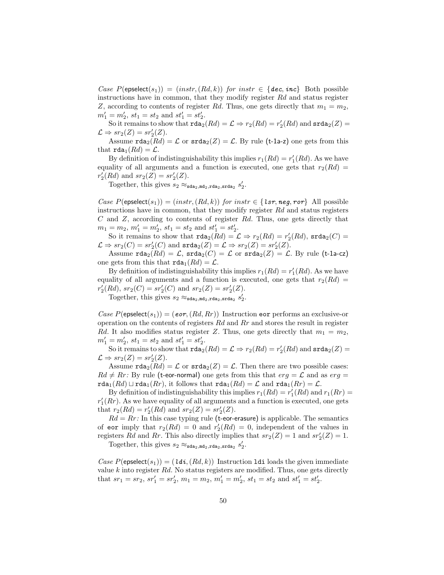Case  $P(\text{epselect}(s_1)) = (instr, (Rd, k))$  for instr  $\in \{dec, inc\}$  Both possible instructions have in common, that they modify register  $Rd$  and status register Z, according to contents of register Rd. Thus, one gets directly that  $m_1 = m_2$ ,  $m'_1 = m'_2, st_1 = st_2 \text{ and } st'_1 = st'_2.$ 

So it remains to show that  $\texttt{rda}_2(Rd) = \mathcal{L} \Rightarrow r_2(Rd) = r'_2(Rd)$  and  $\texttt{srda}_2(Z) = r'_2(Rd)$  $\mathcal{L} \Rightarrow sr_2(Z) = sr'_2(Z).$ 

Assume  $\text{rda}_2(Rd) = \mathcal{L}$  or  $\text{srda}_2(Z) = \mathcal{L}$ . By rule (t-1a-z) one gets from this that  $\text{rda}_1(Rd) = \mathcal{L}$ .

By definition of indistinguishability this implies  $r_1(Rd) = r'_1(Rd)$ . As we have equality of all arguments and a function is executed, one gets that  $r_2(Rd)$  $r'_2(Rd)$  and  $sr_2(Z) = sr'_2(Z)$ .

Together, this gives  $s_2 \approx_{\text{sda}_2, \text{md}_2, \text{rda}_2, \text{srda}_2} s_2'$ .

Case  $P(\mathsf{epselect}(s_1)) = (instr, (Rd, k))$  for  $instr \in \{lsr, neg, ror\}$  All possible instructions have in common, that they modify register  $Rd$  and status registers  $C$  and  $Z$ , according to contents of register  $Rd$ . Thus, one gets directly that  $m_1 = m_2, m'_1 = m'_2, st_1 = st_2 \text{ and } st'_1 = st'_2.$ 

So it remains to show that  $\text{rda}_2(Rd) = \mathcal{L} \Rightarrow r_2(Rd) = r'_2(Rd)$ ,  $\text{srda}_2(C) =$  $\mathcal{L} \Rightarrow sr_2(C) = sr'_2(C)$  and  $\texttt{srda}_2(Z) = \mathcal{L} \Rightarrow sr_2(Z) = sr'_2(Z).$ 

Assume  $\text{rda}_2(Rd) = \mathcal{L}$ ,  $\text{srda}_2(C) = \mathcal{L}$  or  $\text{srda}_2(Z) = \mathcal{L}$ . By rule (t-1a-cz) one gets from this that  $\text{rda}_1(Rd) = \mathcal{L}$ .

By definition of indistinguishability this implies  $r_1(Rd) = r'_1(Rd)$ . As we have equality of all arguments and a function is executed, one gets that  $r_2(Rd)$  $r'_2(Rd), sr_2(C) = sr'_2(C)$  and  $sr_2(Z) = sr'_2(Z)$ .

Together, this gives  $s_2 \approx_{\text{sda}_2, \text{mda}_2, \text{rda}_2, \text{srda}_2} s_2'$ .

Case  $P(\text{epselect}(s_1)) = (\text{eor}, (Rd, Rr))$  Instruction eor performs an exclusive-or operation on the contents of registers  $Rd$  and  $Rr$  and stores the result in register Rd. It also modifies status register Z. Thus, one gets directly that  $m_1 = m_2$ ,  $m'_1 = m'_2, st_1 = st_2 \text{ and } st'_1 = st'_2.$ 

So it remains to show that  $\texttt{rda}_2(Rd) = \mathcal{L} \Rightarrow r_2(Rd) = r'_2(Rd)$  and  $\texttt{srda}_2(Z) = r'_2(Rd)$  $\mathcal{L} \Rightarrow sr_2(Z) = sr'_2(Z).$ 

Assume  $\text{rda}_2(Rd) = \mathcal{L}$  or  $\text{srda}_2(Z) = \mathcal{L}$ . Then there are two possible cases:  $Rd \neq Rr$ : By rule (t-eor-normal) one gets from this that  $erg = \mathcal{L}$  and as  $erg =$ rda<sub>1</sub>(Rd)  $\sqcup$  rda<sub>1</sub>(Rr), it follows that rda<sub>1</sub>(Rd) =  $\mathcal{L}$  and rda<sub>1</sub>(Rr) =  $\mathcal{L}$ .

By definition of indistinguishability this implies  $r_1(Rd) = r'_1(Rd)$  and  $r_1(Rr) =$  $r'_{1}(Rr)$ . As we have equality of all arguments and a function is executed, one gets that  $r_2(Rd) = r'_2(Rd)$  and  $sr_2(Z) = sr'_2(Z)$ .

 $Rd = Rr$ : In this case typing rule (t-eor-erasure) is applicable. The semantics of eor imply that  $r_2(Rd) = 0$  and  $r'_2(Rd) = 0$ , independent of the values in registers Rd and Rr. This also directly implies that  $sr_2(Z) = 1$  and  $sr'_2(Z) = 1$ .

Together, this gives  $s_2 \approx_{\text{sda}_2, \text{md}_2, \text{rda}_2, \text{srda}_2} s_2'$ .

Case  $P(\text{epselect}(s_1)) = (ld\mathbf{i},(Rd,k))$  Instruction ldi loads the given immediate value  $k$  into register  $Rd$ . No status registers are modified. Thus, one gets directly that  $sr_1 = sr_2$ ,  $sr'_1 = sr'_2$ ,  $m_1 = m_2$ ,  $m'_1 = m'_2$ ,  $st_1 = st_2$  and  $st'_1 = st'_2$ .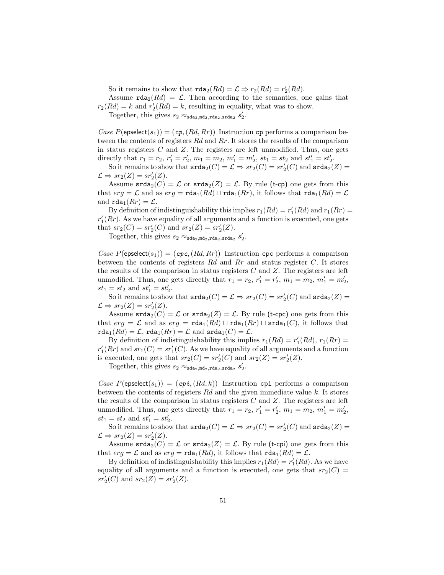So it remains to show that  $\text{rda}_2(Rd) = \mathcal{L} \Rightarrow r_2(Rd) = r'_2(Rd)$ .

Assume  $\texttt{rda}_2(Rd) = \mathcal{L}$ . Then according to the semantics, one gains that  $r_2(Rd) = k$  and  $r'_2(Rd) = k$ , resulting in equality, what was to show.

Together, this gives  $s_2 \approx_{\text{sda}_2, \text{md}_2, \text{rda}_2, \text{srda}_2} s_2'$ .

Case  $P(\text{epselect}(s_1)) = (c\mathbf{p}, (Rd, Rr))$  Instruction  $c\mathbf{p}$  performs a comparison between the contents of registers Rd and Rr. It stores the results of the comparison in status registers  $C$  and  $Z$ . The registers are left unmodified. Thus, one gets directly that  $r_1 = r_2$ ,  $r'_1 = r'_2$ ,  $m_1 = m_2$ ,  $m'_1 = m'_2$ ,  $st_1 = st_2$  and  $st'_1 = st'_2$ .

So it remains to show that  $\texttt{srda}_2(C) = \mathcal{L} \Rightarrow sr_2(C) = sr'_2(C)$  and  $\texttt{srda}_2(Z) =$  $\mathcal{L} \Rightarrow sr_2(Z) = sr'_2(Z).$ 

Assume  $\text{stad}_2(C) = \mathcal{L}$  or  $\text{stad}_2(Z) = \mathcal{L}$ . By rule (t-cp) one gets from this that  $erg = \mathcal{L}$  and as  $erg = \text{rda}_1(Rd) \sqcup \text{rda}_1(Rr)$ , it follows that  $\text{rda}_1(Rd) = \mathcal{L}$ and  $\text{rda}_1(Rr) = \mathcal{L}$ .

By definition of indistinguishability this implies  $r_1(Rd) = r'_1(Rd)$  and  $r_1(Rr) =$  $r'_{1}(Rr)$ . As we have equality of all arguments and a function is executed, one gets that  $sr_2(C) = sr'_2(C)$  and  $sr_2(Z) = sr'_2(Z)$ .

Together, this gives  $s_2 \approx_{\text{sda}_2, \text{mda}_2, \text{rda}_2, \text{srda}_2} s_2'$ .

Case  $P(\mathsf{epselect}(s_1)) = (\mathsf{cpc},(Rd,Rr))$  Instruction cpc performs a comparison between the contents of registers  $Rd$  and  $Rr$  and status register C. It stores the results of the comparison in status registers  $C$  and  $Z$ . The registers are left unmodified. Thus, one gets directly that  $r_1 = r_2$ ,  $r'_1 = r'_2$ ,  $m_1 = m_2$ ,  $m'_1 = m'_2$ ,  $st_1 = st_2$  and  $st'_1 = st'_2$ .

So it remains to show that  $\texttt{srda}_2(C) = \mathcal{L} \Rightarrow sr_2(C) = sr'_2(C)$  and  $\texttt{srda}_2(Z) =$  $\mathcal{L} \Rightarrow sr_2(Z) = sr'_2(Z).$ 

Assume  $\text{stad}_2(C) = \mathcal{L}$  or  $\text{stad}_2(Z) = \mathcal{L}$ . By rule (t-cpc) one gets from this that  $erg = \mathcal{L}$  and as  $erg = \text{rda}_1(Rd) \sqcup \text{rda}_1(Rr) \sqcup \text{srda}_1(C)$ , it follows that  $\texttt{rda}_1(Rd) = \mathcal{L}, \texttt{rda}_1(Rr) = \mathcal{L} \text{ and } \texttt{srda}_1(C) = \mathcal{L}.$ 

By definition of indistinguishability this implies  $r_1(Rd) = r'_1(Rd)$ ,  $r_1(Rr) =$  $r'_{1}(Rr)$  and  $sr_{1}(C) = sr'_{1}(C)$ . As we have equality of all arguments and a function is executed, one gets that  $sr_2(C) = sr'_2(C)$  and  $sr_2(Z) = sr'_2(Z)$ .

Together, this gives  $s_2 \approx_{\text{sda}_2, \text{md}_2, \text{rda}_2, \text{srda}_2} s_2'$ .

Case  $P(\mathsf{epselect}(s_1)) = (cp\mathbf{i}, (Rd, k))$  Instruction cpi performs a comparison between the contents of registers  $Rd$  and the given immediate value k. It stores the results of the comparison in status registers  $C$  and  $Z$ . The registers are left unmodified. Thus, one gets directly that  $r_1 = r_2$ ,  $r'_1 = r'_2$ ,  $m_1 = m_2$ ,  $m'_1 = m'_2$ ,  $st_1 = st_2$  and  $st'_1 = st'_2$ .

So it remains to show that  $\texttt{srda}_2(C) = \mathcal{L} \Rightarrow sr_2(C) = sr'_2(C)$  and  $\texttt{srda}_2(Z) =$  $\mathcal{L} \Rightarrow sr_2(Z) = sr'_2(Z).$ 

Assume  $\text{srda}_2(C) = \mathcal{L}$  or  $\text{srda}_2(Z) = \mathcal{L}$ . By rule (t-cpi) one gets from this that  $erg = \mathcal{L}$  and as  $erg = \text{rda}_1(Rd)$ , it follows that  $\text{rda}_1(Rd) = \mathcal{L}$ .

By definition of indistinguishability this implies  $r_1(Rd) = r'_1(Rd)$ . As we have equality of all arguments and a function is executed, one gets that  $sr_2(C)$  =  $sr'_2(C)$  and  $sr_2(Z) = sr'_2(Z)$ .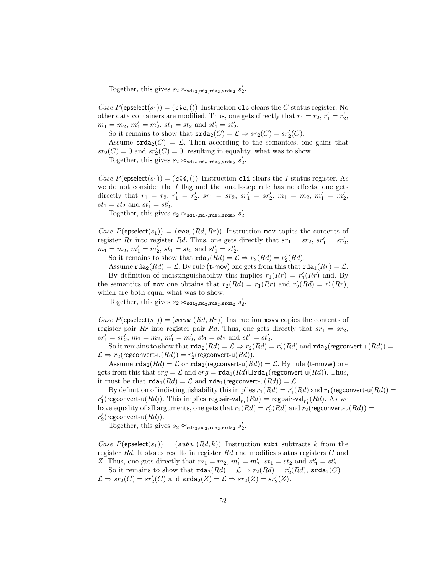Together, this gives  $s_2 \approx_{\text{sda}_2, \text{md}_2, \text{rda}_2, \text{srda}_2} s_2'$ .

Case  $P(\text{epselect}(s_1)) = (c l c, ()$  Instruction clc clears the C status register. No other data containers are modified. Thus, one gets directly that  $r_1 = r_2, r_1' = r_2'$ ,  $m_1 = m_2, m'_1 = m'_2, st_1 = st_2 \text{ and } st'_1 = st'_2.$ 

So it remains to show that  $\text{srda}_2(C) = \mathcal{L} \Rightarrow sr_2(C) = sr'_2(C)$ .

Assume  $\text{stad}_2(C) = \mathcal{L}$ . Then according to the semantics, one gains that  $sr_2(C) = 0$  and  $sr'_2(C) = 0$ , resulting in equality, what was to show.

Together, this gives  $s_2 \approx_{\text{sda}_2, \text{md}_2, \text{rda}_2, \text{srda}_2} s_2'$ .

Case  $P(\text{epselect}(s_1)) = (cli, ()$  Instruction cli clears the I status register. As we do not consider the  $I$  flag and the small-step rule has no effects, one gets directly that  $r_1 = r_2$ ,  $r'_1 = r'_2$ ,  $sr_1 = sr_2$ ,  $sr'_1 = sr'_2$ ,  $m_1 = m_2$ ,  $m'_1 = m'_2$ ,  $st_1 = st_2$  and  $st'_1 = st'_2$ .

Together, this gives  $s_2 \approx_{\text{sda}_2, \text{mda}_2, \text{rda}_2, \text{srda}_2} s_2'$ .

Case  $P(\mathsf{epselect}(s_1)) = (mov, (Rd, Rr))$  Instruction mov copies the contents of register Rr into register Rd. Thus, one gets directly that  $sr_1 = sr_2$ ,  $sr'_1 = sr'_2$ ,  $m_1 = m_2, m'_1 = m'_2, st_1 = st_2 \text{ and } st'_1 = st'_2.$ 

So it remains to show that  $\text{rda}_2(Rd) = \mathcal{L} \Rightarrow r_2(Rd) = r'_2(Rd)$ .

Assume  $\texttt{rda}_2(Rd) = \mathcal{L}$ . By rule (t-mov) one gets from this that  $\texttt{rda}_1(Rr) = \mathcal{L}$ .

By definition of indistinguishability this implies  $r_1(Rr) = r'_1(Rr)$  and. By the semantics of mov one obtains that  $r_2(Rd) = r_1(Rr)$  and  $r'_2(Rd) = r'_1(Rr)$ , which are both equal what was to show.

Together, this gives  $s_2 \approx_{\text{sda}_2, \text{mda}_2, \text{rda}_2, \text{srda}_2} s_2'$ .

Case  $P(\mathsf{epselect}(s_1)) = (mow, (Rd, Rr))$  Instruction movw copies the contents of register pair Rr into register pair Rd. Thus, one gets directly that  $sr_1 = sr_2$ ,  $sr'_1 = sr'_2, m_1 = m_2, m'_1 = m'_2, st_1 = st_2 \text{ and } st'_1 = st'_2.$ 

So it remains to show that  $\texttt{rda}_2(Rd) = \mathcal{L} \Rightarrow r_2(Rd) = r'_2(Rd)$  and  $\texttt{rda}_2(\text{regconvert-u}(Rd)) =$  $\mathcal{L} \Rightarrow r_2(\mathsf{regconvert}\text{-}\mathsf{u}(Rd)) = r'_2(\mathsf{regconvert}\text{-}\mathsf{u}(Rd)).$ 

Assume  $\texttt{rda}_2(Rd) = \mathcal{L}$  or  $\texttt{rda}_2(\text{regconvert-u}(Rd)) = \mathcal{L}$ . By rule (t-movw) one gets from this that  $erg = \mathcal{L}$  and  $erg = \text{rda}_1(Rd) \sqcup \text{rda}_1(\text{regconvert-u}(Rd))$ . Thus, it must be that  $\text{rda}_1(Rd) = \mathcal{L}$  and  $\text{rda}_1(\text{regconvert-u}(Rd)) = \mathcal{L}$ .

By definition of indistinguishability this implies  $r_1(Rd) = r'_1(Rd)$  and  $r_1$  (regconvert-u $(Rd)$ ) =  $r'_1$ (regconvert-u $(Rd)$ ). This implies regpair-val $_{r_1}(Rd) =$  regpair-val $_{r'_1}(Rd)$ . As we have equality of all arguments, one gets that  $r_2(Rd) = r'_2(Rd)$  and  $r_2(\mathsf{regconvert-u}(Rd)) =$  $r'_2$ (regconvert-u $(Rd)$ ).

Together, this gives  $s_2 \approx_{\text{sda}_2, \text{md}_2, \text{rda}_2, \text{srda}_2} s_2'$ .

Case  $P(\text{epselect}(s_1)) = (subi, (Rd, k))$  Instruction subi subtracts k from the register Rd. It stores results in register Rd and modifies status registers C and Z. Thus, one gets directly that  $m_1 = m_2$ ,  $m'_1 = m'_2$ ,  $st_1 = st_2$  and  $st'_1 = st'_2$ .

So it remains to show that  $\text{rda}_2(Rd) = \mathcal{L} \Rightarrow r_2(Rd) = r'_2(Rd)$ ,  $\text{srda}_2(C) =$  $\mathcal{L} \Rightarrow sr_2(C) = sr'_2(C)$  and  $\texttt{srda}_2(Z) = \mathcal{L} \Rightarrow sr_2(Z) = sr'_2(Z).$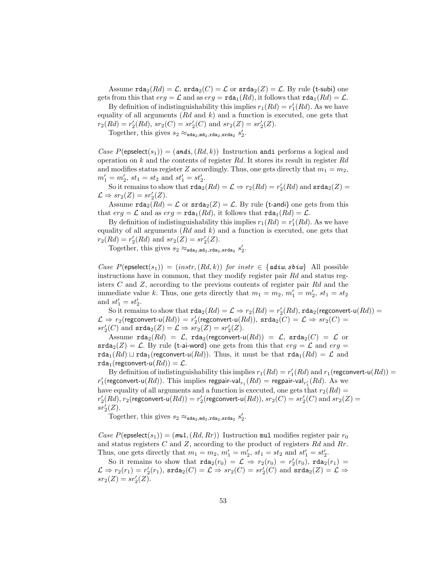Assume  $\text{rda}_2(Rd) = \mathcal{L}$ ,  $\text{rda}_2(C) = \mathcal{L}$  or  $\text{rada}_2(Z) = \mathcal{L}$ . By rule (t-subi) one gets from this that  $erg = \mathcal{L}$  and as  $erg = \text{rda}_1(Rd)$ , it follows that  $\text{rda}_1(Rd) = \mathcal{L}$ .

By definition of indistinguishability this implies  $r_1(Rd) = r'_1(Rd)$ . As we have equality of all arguments  $(Rd \text{ and } k)$  and a function is executed, one gets that  $r_2(Rd) = r'_2(Rd), sr_2(C) = sr'_2(C) \text{ and } sr_2(Z) = sr'_2(Z).$ 

Together, this gives  $s_2 \approx_{\text{sda}_2, \text{md}_2, \text{rda}_2, \text{srda}_2} s_2'$ .

Case  $P(\text{epselect}(s_1)) = (and i, (Rd, k))$  Instruction andi performs a logical and operation on k and the contents of register  $Rd$ . It stores its result in register  $Rd$ and modifies status register Z accordingly. Thus, one gets directly that  $m_1 = m_2$ ,  $m'_1 = m'_2, st_1 = st_2 \text{ and } st'_1 = st'_2.$ 

So it remains to show that  $\texttt{rda}_2(Rd) = \mathcal{L} \Rightarrow r_2(Rd) = r'_2(Rd)$  and  $\texttt{srda}_2(Z) = r'_2(Rd)$  $\mathcal{L} \Rightarrow sr_2(Z) = sr'_2(Z).$ 

Assume  $\text{rda}_2(Rd) = \mathcal{L}$  or  $\text{srda}_2(Z) = \mathcal{L}$ . By rule (t-andi) one gets from this that  $erg = \mathcal{L}$  and as  $erg = \text{rda}_1(Rd)$ , it follows that  $\text{rda}_1(Rd) = \mathcal{L}$ .

By definition of indistinguishability this implies  $r_1(Rd) = r'_1(Rd)$ . As we have equality of all arguments  $(Rd \text{ and } k)$  and a function is executed, one gets that  $r_2(Rd) = r'_2(Rd)$  and  $sr_2(Z) = sr'_2(Z)$ .

Together, this gives  $s_2 \approx_{\text{sda}_2, \text{mda}_2, \text{rda}_2, \text{srda}_2} s_2'$ .

Case  $P(\mathsf{epselect}(s_1)) = (instr, (Rd, k))$  for  $instr \in \{adiw, sbiw\}$  All possible instructions have in common, that they modify register pair Rd and status registers C and Z, according to the previous contents of register pair Rd and the immediate value k. Thus, one gets directly that  $m_1 = m_2$ ,  $m'_1 = m'_2$ ,  $st_1 = st_2$ and  $st_1' = st_2'.$ 

So it remains to show that  $\texttt{rda}_2(Rd) = \mathcal{L} \Rightarrow r_2(Rd) = r'_2(Rd)$ ,  $\texttt{rda}_2(\text{regconvert-u}(Rd)) =$  $\mathcal{L} \Rightarrow r_2(\mathsf{regconvert-u}(Rd)) = r'_2(\mathsf{regconvert-u}(Rd)), \, \mathsf{srda}_2(C) = \mathcal{L} \Rightarrow sr_2(C) =$  $sr'_2(C)$  and  $\texttt{srda}_2(Z) = \mathcal{L} \Rightarrow sr_2(Z) = sr'_2(Z).$ 

Assume  $\texttt{rda}_2(Rd) = \mathcal{L}$ ,  $\texttt{rda}_2(\text{regconvert-u}(Rd)) = \mathcal{L}$ ,  $\texttt{srda}_2(C) = \mathcal{L}$  or  $\texttt{srda}_2(Z) = \mathcal{L}$ . By rule (t-ai-word) one gets from this that  $erg = \mathcal{L}$  and  $erg =$ rda<sub>1</sub>(Rd)  $\sqcup$  rda<sub>1</sub>(regconvert-u(Rd)). Thus, it must be that rda<sub>1</sub>(Rd) =  $\mathcal{L}$  and  $\texttt{rda}_1(\text{regconvert-u}(Rd)) = \mathcal{L}.$ 

By definition of indistinguishability this implies  $r_1(Rd) = r'_1(Rd)$  and  $r_1$  (regconvert-u $(Rd)$ ) =  $r'_1$ (regconvert-u $(Rd)$ ). This implies regpair-val $_{r_1}(Rd)$  = regpair-val $_{r'_1}(Rd)$ . As we have equality of all arguments and a function is executed, one gets that  $r_2(Rd) =$  $r'_2(Rd), r_2(\mathsf{regconvert-u}(Rd)) = r'_2(\mathsf{regconvert-u}(Rd)), s r_2(C) = s r'_2(C) \text{ and } s r_2(Z) =$  $sr'_2(Z)$ .

Together, this gives  $s_2 \approx_{\text{sda}_2, \text{md}_2, \text{rda}_2, \text{srda}_2} s_2'$ .

Case  $P(\text{epselect}(s_1)) = (mu, (Rd, Rr))$  Instruction mul modifies register pair  $r_0$ and status registers  $C$  and  $Z$ , according to the product of registers  $Rd$  and  $Rr$ . Thus, one gets directly that  $m_1 = m_2$ ,  $m'_1 = m'_2$ ,  $st_1 = st_2$  and  $st'_1 = st'_2$ .

So it remains to show that  $\text{rda}_2(r_0) = \mathcal{L} \Rightarrow r_2(r_0) = r'_2(r_0)$ ,  $\text{rda}_2(r_1) =$  $\mathcal{L} \Rightarrow r_2(r_1) = r_2'(r_1)$ ,  $\texttt{srda}_2(C) = \mathcal{L} \Rightarrow sr_2(C) = sr_2'(C)$  and  $\texttt{srda}_2(Z) = \mathcal{L} \Rightarrow$  $sr_2(Z) = sr'_2(Z).$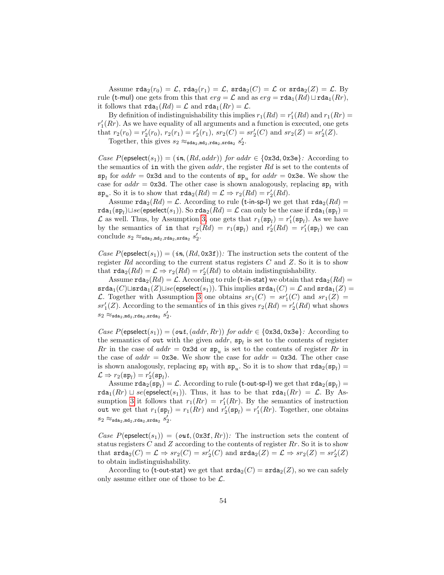Assume  $\text{rda}_2(r_0) = \mathcal{L}$ ,  $\text{rda}_2(r_1) = \mathcal{L}$ ,  $\text{srda}_2(C) = \mathcal{L}$  or  $\text{srda}_2(Z) = \mathcal{L}$ . By rule (t-mul) one gets from this that  $erg = \mathcal{L}$  and as  $erg = \text{rda}_1(Rd) \sqcup \text{rda}_1(Rr)$ , it follows that  $\text{rda}_1(Rd) = \mathcal{L}$  and  $\text{rda}_1(Rr) = \mathcal{L}$ .

By definition of indistinguishability this implies  $r_1(Rd) = r'_1(Rd)$  and  $r_1(Rr) =$  $r'_{1}(Rr)$ . As we have equality of all arguments and a function is executed, one gets that  $r_2(r_0) = r'_2(r_0)$ ,  $r_2(r_1) = r'_2(r_1)$ ,  $sr_2(C) = sr'_2(C)$  and  $sr_2(Z) = sr'_2(Z)$ .

Together, this gives  $s_2 \approx_{\text{sda}_2, \text{mda}_2, \text{rda}_2, \text{srda}_2} s_2'$ .

Case  $P(\mathsf{epselect}(s_1)) = (\mathbf{in}, (Rd, addr))$  for addr  $\in \{0x3d, 0x3e\}$ : According to the semantics of in with the given  $addr$ , the register  $Rd$  is set to the contents of  $\mathbf{sp}_l$  for  $addr = 0 \times 3d$  and to the contents of  $\mathbf{sp}_u$  for  $addr = 0 \times 3e$ . We show the case for  $addr = 0x3d$ . The other case is shown analogously, replacing  $sp<sub>l</sub>$  with  $\mathbf{sp}_u$ . So it is to show that  $\texttt{rda}_2(Rd) = \mathcal{L} \Rightarrow r_2(Rd) = r'_2(Rd)$ .

Assume  $\texttt{rda}_2(Rd) = \mathcal{L}$ . According to rule (t-in-sp-l) we get that  $\texttt{rda}_2(Rd) =$  $\texttt{rda}_1(\texttt{sp}_l) \sqcup se(\textsf{epselect}(s_1)).$  So  $\texttt{rda}_2(Rd) = \mathcal{L}$  can only be the case if  $\texttt{rda}_1(\texttt{sp}_l) =$  $\mathcal L$  as well. Thus, by Assumption [3,](#page-44-2) one gets that  $r_1(\mathbf{sp}_l) = r'_1(\mathbf{sp}_l)$ . As we have by the semantics of in that  $r_2(Rd) = r_1(\mathbf{sp}_l)$  and  $r'_2(Rd) = r'_1(\mathbf{sp}_l)$  we can conclude  $s_2 \approx_{\texttt{sda}_2, \texttt{md}_2, \texttt{rda}_2, \texttt{srda}_2} s_2'.$ 

Case  $P(\mathsf{epselect}(s_1)) = (\mathbf{in}, (Rd, 0x3f))$ : The instruction sets the content of the register Rd according to the current status registers  $C$  and  $Z$ . So it is to show that  $\texttt{rda}_2(Rd) = \mathcal{L} \Rightarrow r_2(Rd) = r'_2(Rd)$  to obtain indistinguishability.

Assume  $\texttt{rda}_2(Rd) = \mathcal{L}$ . According to rule (t-in-stat) we obtain that  $\texttt{rda}_2(Rd) =$  $\texttt{srda}_1(C) \sqcup \texttt{srda}_1(Z) \sqcup \text{se}(\texttt{epselect}(s_1)).$  This implies  $\texttt{srda}_1(C) = \mathcal{L}$  and  $\texttt{srda}_1(Z) =$ L. Together with Assumption [3](#page-44-2) one obtains  $sr_1(C) = sr'_1(C)$  and  $sr_1(Z) =$  $sr'_1(Z)$ . According to the semantics of in this gives  $r_2(Rd) = r'_2(Rd)$  what shows  $s_2 \approx_{\texttt{sda}_2, \texttt{m}{\tt d}_2, \texttt{r}{\tt da}_2, \texttt{s}{\tt r}{\tt d}_2} s'_2.$ 

Case  $P(\text{epselect}(s_1)) = (out, (addr, Rr))$  for addr  $\in \{0x3d, 0x3e\}$ : According to the semantics of out with the given  $addr$ ,  $sp_l$  is set to the contents of register  $Rr$  in the case of  $addr = 0x3d$  or  $sp_u$  is set to the contents of register  $Rr$  in the case of  $addr = 0x3e$ . We show the case for  $addr = 0x3d$ . The other case is shown analogously, replacing  $sp_l$  with  $sp_u$ . So it is to show that  $rda_2(sp_l)$  =  $\mathcal{L} \Rightarrow r_2(\mathbf{sp}_l) = r'_2(\mathbf{sp}_l).$ 

Assume  $\texttt{rda}_2(\texttt{sp}_l) = \mathcal{L}$ . According to rule (t-out-sp-I) we get that  $\texttt{rda}_2(\texttt{sp}_l) =$  $rda_1(Rr) \sqcup se(epselect(s_1))$ . Thus, it has to be that  $rda_1(Rr) = \mathcal{L}$ . By As-sumption [3](#page-44-2) it follows that  $r_1(Rr) = r'_1(Rr)$ . By the semantics of instruction out we get that  $r_1(\mathbf{sp}_l) = r_1(Rr)$  and  $r'_2(\mathbf{sp}_l) = r'_1(Rr)$ . Together, one obtains  $s_2 \approx_{\texttt{sda}_2,\texttt{md}_2,\texttt{rda}_2,\texttt{srda}_2} s_2^{\prime}.$ 

Case  $P(\mathsf{expected}(s_1)) = (\mathsf{out}, (\mathsf{0x3f}, Rr))$ : The instruction sets the content of status registers  $C$  and  $Z$  according to the contents of register  $Rr$ . So it is to show that  $\text{srda}_2(C) = \mathcal{L} \Rightarrow sr_2(C) = sr'_2(C)$  and  $\text{srda}_2(Z) = \mathcal{L} \Rightarrow sr_2(Z) = sr'_2(Z)$ to obtain indistinguishability.

According to (t-out-stat) we get that  $\text{stad}_2(C) = \text{stad}_2(Z)$ , so we can safely only assume either one of those to be  $\mathcal{L}$ .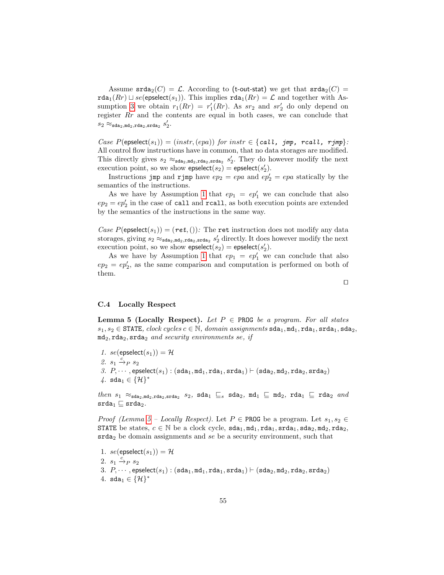Assume  $\text{stad}_2(C) = \mathcal{L}$ . According to (t-out-stat) we get that  $\text{stad}_2(C) =$  $\texttt{rda}_1(Rr) \sqcup se(\textsf{epselect}(s_1)).$  This implies  $\texttt{rda}_1(Rr) = \mathcal{L}$  and together with As-sumption [3](#page-44-2) we obtain  $r_1(Rr) = r'_1(Rr)$ . As  $sr_2$  and  $sr'_2$  do only depend on register Rr and the contents are equal in both cases, we can conclude that  $s_2 \approx_{\texttt{sda}_2,\texttt{md}_2,\texttt{rda}_2,\texttt{srda}_2} s_2'.$ 

Case  $P(\text{epselect}(s_1)) = (instr, (epa))$  for  $instr \in \{call, \text{ jump}, \text{recall}, \text{right}$ All control flow instructions have in common, that no data storages are modified. This directly gives  $s_2 \approx_{\text{sda}_2,\text{mda}_2,\text{srda}_2} s'_2$ . They do however modify the next execution point, so we show  $\mathsf{epselect}(s_2) = \mathsf{epselect}(s_2').$ 

Instructions jmp and rjmp have  $ep_2 = epa$  and  $ep'_2 = epa$  statically by the semantics of the instructions.

As we have by Assumption [1](#page-44-0) that  $ep_1 = ep'_1$  we can conclude that also  $ep_2 = ep'_2$  in the case of call and rcall, as both execution points are extended by the semantics of the instructions in the same way.

Case  $P(\text{epselect}(s_1)) = (ret,())$ : The ret instruction does not modify any data storages, giving  $s_2 \approx_{\text{sda}_2, \text{mda}_2, \text{stda}_2} s'_2$  directly. It does however modify the next execution point, so we show  $\mathsf{epselect}(s_2) = \mathsf{epselect}(s_2').$ 

As we have by Assumption [1](#page-44-0) that  $ep_1 = ep'_1$  we can conclude that also  $ep_2 = ep'_2$ , as the same comparison and computation is performed on both of them.

# C.4 Locally Respect

<span id="page-54-0"></span>**Lemma 5 (Locally Respect).** Let  $P \in \text{PROG}$  be a program. For all states  $s_1, s_2$  ∈ STATE, clock cycles  $c \in \mathbb{N}$ , domain assignments sda<sub>1</sub>, md<sub>1</sub>, rda<sub>1</sub>, srda<sub>1</sub>, sda<sub>2</sub>,  $md_2, rad_2, srda_2$  and security environments se, if

1. se(epselect(s<sub>1</sub>)) =  $\mathcal{H}$ 2.  $s_1 \xrightarrow{c} s_2$ 3.  $P_1$ ..., epselect( $s_1$ ) : (sda<sub>1</sub>, md<sub>1</sub>, rda<sub>1</sub>, srda<sub>1</sub>)  $\vdash$  (sda<sub>2</sub>, md<sub>2</sub>, rda<sub>2</sub>, srda<sub>2</sub>)  $4.$  sda $_1$  ∈  $\{H\}^*$ 

 $then s_1 \approx_{\texttt{sda}_2, \texttt{mda}_2, \texttt{srda}_2} s_2$ ,  $\texttt{sda}_1 \sqsubseteq s$   $\texttt{sda}_2$ ,  $\texttt{md}_1 \sqsubseteq \texttt{md}_2$ ,  $\texttt{rda}_1 \sqsubseteq \texttt{rda}_2$  and  $\mathsf{srda}_1 \sqsubseteq \mathsf{srda}_2.$ 

*Proof (Lemma [5](#page-54-0) – Locally Respect).* Let  $P \in \text{PROG}$  be a program. Let  $s_1, s_2 \in$ STATE be states,  $c \in \mathbb{N}$  be a clock cycle,  $\texttt{sda}_1, \texttt{mda}_1, \texttt{rda}_1, \texttt{sda}_2, \texttt{mda}_2, \texttt{rda}_2$ ,  $\text{srda}_2$  be domain assignments and se be a security environment, such that

<span id="page-54-2"></span><span id="page-54-1"></span>1.  $se(\text{epselect}(s_1)) = \mathcal{H}$ 2.  $s_1 \xrightarrow{c} s_2$ 3.  $P, \cdots$ , epselect $(s_1)$ :  $(\texttt{sda}_1, \texttt{md}_1, \texttt{rda}_1, \texttt{srda}_1) \vdash (\texttt{sda}_2, \texttt{md}_2, \texttt{rda}_2, \texttt{srda}_2)$ 4. sda<sub>1</sub> ∈  $\{H\}^*$ 

 $\Box$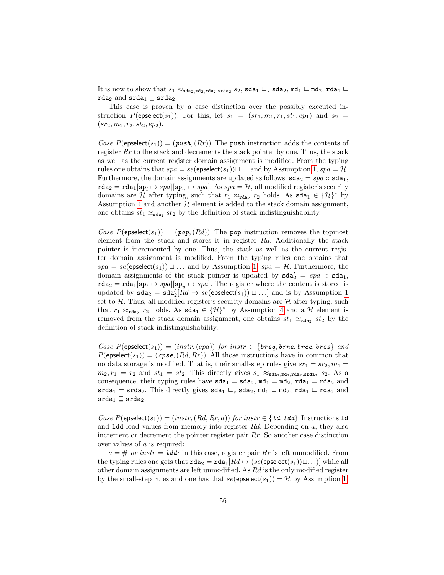It is now to show that  $s_1 \approx_{\texttt{sda}_2,\texttt{mda}_2,\texttt{srda}_2} s_2, \texttt{sda}_1 \sqsubseteq_s \texttt{sda}_2, \texttt{md}_1 \sqsubseteq \texttt{md}_2, \texttt{rda}_1 \sqsubseteq$ rda<sub>2</sub> and  $\text{srda}_1 \sqsubseteq \text{srda}_2$ .

This case is proven by a case distinction over the possibly executed instruction  $P(\text{epselect}(s_1))$ . For this, let  $s_1 = (sr_1, m_1, r_1, st_1, ep_1)$  and  $s_2 =$  $(sr_2, m_2, r_2, st_2, ep_2).$ 

Case  $P(\mathsf{epselect}(s_1)) = (\mathit{push}, (Rr))$  The push instruction adds the contents of register  $Rr$  to the stack and decrements the stack pointer by one. Thus, the stack as well as the current register domain assignment is modified. From the typing rules one obtains that  $spa = se(\text{epselect}(s_1)) \sqcup \ldots$  and by Assumption [1,](#page-54-1)  $spa = H$ . Furthermore, the domain assignments are updated as follows:  $\texttt{sda}_2 = spa$ :  $\texttt{sda}_1$ ,  $\texttt{rda}_2 = \texttt{rda}_1[\texttt{sp}_l \mapsto \textit{spa}][\texttt{sp}_u \mapsto \textit{spa}]$ . As  $\textit{spa} = \mathcal{H}$ , all modified register's security domains are H after typing, such that  $r_1 \approx_{\text{rda}_2} r_2$  holds. As  $\text{sda}_1 \in \{\mathcal{H}\}^*$  by Assumption [4](#page-54-2) and another  $H$  element is added to the stack domain assignment, one obtains  $st_1 \simeq_{\text{sda}_2} st_2$  by the definition of stack indistinguishability.

Case  $P(\mathsf{epselect}(s_1)) = (p \circ p, (Rd))$  The pop instruction removes the topmost element from the stack and stores it in register Rd. Additionally the stack pointer is incremented by one. Thus, the stack as well as the current register domain assignment is modified. From the typing rules one obtains that  $spa = se(\text{epselect}(s_1)) \sqcup \ldots$  and by Assumption [1,](#page-54-1)  $spa = H$ . Furthermore, the domain assignments of the stack pointer is updated by  $\texttt{sda}'_2 = spa :: \texttt{sda}_1$ ,  $\texttt{rda}_2 = \texttt{rda}_1[\texttt{sp}_l \mapsto \textit{spa}][\texttt{sp}_u \mapsto \textit{spa}].$  The register where the content is stored is updated by  $\texttt{sda}_2 = \texttt{sda}'_2[Rd \mapsto se(\textsf{epselect}(s_1)) \sqcup \ldots]$  and is by Assumption [1](#page-54-1) set to  $H$ . Thus, all modified register's security domains are  $H$  after typing, such that  $r_1 \approx_{\text{rda}_2} r_2$  holds. As  $\text{sda}_1 \in \{\mathcal{H}\}^*$  by Assumption [4](#page-54-2) and a  $\mathcal{H}$  element is removed from the stack domain assignment, one obtains  $st_1 \simeq_{\text{sda}_2} st_2$  by the definition of stack indistinguishability.

Case  $P(\mathsf{epselect}(s_1)) = (instr, (epa))$  for  $instr \in \{breg, brne, brcc, brcs\}$  and  $P(\text{epselect}(s_1)) = (cps, (Rd, Rr))$  All those instructions have in common that no data storage is modified. That is, their small-step rules give  $sr_1 = sr_2, m_1 =$  $m_2, r_1 = r_2$  and  $st_1 = st_2$ . This directly gives  $s_1 \approx_{\text{sda}_2, \text{mda}_2, \text{stda}_2, \text{stda}_2} s_2$ . As a consequence, their typing rules have  $sda_1 = sda_2$ ,  $md_1 = md_2$ ,  $rda_1 = rda_2$  and  $\texttt{srda}_1 = \texttt{srda}_2$ . This directly gives  $\texttt{sda}_1 \sqsubseteq_s \texttt{sda}_2$ ,  $\texttt{md}_1 \sqsubseteq \texttt{md}_2$ ,  $\texttt{rda}_1 \sqsubseteq \texttt{rda}_2$  and  $\mathsf{srda}_1 \sqsubseteq \mathsf{srda}_2.$ 

Case  $P(\mathsf{epselect}(s_1)) = (instr, (Rd, Rr, a))$  for instr $\in \{ \mathit{ld}, \mathit{ldd} \}$  Instructions 1d and 1dd load values from memory into register  $Rd$ . Depending on  $a$ , they also increment or decrement the pointer register pair Rr. So another case distinction over values of a is required:

 $a = #$  or instr = ldd: In this case, register pair Rr is left unmodified. From the typing rules one gets that  $\texttt{rda}_2 = \texttt{rda}_1[Rd \mapsto (se(\texttt{epselect}(s_1))\sqcup \ldots)]$  while all other domain assignments are left unmodified. As Rd is the only modified register by the small-step rules and one has that  $se(\text{epselect}(s_1)) = \mathcal{H}$  by Assumption [1,](#page-54-1)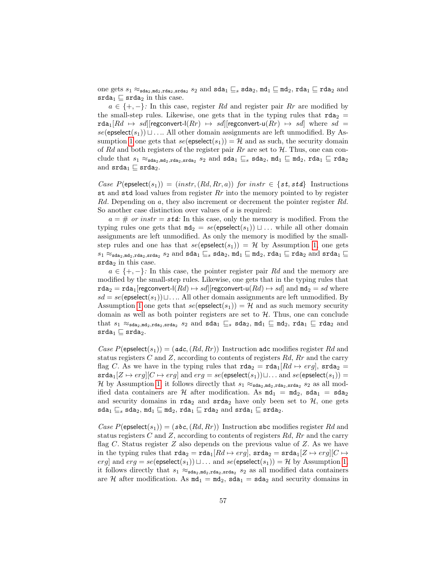one gets  $s_1 \approx_{\texttt{sda}_2,\texttt{mda}_2,\texttt{srda}_2} s_2$  and  $\texttt{sda}_1 \sqsubseteq_s \texttt{sda}_2, \texttt{md}_1 \sqsubseteq \texttt{md}_2, \texttt{rda}_1 \sqsubseteq \texttt{rda}_2$  and  $\texttt{srda}_1 \subseteq \texttt{srda}_2$  in this case.

 $a \in \{+, -\}$ : In this case, register Rd and register pair Rr are modified by the small-step rules. Likewise, one gets that in the typing rules that  $\text{rda}_2$  =  $\texttt{rda}_1[Rd \mapsto sd][\text{regconvert-1}(Rr) \mapsto sd][\text{regconvert-u}(Rr) \mapsto sd]$  where  $sd =$  $se(\text{epselect}(s_1)) \sqcup \ldots$  All other domain assignments are left unmodified. By As-sumption [1](#page-54-1) one gets that  $se(\text{epselect}(s_1)) = \mathcal{H}$  and as such, the security domain of Rd and both registers of the register pair Rr are set to  $\mathcal{H}$ . Thus, one can conclude that  $s_1 \approx_{\texttt{sda}_2,\texttt{mda}_2,\texttt{srda}_2} s_2$  and  $\texttt{sda}_1 \sqsubseteq_s \texttt{sda}_2, \texttt{md}_1 \sqsubseteq \texttt{md}_2, \texttt{rda}_1 \sqsubseteq \texttt{rda}_2$ and  $\texttt{srda}_1 \sqsubseteq \texttt{srda}_2$ .

Case  $P(\text{epselect}(s_1)) = (instr, (Rd, Rr, a))$  for instr  $\in \{st, std\}$  Instructions st and std load values from register  $Rr$  into the memory pointed to by register Rd. Depending on a, they also increment or decrement the pointer register Rd. So another case distinction over values of a is required:

 $a = #$  or instr = std: In this case, only the memory is modified. From the typing rules one gets that  $m \cdot d_2 = \text{se}(\text{epselect}(s_1)) \sqcup \dots$  while all other domain assignments are left unmodified. As only the memory is modified by the smallstep rules and one has that  $se($ epselect $(s_1)$ ) = H by Assumption [1,](#page-54-1) one gets  $s_1 \approx_{\texttt{sda}_2,\texttt{md}_2,\texttt{srda}_2} s_2 \text{ and } \texttt{sda}_1 \sqsubseteq_s \texttt{sda}_2, \texttt{md}_1 \sqsubseteq \texttt{md}_2, \texttt{rda}_1 \sqsubseteq \texttt{rda}_2 \text{ and } \texttt{srda}_1 \sqsubseteq$  $srda<sub>2</sub>$  in this case.

 $a \in \{+, -\}$ : In this case, the pointer register pair Rd and the memory are modified by the small-step rules. Likewise, one gets that in the typing rules that  $\texttt{rda}_2 = \texttt{rda}_1[\text{regconvert-1}(Rd) \mapsto sd][\text{regconvert-u}(Rd) \mapsto sd]$  and  $\texttt{md}_2 = sd$  where  $sd = se$ (epselect(s<sub>1</sub>)) $\sqcup \ldots$  All other domain assignments are left unmodified. By Assumption [1](#page-54-1) one gets that  $se(\text{epselect}(s_1)) = \mathcal{H}$  and as such memory security domain as well as both pointer registers are set to  $H$ . Thus, one can conclude that  $s_1 \approx_{\texttt{sda}_2,\texttt{mda}_2,\texttt{srda}_2} s_2$  and  $\texttt{sda}_1 \sqsubseteq_s \texttt{sda}_2, \texttt{md}_1 \sqsubseteq \texttt{md}_2, \texttt{rda}_1 \sqsubseteq \texttt{rda}_2$  and  $\mathsf{srda}_1 \sqsubseteq \mathsf{srda}_2.$ 

Case  $P(\text{epselect}(s_1)) = (adc, (Rd, Rr))$  Instruction adc modifies register Rd and status registers C and Z, according to contents of registers  $Rd$ ,  $Rr$  and the carry flag C. As we have in the typing rules that  $\text{rda}_2 = \text{rda}_1[Rd \mapsto erg]$ ,  $\text{srda}_2 =$  $\texttt{srda}_1[Z \mapsto erg][C \mapsto erg]$  and  $erg = se(\texttt{epselect}(s_1)) \sqcup \ldots$  and  $se(\texttt{epselect}(s_1)) =$ H by Assumption [1,](#page-54-1) it follows directly that  $s_1 \approx_{\text{sda}_2,\text{mda}_2,\text{stda}_2,\text{stda}_2} s_2$  as all modified data containers are H after modification. As  $m d_1 = m d_2$ ,  $s d a_1 = s d a_2$ and security domains in  $\texttt{rda}_2$  and  $\texttt{srda}_2$  have only been set to  $\mathcal{H}$ , one gets sda<sub>1</sub>  $\sqsubseteq$ <sub>s</sub> sda<sub>2</sub>, md<sub>1</sub>  $\sqsubseteq$  md<sub>2</sub>, rda<sub>1</sub>  $\sqsubseteq$  rda<sub>2</sub> and srda<sub>1</sub>  $\sqsubseteq$  srda<sub>2</sub>.

Case  $P(\mathsf{epselect}(s_1)) = (sbc, (Rd, Rr))$  Instruction sbc modifies register Rd and status registers  $C$  and  $Z$ , according to contents of registers  $Rd$ ,  $Rr$  and the carry flag C. Status register Z also depends on the previous value of Z. As we have in the typing rules that  $\text{rda}_2 = \text{rda}_1[Rd \mapsto erg]$ ,  $\text{srda}_2 = \text{srda}_1[Z \mapsto erg][C \mapsto$ erg] and  $erg = se(epselect(s_1)) \sqcup ...$  and  $se(epselect(s_1)) = H$  by Assumption [1,](#page-54-1) it follows directly that  $s_1 \approx_{\text{sda}_2,\text{md}_2,\text{crda}_2} s_2$  as all modified data containers are H after modification. As  $md_1 = md_2$ ,  $sda_1 = sda_2$  and security domains in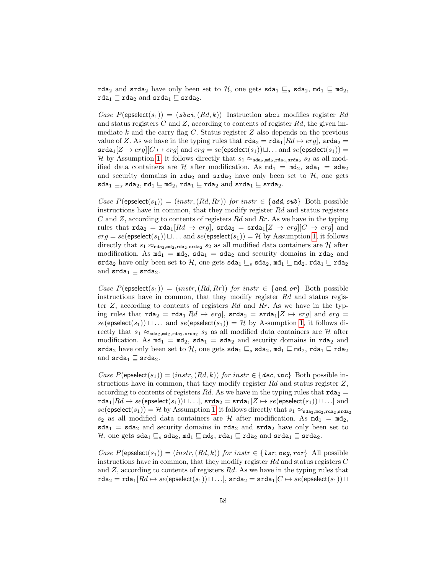rda<sub>2</sub> and srda<sub>2</sub> have only been set to H, one gets sda<sub>1</sub>  $\sqsubseteq$  sda<sub>2</sub>, md<sub>1</sub>  $\sqsubseteq$  md<sub>2</sub>, rda<sub>1</sub>  $\sqsubseteq$  rda<sub>2</sub> and srda<sub>1</sub>  $\sqsubseteq$  srda<sub>2</sub>.

Case  $P(\mathsf{epselect}(s_1)) = (sbci, (Rd, k))$  Instruction sbci modifies register Rd and status registers  $C$  and  $Z$ , according to contents of register  $Rd$ , the given immediate  $k$  and the carry flag  $C$ . Status register  $Z$  also depends on the previous value of Z. As we have in the typing rules that  $\text{rda}_2 = \text{rda}_1[Rd \mapsto erg]$ ,  $\text{srda}_2 =$  $\texttt{srda}_1[Z \mapsto erg][C \mapsto erg]$  and  $erg = se(\texttt{epselect}(s_1)) \sqcup \ldots$  and  $se(\texttt{epselect}(s_1)) =$ H by Assumption [1,](#page-54-1) it follows directly that  $s_1 \approx_{\text{sda}_2,\text{mda}_2,\text{stda}_2,\text{stda}_2} s_2$  as all modified data containers are H after modification. As  $md_1 = md_2$ ,  $sda_1 = sda_2$ and security domains in  $\texttt{rda}_2$  and  $\texttt{srda}_2$  have only been set to  $H$ , one gets  $\texttt{sda}_1 \sqsubseteq_s \texttt{sda}_2, \texttt{md}_1 \sqsubseteq \texttt{md}_2, \texttt{rda}_1 \sqsubseteq \texttt{rda}_2 \texttt{and srda}_1 \sqsubseteq \texttt{srda}_2.$ 

Case  $P(\mathsf{epselect}(s_1)) = (instr, (Rd, Rr))$  for  $instr \in \{add, sub\}$  Both possible instructions have in common, that they modify register  $Rd$  and status registers  $C$  and  $Z$ , according to contents of registers  $Rd$  and  $Rr$ . As we have in the typing rules that  $\text{rda}_2 = \text{rda}_1[Rd \mapsto erg]$ ,  $\text{srda}_2 = \text{srda}_1[Z \mapsto erg][C \mapsto erg]$  and  $erg = se$ (epselect(s<sub>1</sub>)) $\sqcup \ldots$  and se(epselect(s<sub>1</sub>)) = H by Assumption [1,](#page-54-1) it follows directly that  $s_1 \approx_{\text{sda}_2,\text{md}_2,\text{std}_2,\text{std}_2} s_2$  as all modified data containers are  $\mathcal H$  after modification. As  $md_1 = md_2$ ,  $sda_1 = sda_2$  and security domains in  $rda_2$  and srda<sub>2</sub> have only been set to H, one gets sda<sub>1</sub>  $\sqsubseteq$ <sub>s</sub> sda<sub>2</sub>, md<sub>1</sub>  $\sqsubseteq$  md<sub>2</sub>, rda<sub>1</sub>  $\sqsubseteq$  rda<sub>2</sub> and  $\texttt{srda}_1 \sqsubseteq \texttt{srda}_2$ .

Case  $P(\mathsf{epselect}(s_1)) = (instr, (Rd, Rr))$  for instr  $\in \{and, or\}$  Both possible instructions have in common, that they modify register  $Rd$  and status register  $Z$ , according to contents of registers Rd and Rr. As we have in the typing rules that  $\text{rda}_2 = \text{rda}_1[Rd \mapsto erg], \text{ srda}_2 = \text{srda}_1[Z \mapsto erg]$  and  $erg =$  $se(\text{epselect}(s_1)) \sqcup ...$  and  $se(\text{epselect}(s_1)) = H$  by Assumption [1,](#page-54-1) it follows directly that  $s_1 \approx_{\text{sda}_2,\text{md}_2,\text{stda}_2,\text{stda}_2} s_2$  as all modified data containers are  $\mathcal H$  after modification. As  $md_1 = md_2$ ,  $sda_1 = sda_2$  and security domains in rda<sub>2</sub> and srda<sub>2</sub> have only been set to H, one gets sda<sub>1</sub>  $\sqsubseteq$ <sub>s</sub> sda<sub>2</sub>, md<sub>1</sub>  $\sqsubseteq$  md<sub>2</sub>, rda<sub>1</sub>  $\sqsubseteq$  rda<sub>2</sub> and  $\texttt{srda}_1 \sqsubseteq \texttt{srda}_2$ .

Case  $P(\mathsf{epselect}(s_1)) = (instr, (Rd, k))$  for  $instr \in \{dec, inc\}$  Both possible instructions have in common, that they modify register  $Rd$  and status register  $Z$ , according to contents of registers Rd. As we have in the typing rules that  $\text{rda}_2 =$  $\texttt{rda}_1[Rd \mapsto se(\textsf{epselect}(s_1)) \sqcup \ldots], \texttt{srda}_2 = \texttt{srda}_1[Z \mapsto se(\textsf{epselect}(s_1)) \sqcup \ldots]$  and  $se(\text{epselect}(s_1)) = \mathcal{H}$  by Assumption [1,](#page-54-1) it follows directly that  $s_1 \approx_{\text{sda}_2,\text{mda}_2,\text{srda}_2}$  $s_2$  as all modified data containers are  $H$  after modification. As  $m d_1 = m d_2$ ,  $sda_1 = sda_2$  and security domains in rda<sub>2</sub> and  $srda_2$  have only been set to  $\mathcal{H}$ , one gets sda<sub>1</sub>  $\sqsubseteq$ <sub>s</sub> sda<sub>2</sub>, md<sub>1</sub>  $\sqsubseteq$  md<sub>2</sub>, rda<sub>1</sub>  $\sqsubseteq$  rda<sub>2</sub> and srda<sub>1</sub>  $\sqsubseteq$  srda<sub>2</sub>.

Case  $P(\text{epselect}(s_1)) = (instr, (Rd, k))$  for instr  $\in \{ \text{lsr}, \text{neg}, \text{ror} \}$  All possible instructions have in common, that they modify register  $Rd$  and status registers  $C$ and  $Z$ , according to contents of registers  $Rd$ . As we have in the typing rules that  $\texttt{rda}_2 = \texttt{rda}_1[Rd \mapsto se(\textsf{epselect}(s_1)) \sqcup \ldots], \, \texttt{srda}_2 = \texttt{srda}_1[C \mapsto se(\textsf{epselect}(s_1)) \sqcup$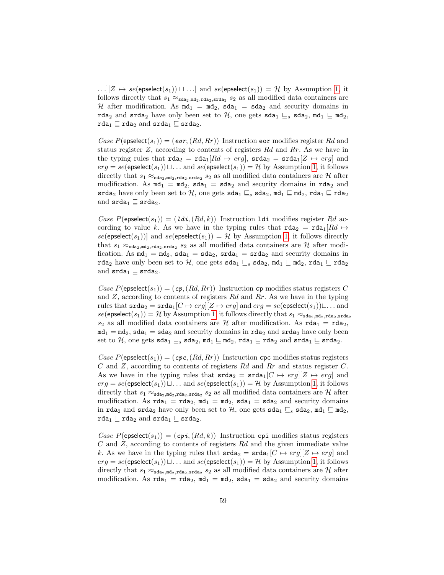$\dots || Z \mapsto se(\text{epselect}(s_1)) \sqcup \dots ]$  and  $se(\text{epselect}(s_1)) = H$  by Assumption [1,](#page-54-1) it follows directly that  $s_1 \approx_{\text{sda}_2, \text{md}_2, \text{stda}_2, \text{stda}_2} s_2$  as all modified data containers are H after modification. As  $m d_1 = m d_2$ ,  $s d a_1 = s d a_2$  and security domains in rda<sub>2</sub> and srda<sub>2</sub> have only been set to H, one gets sda<sub>1</sub>  $\sqsubseteq$ <sub>s</sub> sda<sub>2</sub>, md<sub>1</sub>  $\sqsubseteq$  md<sub>2</sub>, rda<sub>1</sub>  $\sqsubseteq$  rda<sub>2</sub> and srda<sub>1</sub>  $\sqsubseteq$  srda<sub>2</sub>.

Case  $P(\text{epselect}(s_1)) = (\text{eor}, (Rd, Rr))$  Instruction eor modifies register Rd and status register Z, according to contents of registers Rd and Rr. As we have in the typing rules that  $\text{rda}_2 = \text{rda}_1[Rd \mapsto erg]$ ,  $\text{srda}_2 = \text{srda}_1[Z \mapsto erg]$  and  $erg = se$ (epselect(s<sub>1</sub>)) $\sqcup \ldots$  and se(epselect(s<sub>1</sub>)) = H by Assumption [1,](#page-54-1) it follows directly that  $s_1 \approx_{\text{sda}_2, \text{mda}_2, \text{stda}_2} s_2$  as all modified data containers are  $\mathcal{H}$  after modification. As  $md_1 = md_2$ ,  $sda_1 = sda_2$  and security domains in  $rda_2$  and srda<sub>2</sub> have only been set to H, one gets sda<sub>1</sub>  $\sqsubseteq$ <sub>s</sub> sda<sub>2</sub>, md<sub>1</sub>  $\sqsubseteq$  md<sub>2</sub>, rda<sub>1</sub>  $\sqsubseteq$  rda<sub>2</sub> and  $\texttt{srda}_1 \sqsubseteq \texttt{srda}_2$ .

Case  $P(\text{epselect}(s_1)) = (ldi, (Rd, k))$  Instruction **1di** modifies register Rd according to value k. As we have in the typing rules that  $\text{rda}_2 = \text{rda}_1[Rd \mapsto$ se(epselect(s<sub>1</sub>))] and se(epselect(s<sub>1</sub>)) = H by Assumption [1,](#page-54-1) it follows directly that  $s_1 \approx_{\text{sda}_2,\text{md}_2,\text{rda}_2,\text{srda}_2} s_2$  as all modified data containers are  $\mathcal H$  after modification. As  $md_1 = md_2$ ,  $sda_1 = sda_2$ ,  $srda_1 = srda_2$  and security domains in rda<sub>2</sub> have only been set to H, one gets sda<sub>1</sub>  $\sqsubseteq_s$  sda<sub>2</sub>, md<sub>1</sub>  $\sqsubseteq$  md<sub>2</sub>, rda<sub>1</sub>  $\sqsubseteq$  rda<sub>2</sub> and  $\texttt{srda}_1 \sqsubseteq \texttt{srda}_2$ .

Case  $P(\text{epselect}(s_1)) = (cp, (Rd, Rr))$  Instruction cp modifies status registers C and  $Z$ , according to contents of registers  $Rd$  and  $Rr$ . As we have in the typing rules that  $\texttt{srda}_2 = \texttt{srda}_1[C \mapsto erg][Z \mapsto erg]$  and  $erg = se(\texttt{epselect}(s_1)) \sqcup \dots$  and  $se(\text{epselect}(s_1)) = \mathcal{H}$  by Assumption [1,](#page-54-1) it follows directly that  $s_1 \approx_{\text{sda}_2,\text{mda}_2,\text{srda}_2}$  $s_2$  as all modified data containers are H after modification. As  $\text{rda}_1 = \text{rda}_2$ ,  $m\ddot{d}_1 = m\ddot{d}_2$ , sda<sub>1</sub> = sda<sub>2</sub> and security domains in rda<sub>2</sub> and srda<sub>2</sub> have only been set to H, one gets sda<sub>1</sub>  $\sqsubseteq$ <sub>s</sub> sda<sub>2</sub>, md<sub>1</sub>  $\sqsubseteq$  md<sub>2</sub>, rda<sub>1</sub>  $\sqsubseteq$  rda<sub>2</sub> and srda<sub>1</sub>  $\sqsubseteq$  srda<sub>2</sub>.

Case  $P(\text{epselect}(s_1)) = (cpc, (Rd, Rr))$  Instruction cpc modifies status registers C and Z, according to contents of registers Rd and Rr and status register C. As we have in the typing rules that  $\texttt{srda}_2 = \texttt{srda}_1[C \mapsto erg][Z \mapsto erg]$  and  $erg = se$ (epselect(s<sub>1</sub>)) $\sqcup \ldots$  and se(epselect(s<sub>1</sub>)) = H by Assumption [1,](#page-54-1) it follows directly that  $s_1 \approx_{\text{sda}_2,\text{md}_2,\text{std}_2,\text{std}_2} s_2$  as all modified data containers are  $\mathcal H$  after modification. As  $\text{rda}_1 = \text{rda}_2$ ,  $\text{md}_1 = \text{md}_2$ ,  $\text{sda}_1 = \text{sda}_2$  and security domains in rda<sub>2</sub> and srda<sub>2</sub> have only been set to H, one gets sda<sub>1</sub>  $\sqsubseteq$ <sub>s</sub> sda<sub>2</sub>, md<sub>1</sub>  $\sqsubseteq$  md<sub>2</sub>, rda<sub>1</sub>  $\sqsubseteq$  rda<sub>2</sub> and srda<sub>1</sub>  $\sqsubseteq$  srda<sub>2</sub>.

Case  $P(\mathsf{epselect}(s_1)) = (c\mathit{pi}, (Rd, k))$  Instruction  $c\mathit{pi}$  modifies status registers C and Z, according to contents of registers Rd and the given immediate value k. As we have in the typing rules that  $\texttt{srda}_2 = \texttt{srda}_1[C \mapsto erg][Z \mapsto erg]$  and  $erg = se(\text{epselect}(s_1))\sqcup \ldots$  and  $se(\text{epselect}(s_1)) = H$  by Assumption [1,](#page-54-1) it follows directly that  $s_1 \approx_{\text{sda}_2, \text{mda}_2, \text{stda}_2} s_2$  as all modified data containers are  $\mathcal{H}$  after modification. As  $\text{rda}_1 = \text{rda}_2$ ,  $\text{md}_1 = \text{md}_2$ ,  $\text{sda}_1 = \text{sda}_2$  and security domains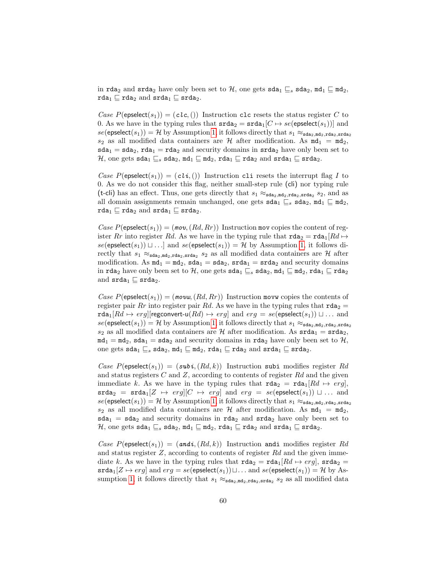in rda<sub>2</sub> and srda<sub>2</sub> have only been set to H, one gets sda<sub>1</sub>  $\sqsubseteq_s$  sda<sub>2</sub>, md<sub>1</sub>  $\sqsubseteq$  md<sub>2</sub>, rda<sub>1</sub>  $\sqsubseteq$  rda<sub>2</sub> and srda<sub>1</sub>  $\sqsubseteq$  srda<sub>2</sub>.

Case  $P(\text{epselect}(s_1)) = (c \iota c, ()$  Instruction clc resets the status register C to 0. As we have in the typing rules that  $\texttt{srda}_2 = \texttt{srda}_1[C \mapsto \textit{se}(\textsf{eppselect}(s_1))]$  and  $se(\text{epselect}(s_1)) = \mathcal{H}$  by Assumption [1,](#page-54-1) it follows directly that  $s_1 \approx_{\text{sda}_2, \text{mda}_2, \text{stda}_2, \text{stda}_2}$  $s_2$  as all modified data containers are H after modification. As  $md_1 = md_2$ ,  $sda_1 = sda_2$ ,  $rda_1 = rda_2$  and security domains in  $srda_2$  have only been set to  $\mathcal{H},$  one gets sda $_1\sqsubseteq_s$  sda $_2,$  md $_1\sqsubseteq$  md $_2,$  rda $_1\sqsubseteq$  rda $_2$  and srda $_1\sqsubseteq$  srda $_2.$ 

Case  $P(\text{epselect}(s_1)) = (cli, ())$  Instruction cli resets the interrupt flag I to 0. As we do not consider this flag, neither small-step rule (cli) nor typing rule (t-cli) has an effect. Thus, one gets directly that  $s_1 \approx_{\text{sda}_2,\text{md}_2,\text{std}_2,\text{std}_2} s_2$ , and as all domain assignments remain unchanged, one gets  $\texttt{sda}_1 \sqsubseteq_s \texttt{sda}_2$ ,  $\texttt{md}_1 \sqsubseteq \texttt{md}_2$ , rda<sub>1</sub>  $\sqsubseteq$  rda<sub>2</sub> and srda<sub>1</sub>  $\sqsubseteq$  srda<sub>2</sub>.

Case  $P(\mathsf{epselect}(s_1)) = (mov, (Rd, Rr))$  Instruction mov copies the content of register Rr into register Rd. As we have in the typing rule that  $\text{rda}_2 = \text{rda}_1[Rd \mapsto$  $se(\text{epselect}(s_1)) \sqcup ...$  and  $se(\text{epselect}(s_1)) = H$  by Assumption [1,](#page-54-1) it follows directly that  $s_1 \approx_{\text{sda}_2,\text{md}_2,\text{stda}_2,\text{stda}_2} s_2$  as all modified data containers are  $\mathcal H$  after modification. As  $md_1 = md_2$ ,  $sda_1 = sda_2$ ,  $srda_1 = srda_2$  and security domains in rda<sub>2</sub> have only been set to H, one gets  $sda_1 \sqsubseteq_s sda_2$ ,  $md_1 \sqsubseteq md_2$ , rda<sub>1</sub>  $\sqsubseteq$  rda<sub>2</sub> and  $\texttt{srda}_1 \sqsubseteq \texttt{srda}_2$ .

Case  $P(\text{epselect}(s_1)) = (movw, (Rd, Rr))$  Instruction movw copies the contents of register pair Rr into register pair Rd. As we have in the typing rules that  $\text{rda}_2 =$  $\texttt{rda}_1[Rd \mapsto erg][\text{regconvert-u}(Rd) \mapsto erg]$  and  $erg = se(\text{epselect}(s_1)) \sqcup ...$  and  $se(\text{epselect}(s_1)) = \mathcal{H}$  by Assumption [1,](#page-54-1) it follows directly that  $s_1 \approx_{\text{sda}_2,\text{mda}_2,\text{sda}_2,\text{stda}_2}$  $s_2$  as all modified data containers are H after modification. As  $\text{srda}_1 = \text{srda}_2$ ,  $m\ddot{d}_1 = m\ddot{d}_2$ , sda<sub>1</sub> = sda<sub>2</sub> and security domains in rda<sub>2</sub> have only been set to H, one gets sda<sub>1</sub>  $\sqsubseteq$ <sub>s</sub> sda<sub>2</sub>, md<sub>1</sub>  $\sqsubseteq$  md<sub>2</sub>, rda<sub>1</sub>  $\sqsubseteq$  rda<sub>2</sub> and srda<sub>1</sub>  $\sqsubseteq$  srda<sub>2</sub>.

Case  $P(\mathsf{epselect}(s_1)) = (subi, (Rd, k))$  Instruction subi modifies register Rd and status registers  $C$  and  $Z$ , according to contents of register  $Rd$  and the given immediate k. As we have in the typing rules that  $\text{rda}_2 = \text{rda}_1[Rd \mapsto erg],$  $\texttt{srda}_2 = \texttt{srda}_1[Z \mapsto \textit{erg}][C \mapsto \textit{erg}]$  and  $\textit{erg} = \textit{se}(\textsf{epselect}(s_1)) \sqcup \ldots$  and  $se(\text{epselect}(s_1)) = \mathcal{H}$  by Assumption [1,](#page-54-1) it follows directly that  $s_1 \approx_{\text{sda}_2,\text{mda}_2,\text{stda}_2,\text{stda}_2}$  $s_2$  as all modified data containers are H after modification. As  $m\mathbf{d}_1 = m\mathbf{d}_2$ ,  $sda_1 = sda_2$  and security domains in rda<sub>2</sub> and  $srda_2$  have only been set to H, one gets sda<sub>1</sub>  $\sqsubseteq$ <sub>s</sub> sda<sub>2</sub>, md<sub>1</sub>  $\sqsubseteq$  md<sub>2</sub>, rda<sub>1</sub>  $\sqsubseteq$  rda<sub>2</sub> and srda<sub>1</sub>  $\sqsubseteq$  srda<sub>2</sub>.

Case  $P(\text{epselect}(s_1)) = (andi, (Rd, k))$  Instruction andi modifies register Rd and status register  $Z$ , according to contents of register  $Rd$  and the given immediate k. As we have in the typing rules that  $\text{rda}_2 = \text{rda}_1[Rd \mapsto erg]$ ,  $\text{srda}_2 =$  $\texttt{srda}_1[Z \mapsto erg]$  and  $erg = se(\texttt{epselect}(s_1)) \sqcup \ldots$  and  $se(\texttt{epselect}(s_1)) = \mathcal{H}$  by As-sumption [1,](#page-54-1) it follows directly that  $s_1 \approx_{\text{sda}_2,\text{md}_2,\text{stda}_2,\text{stda}_2} s_2$  as all modified data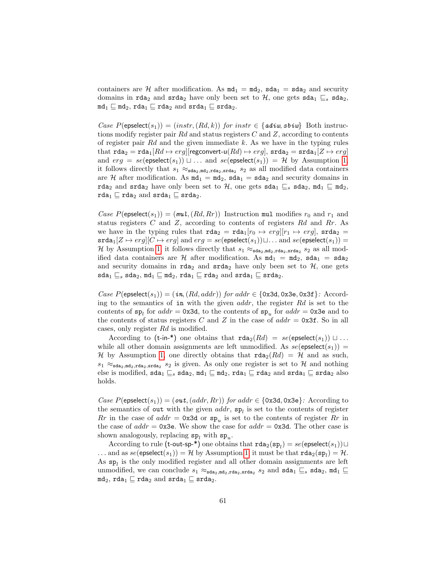containers are H after modification. As  $m d_1 = m d_2$ , sda<sub>1</sub> = sda<sub>2</sub> and security domains in rda<sub>2</sub> and srda<sub>2</sub> have only been set to H, one gets sda<sub>1</sub>  $\sqsubseteq_s$  sda<sub>2</sub>,  $md_1 \sqsubseteq md_2$ ,  $rda_1 \sqsubseteq rda_2$  and  $srda_1 \sqsubseteq srda_2$ .

Case  $P(\text{epselect}(s_1)) = (instr, (Rd, k))$  for instr $\in \{adiw, sbiw\}$  Both instructions modify register pair Rd and status registers  $C$  and  $Z$ , according to contents of register pair  $Rd$  and the given immediate k. As we have in the typing rules that  $\texttt{rda}_2 = \texttt{rda}_1[Rd \mapsto erg][\text{regconvert-u}(Rd) \mapsto erg], \texttt{srda}_2 = \texttt{srda}_1[Z \mapsto erg]$ and  $erg = se$ (epselect(s<sub>1</sub>))  $\sqcup \ldots$  and  $se$ (epselect(s<sub>1</sub>)) = H by Assumption [1,](#page-54-1) it follows directly that  $s_1 \approx_{\text{sda}_2,\text{md}_2,\text{rda}_2,\text{srda}_2} s_2$  as all modified data containers are H after modification. As  $md_1 = md_2$ ,  $sda_1 = sda_2$  and security domains in rda<sub>2</sub> and srda<sub>2</sub> have only been set to H, one gets sda<sub>1</sub>  $\sqsubseteq$ <sub>s</sub> sda<sub>2</sub>, md<sub>1</sub>  $\sqsubseteq$  md<sub>2</sub>, rda<sub>1</sub>  $\sqsubseteq$  rda<sub>2</sub> and srda<sub>1</sub>  $\sqsubseteq$  srda<sub>2</sub>.

Case  $P(\mathsf{epselect}(s_1)) = (mu, (Rd, Rr))$  Instruction mul modifies  $r_0$  and  $r_1$  and status registers  $C$  and  $Z$ , according to contents of registers  $Rd$  and  $Rr$ . As we have in the typing rules that  $\text{rda}_2 = \text{rda}_1[r_0 \mapsto erg][r_1 \mapsto erg]$ ,  $\text{srda}_2 =$  $\texttt{srda}_1[Z \mapsto erg][C \mapsto erg]$  and  $erg = se(\text{epselect}(s_1))\sqcup \ldots$  and  $se(\text{epselect}(s_1)) =$ H by Assumption [1,](#page-54-1) it follows directly that  $s_1 \approx_{\text{sda}_2,\text{mda}_2,\text{stda}_2,\text{stda}_2} s_2$  as all modified data containers are H after modification. As  $md_1 = md_2$ ,  $sda_1 = sda_2$ and security domains in  $\texttt{rda}_2$  and  $\texttt{srda}_2$  have only been set to  $H$ , one gets  $\texttt{sda}_1 \sqsubseteq_s \texttt{sda}_2, \texttt{md}_1 \sqsubseteq \texttt{md}_2, \texttt{rda}_1 \sqsubseteq \texttt{rda}_2 \texttt{and srda}_1 \sqsubseteq \texttt{srda}_2.$ 

Case  $P(\text{epselect}(s_1)) = (in, (Rd, addr))$  for addr ∈ {0x3d, 0x3e, 0x3f}: According to the semantics of in with the given  $addr$ , the register  $Rd$  is set to the contents of  $\mathbf{sp}_l$  for  $addr = 0 \times 3d$ , to the contents of  $\mathbf{sp}_u$  for  $addr = 0 \times 3e$  and to the contents of status registers C and Z in the case of  $addr = 0x3f$ . So in all cases, only register Rd is modified.

According to (t-in-\*) one obtains that  $\texttt{rda}_2(Rd) = se(\texttt{epselect}(s_1)) \sqcup ...$ while all other domain assignments are left unmodified. As  $se(\text{epselect}(s_1)) =$ H by Assumption [1,](#page-54-1) one directly obtains that  $\text{rda}_2(Rd) = H$  and as such,  $s_1 \approx_{\text{sda}_2,\text{mda}_2,\text{stda}_2} s_2$  is given. As only one register is set to H and nothing else is modified,  $\texttt{sda}_1 \sqsubseteq_s \texttt{sda}_2$ ,  $\texttt{md}_1 \sqsubseteq \texttt{md}_2$ ,  $\texttt{rda}_1 \sqsubseteq \texttt{rda}_2$  and  $\texttt{srda}_1 \sqsubseteq \texttt{srda}_2$  also holds.

Case  $P(\text{epselect}(s_1)) = (out, (addr, Rr))$  for addr  $\in \{0x3d, 0x3e\}$ : According to the semantics of out with the given  $addr$ ,  $sp_l$  is set to the contents of register  $Rr$  in the case of  $addr = 0x3d$  or  $sp_u$  is set to the contents of register  $Rr$  in the case of  $addr = 0x3e$ . We show the case for  $addr = 0x3d$ . The other case is shown analogously, replacing  $sp_l$  with  $sp_u$ .

According to rule (t-out-sp-\*) one obtains that  $\texttt{rda}_2(\texttt{sp}_l) = \textit{se}(\texttt{epselect}(s_1)) \sqcup$ ... and as  $se(\text{epselect}(s_1)) = \mathcal{H}$  by Assumption [1,](#page-54-1) it must be that  $\texttt{rda}_2(\texttt{sp}_l) = \mathcal{H}$ . As  $sp_l$  is the only modified register and all other domain assignments are left unmodified, we can conclude  $s_1 \approx_{\texttt{sda}_2,\texttt{md}_2,\texttt{rda}_2,\texttt{srda}_2} s_2$  and  $\texttt{sda}_1 \sqsubseteq_s \texttt{sda}_2, \texttt{md}_1 \sqsubseteq$  $md_2$ , rda<sub>1</sub>  $\sqsubseteq$  rda<sub>2</sub> and srda<sub>1</sub>  $\sqsubseteq$  srda<sub>2</sub>.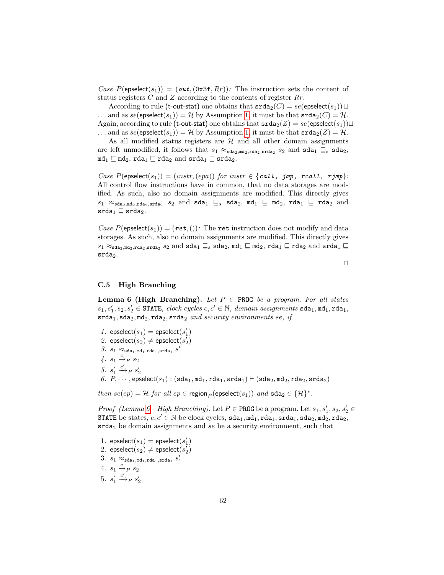Case  $P(\text{epselect}(s_1)) = (out, (0x3f, Rr))$ : The instruction sets the content of status registers  $C$  and  $Z$  according to the contents of register  $Rr$ .

According to rule (t-out-stat) one obtains that  $\texttt{srda}_2(C) = \textit{se}(\textsf{epselect}(s_1)) \sqcup$ ... and as  $se(\text{epselect}(s_1)) = H$  by Assumption [1,](#page-54-1) it must be that  $\text{srda}_2(C) = H$ . Again, according to rule (t-out-stat) one obtains that  $\texttt{stada}(Z) = \textit{se}(\texttt{epselect}(s_1))\sqcup$ ... and as  $se(\text{epselect}(s_1)) = H$  by Assumption [1,](#page-54-1) it must be that  $\text{srda}_2(Z) = H$ .

As all modified status registers are  $H$  and all other domain assignments are left unmodified, it follows that  $s_1 \approx_{\text{sda}_2, \text{md}_2, \text{std}_2, \text{std}_2} s_2$  and  $\text{sda}_1 \sqsubseteq_s \text{sda}_2$ ,  $md_1 \sqsubseteq md_2$ ,  $rda_1 \sqsubseteq rda_2$  and  $srda_1 \sqsubseteq srda_2$ .

Case  $P(\mathsf{epselect}(s_1)) = (instr, (epa))$  for  $instr \in \{call, \textit{jmp}, \textit{reall}, \textit{rjmp}\}.$ All control flow instructions have in common, that no data storages are modified. As such, also no domain assignments are modified. This directly gives  $s_1 \approx_{\text{sda}_2,\text{mda}_2,\text{srda}_2} s_2$  and  $\text{sda}_1 \sqsubseteq_s \text{sda}_2$ ,  $\text{md}_1 \sqsubseteq \text{md}_2$ ,  $\text{rda}_1 \sqsubseteq \text{rda}_2$  and  $\texttt{srda}_1 \sqsubseteq \texttt{srda}_2.$ 

Case  $P(\mathsf{epselect}(s_1)) = (\mathsf{ret},())$ : The ret instruction does not modify and data storages. As such, also no domain assignments are modified. This directly gives  $s_1 \approx_{\texttt{sda}_2,\texttt{md}_2,\texttt{srda}_2} s_2 \text{ and } \texttt{sda}_1 \sqsubseteq_s \texttt{sda}_2, \texttt{md}_1 \sqsubseteq \texttt{md}_2, \texttt{rda}_1 \sqsubseteq \texttt{rda}_2 \text{ and } \texttt{srda}_1 \sqsubseteq$  $grada<sub>2</sub>$ .

 $\Box$ 

#### C.5 High Branching

<span id="page-61-0"></span>**Lemma 6 (High Branching).** Let  $P \in \text{PROG}$  be a program. For all states  $s_1, s_1', s_2, s_2' \in \texttt{STATE}, \ clock \ cycles \ c, c' \in \mathbb{N}, \ domain \ assignments \ stal_1, \texttt{nd}_1, \texttt{rd}_1,$  $srda<sub>1</sub>, sda<sub>2</sub>, md<sub>2</sub>, rda<sub>2</sub>, srda<sub>2</sub> and security environments se, if$ 

 $1. \ \ \textsf{epselect}(s_1) = \textsf{epselect}(s_1')$ 

2. epselect $(s_2) \neq$  epselect $(s_2')$ 

 $\beta$ .  $s_1 \approx_{\texttt{sda}_1,\texttt{md}_1,\texttt{rda}_1,\texttt{srda}_1} s'_1$ 

 $4. s_1 \stackrel{c}{\rightarrow}_P s_2$ 

5. 
$$
s'_1 \xrightarrow{c'} p s'_2
$$

 $\begin{array}{l} \delta. \ \delta_1 \rightarrow_P s_2 \ \delta. \ P,\cdots, \mathsf{epselect}(s_1) : (\mathsf{sda}_1, \mathsf{md}_1, \mathsf{rda}_1, \mathsf{srda}_1) \vdash (\mathsf{sda}_2, \mathsf{mda}_2, \mathsf{rda}_2, \mathsf{srda}_2) \end{array}$ 

then  $se(ep) = \mathcal{H}$  for all  $ep \in \text{region}_P(\text{epselect}(s_1))$  and  $\text{sda}_2 \in \{\mathcal{H}\}^*$ .

*Proof (Lemma [6](#page-61-0) – High Branching).* Let  $P \in \text{PROG}$  be a program. Let  $s_1, s'_1, s_2, s'_2 \in$ STATE be states,  $c, c' \in \mathbb{N}$  be clock cycles,  $\texttt{sda}_1, \texttt{md}_1, \texttt{rda}_1, \texttt{stda}_1, \texttt{sda}_2, \texttt{mda}_2, \texttt{rda}_2$  $\texttt{srda}_2$  be domain assignments and se be a security environment, such that

<span id="page-61-2"></span><span id="page-61-1"></span>1.  $\mathsf{epselect}(s_1) = \mathsf{epselect}(s'_1)$ 2. epselect $(s_2) \neq$  epselect $(s_2')$  $3. \, s_1 \approx_{\texttt{sda}_1, \texttt{md}_1, \texttt{rda}_1, \texttt{srda}_1} s'_1$ 4.  $s_1 \xrightarrow{c} s_2$ 5.  $s_1'$  $\stackrel{c'}{\longrightarrow}_P s'_2$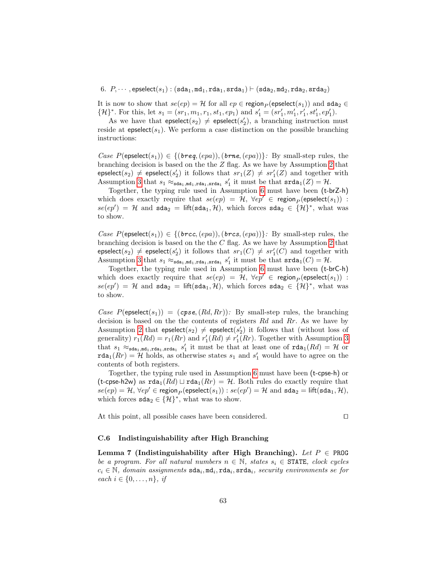#### <span id="page-62-1"></span>6.  $P, \cdots$ , epselect( $s_1$ ) : (sda<sub>1</sub>, md<sub>1</sub>, rda<sub>1</sub>, srda<sub>1</sub>)  $\vdash$  (sda<sub>2</sub>, md<sub>2</sub>, rda<sub>2</sub>, srda<sub>2</sub>)

It is now to show that  $se(ep) = H$  for all  $ep \in \text{region}_P(\text{epselect}(s_1))$  and  $\text{sda}_2 \in$  $\{\mathcal{H}\}^*$ . For this, let  $s_1 = (sr_1, m_1, r_1, st_1, ep_1)$  and  $s'_1 = (sr'_1, m'_1, r'_1, st'_1, ep'_1)$ .

As we have that  $\mathsf{epselect}(s_2) \neq \mathsf{epselect}(s_2'),$  a branching instruction must reside at epselect( $s_1$ ). We perform a case distinction on the possible branching instructions:

Case  $P(\mathsf{epselect}(s_1)) \in \{(\mathit{breg},(\mathit{epa})),(\mathit{brne},(\mathit{epa}))\}$ : By small-step rules, the branching decision is based on the the Z flag. As we have by Assumption [2](#page-61-1) that  $\mathsf{epselect}(s_2) \neq \mathsf{epselect}(s'_2)$  it follows that  $sr_1(Z) \neq sr'_1(Z)$  and together with Assumption [3](#page-61-2) that  $s_1 \approx_{\text{sda}_1,\text{mda}_1,\text{srda}_1} s'_1$  it must be that  $\text{srda}_1(Z) = \mathcal{H}$ .

Together, the typing rule used in Assumption [6](#page-62-1) must have been (t-brZ-h) which does exactly require that  $se(ep) = H$ ,  $\forall ep' \in \text{region}_P(\text{epselect}(s_1))$ :  $se(ep') = H$  and  $sda_2 = \text{lift}(sda_1, H)$ , which forces  $sda_2 \in \{H\}^*$ , what was to show.

Case  $P(\mathsf{epselect}(s_1)) \in \{(\mathit{brec},(\mathit{epa})),(\mathit{brcs},(\mathit{epa}))\}\colon \mathsf{By small-step rules, the}$ branching decision is based on the the  $C$  flag. As we have by Assumption [2](#page-61-1) that  $\mathsf{epselect}(s_2) \neq \mathsf{epselect}(s'_2)$  it follows that  $sr_1(C) \neq sr'_1(C)$  and together with Assumption [3](#page-61-2) that  $s_1 \approx_{\text{sda}_1,\text{mda}_1,\text{srda}_1} s'_1$  it must be that  $\text{srda}_1(C) = \mathcal{H}$ .

Together, the typing rule used in Assumption [6](#page-62-1) must have been (t-brC-h) which does exactly require that  $se(ep) = H$ ,  $\forall ep' \in region_P(\text{epselect}(s_1))$ :  $se(ep') = H$  and  $sda_2 = \text{lift}(sda_1, H)$ , which forces  $sda_2 \in \{H\}^*$ , what was to show.

Case  $P(\text{epselect}(s_1)) = (cps, (Rd, Rr))$ : By small-step rules, the branching decision is based on the the contents of registers Rd and Rr. As we have by Assumption [2](#page-61-1) that  $\mathsf{epselect}(s_2) \neq \mathsf{epselect}(s_2')$  it follows that (without loss of generality)  $r_1(Rd) = r_1(Rr)$  and  $r'_1(Rd) \neq r'_1(Rr)$ . Together with Assumption [3](#page-61-2) that  $s_1 \approx_{\text{sda}_1,\text{mda}_1,\text{crda}_1} s'_1$  it must be that at least one of  $\text{rda}_1(Rd) = \mathcal{H}$  or  $\texttt{rda}_1(Rr) = \mathcal{H}$  holds, as otherwise states  $s_1$  and  $s'_1$  would have to agree on the contents of both registers.

Together, the typing rule used in Assumption [6](#page-62-1) must have been (t-cpse-h) or (t-cpse-h2w) as  $\text{rda}_1(Rd) \sqcup \text{rda}_1(Rr) = \mathcal{H}$ . Both rules do exactly require that  $se(ep) = \mathcal{H}, \forall ep' \in \text{region}_P(\text{epselect}(s_1)): se(ep') = \mathcal{H} \text{ and } \texttt{sda}_2 = \textsf{lift}(\texttt{sda}_1, \mathcal{H}),$ which forces  $\texttt{sda}_2 \in \{\mathcal{H}\}^*$ , what was to show.

At this point, all possible cases have been considered.  $\Box$ 

# C.6 Indistinguishability after High Branching

<span id="page-62-0"></span>Lemma 7 (Indistinguishability after High Branching). Let  $P \in \text{PROG}$ be a program. For all natural numbers  $n \in \mathbb{N}$ , states  $s_i \in \text{STATE}$ , clock cycles  $c_i \in \mathbb{N}$ , domain assignments  $sda_i, md_i, rada_i$ , security environments se for each  $i \in \{0, \ldots, n\}$ , if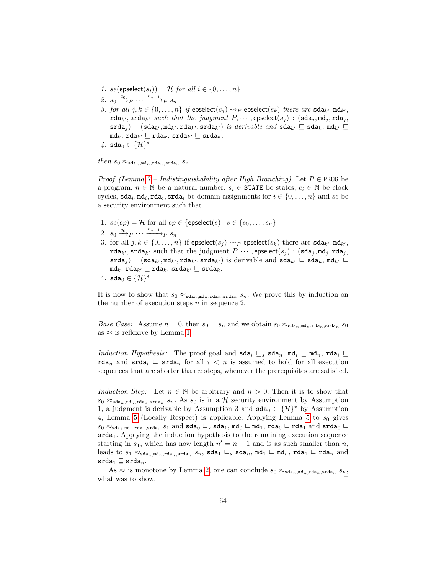- 1. se(epselect(s<sub>i</sub>)) = H for all  $i \in \{0, \ldots, n\}$
- 2.  $s_0 \xrightarrow{c_0} P \cdots \xrightarrow{c_{n-1}} P s_n$
- 3. for all  $j, k \in \{0, \ldots, n\}$  if epselect $(s_i) \rightarrow P$  epselect $(s_k)$  there are sda<sub>k'</sub>, md<sub>k'</sub>,  $\texttt{rda}_{k'}$ ,  $\texttt{srda}_{k'}$  such that the judgment  $P, \dots$ , epselect $(s_i)$  :  $(\texttt{sda}_i, \texttt{md}_i, \texttt{rda}_i,$  $(\texttt{sda}_i) \vdash (\texttt{sda}_{k'}, \texttt{md}_{k'}, \texttt{rda}_{k'}, \texttt{srda}_{k'})$  is derivable and  $\texttt{sda}_{k'} \sqsubseteq \texttt{sda}_k, \texttt{md}_{k'} \sqsubseteq \texttt{rd}_{k'}$  $m\mathbf{d}_k$ ,  $\mathbf{r}\mathbf{d}\mathbf{a}_{k'} \sqsubseteq \mathbf{r}\mathbf{d}\mathbf{a}_k$ ,  $\mathbf{s}\mathbf{r}\mathbf{d}\mathbf{a}_{k'} \sqsubseteq \mathbf{s}\mathbf{r}\mathbf{d}\mathbf{a}_k$ .
- $4.$  sda<sub>0</sub> ∈  $\{H\}^*$

 $then s_0 \approx_{\texttt{sda}_n,\texttt{md}_n,\texttt{rda}_n,\texttt{srda}_n} s_n.$ 

*Proof (Lemma [7](#page-62-0) – Indistinguishability after High Branching)*. Let  $P \in \text{PROG}$  be a program,  $n \in \mathbb{N}$  be a natural number,  $s_i \in \texttt{STATE}$  be states,  $c_i \in \mathbb{N}$  be clock cycles,  $\texttt{sda}_i, \texttt{mda}_i, \texttt{rda}_i$  be domain assignments for  $i \in \{0, ..., n\}$  and se be a security environment such that

- 1.  $se(ep) = H$  for all  $ep \in \{\text{epselect}(s) \mid s \in \{s_0, \ldots, s_n\}$
- 2.  $s_0 \xrightarrow{c_0} P \cdots \xrightarrow{c_{n-1}} P s_n$
- 3. for all  $j, k \in \{0, \ldots, n\}$  if epselect $(s_i) \rightarrow P$  epselect $(s_k)$  there are sda<sub>k'</sub>, md<sub>k'</sub>,  $\texttt{rda}_{k'}$ ,  $\texttt{srda}_{k'}$  such that the judgment  $P, \cdots$ , epselect $(s_j)$  :  $(\texttt{sda}_j, \texttt{md}_j, \texttt{rda}_j,$  $\texttt{srda}_i$ )  $\vdash (\texttt{sda}_{k'}, \texttt{md}_{k'}, \texttt{rda}_{k'})$  is derivable and  $\texttt{sda}_{k'} \sqsubseteq \texttt{sd}_{k}, \texttt{md}_{k'} \sqsubseteq$  $m\mathbf{d}_k$ ,  $\mathbf{r}\mathbf{d}\mathbf{a}_{k'} \sqsubseteq \mathbf{r}\mathbf{d}\mathbf{a}_k$ ,  $\mathbf{s}\mathbf{r}\mathbf{d}\mathbf{a}_{k'} \sqsubseteq \mathbf{s}\mathbf{r}\mathbf{d}\mathbf{a}_k$ .

4. 
$$
sda_0 \in \{\mathcal{H}\}^*
$$

It is now to show that  $s_0 \approx_{\text{sda}_n,\text{mda}_n,\text{rda}_n,\text{srda}_n} s_n$ . We prove this by induction on the number of execution steps  $n$  in sequence 2.

*Base Case:* Assume  $n = 0$ , then  $s_0 = s_n$  and we obtain  $s_0 \approx_{\text{sda}_n, \text{mda}_n, \text{stda}_n} s_0$ as  $\approx$  is reflexive by Lemma [1.](#page-41-3)

Induction Hypothesis: The proof goal and  $\texttt{sda}_i \subseteq_s \texttt{sda}_n, \texttt{md}_i \subseteq \texttt{md}_n, \texttt{rda}_i \subseteq$ rda<sub>n</sub> and srda<sub>i</sub>  $\subseteq$  srda<sub>n</sub> for all  $i < n$  is assumed to hold for all execution sequences that are shorter than  $n$  steps, whenever the prerequisites are satisfied.

Induction Step: Let  $n \in \mathbb{N}$  be arbitrary and  $n > 0$ . Then it is to show that  $s_0 \approx_{\text{sda}_n,\text{mda}_n,\text{rda}_n} s_n$ . As  $s_0$  is in a H security environment by Assumption 1, a judgment is derivable by Assumption 3 and  $\text{sda}_0 \in \{\mathcal{H}\}^*$  by Assumption 4, Lemma [5](#page-54-0) (Locally Respect) is applicable. Applying Lemma 5 to  $s_0$  gives  $s_0 \approx_{\texttt{sda}_1,\texttt{md}_1,\texttt{rda}_1,\texttt{srda}_1} s_1 \text{ and } \texttt{sda}_0 \sqsubseteq_s \texttt{sda}_1, \texttt{md}_0 \sqsubseteq \texttt{md}_1, \texttt{rda}_0 \sqsubseteq \texttt{rda}_1 \text{ and } \texttt{srda}_0 \sqsubseteq$ srda1. Applying the induction hypothesis to the remaining execution sequence starting in  $s_1$ , which has now length  $n' = n - 1$  and is as such smaller than n, leads to  $s_1 \approx_{\texttt{sda}_n,\texttt{md}_n,\texttt{crda}_n} s_n$ ,  $\texttt{sda}_1 \sqsubseteq_s \texttt{sda}_n$ ,  $\texttt{md}_1 \sqsubseteq \texttt{md}_n$ ,  $\texttt{rda}_1 \sqsubseteq \texttt{rda}_n$  and  $\mathsf{s}$ rda $_1 \sqsubseteq \mathsf{s}$ rda $_n$ .

As  $\approx$  is monotone by Lemma [2,](#page-42-0) one can conclude  $s_0 \approx_{\text{sda}_n,\text{mda}_n,\text{stda}_n} s_n$ , what was to show.  $\Box$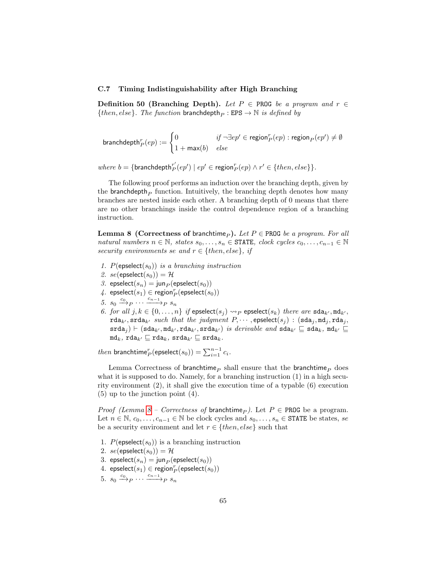### C.7 Timing Indistinguishability after High Branching

Definition 50 (Branching Depth). Let  $P \in \text{PROG}$  be a program and  $r \in$ {then, else}. The function branchdepth<sub>P</sub> : EPS  $\rightarrow$  N is defined by

$$
\text{branchdepth}_P^r(ep) := \begin{cases} 0 & \text{if } \neg \exists ep' \in \text{region}_P^r(ep) : \text{region}_P(ep') \neq \emptyset \\ 1 + \max(b) & \text{else} \end{cases}
$$

 $where b = {branchdepth<sub>P</sub><sup>r'</sup>(ep') | ep' \in region<sub>P</sub><sup>r</sup>(ep) \wedge r' \in {then, else}}.$ 

The following proof performs an induction over the branching depth, given by the branchdepth<sub>p</sub> function. Intuitively, the branching depth denotes how many branches are nested inside each other. A branching depth of 0 means that there are no other branchings inside the control dependence region of a branching instruction.

<span id="page-64-0"></span>**Lemma 8 (Correctness of branchtime**<sub>p</sub>). Let P  $\in$  PROG be a program. For all natural numbers  $n \in \mathbb{N}$ , states  $s_0, \ldots, s_n \in \text{STATE}$ , clock cycles  $c_0, \ldots, c_{n-1} \in \mathbb{N}$ security environments se and  $r \in \{then, else\}$ , if

- 1. P(epselect( $s_0$ )) is a branching instruction
- 2. se(epselect( $s_0$ )) = H
- 3. epselect $(s_n) = \text{jun}_P(\text{epselect}(s_0))$
- $4.$  epselect $(s_1) \in \text{region}_P^r(\text{epselect}(s_0))$
- 5.  $s_0 \xrightarrow{c_0} P \cdots \xrightarrow{c_{n-1}} P s_n$
- 6. for all  $j, k \in \{0, ..., n\}$  if epselect $(s_j) \rightsquigarrow_P$  epselect $(s_k)$  there are sda<sub>k'</sub>, md<sub>k'</sub>,  $rda_{k'}$ ,  $srda_{k'}$  such that the judgment  $P, \cdots$ , epselect $(s_j )$  :  $(sda_j, md_j, rad_j ,$  $\texttt{srda}_i$ )  $\vdash (\texttt{sda}_{k'}, \texttt{md}_{k'}, \texttt{rda}_{k'}, \texttt{srda}_{k'})$  is derivable and  $\texttt{sda}_{k'} \sqsubseteq \texttt{sd}_{k}, \texttt{md}_{k'} \sqsubseteq$  $m\mathbf{d}_k$ , rda<sub>k'</sub>  $\sqsubseteq$  rda<sub>k</sub>, srda<sub>k'</sub>  $\sqsubseteq$  srda<sub>k</sub>.

*then* branchtime<sup>r</sup><sub>P</sub>(epselect(s<sub>0</sub>)) =  $\sum_{i=1}^{n-1} c_i$ .

Lemma Correctness of branchtime<sub>p</sub> shall ensure that the branchtime<sub>p</sub> does what it is supposed to do. Namely, for a branching instruction  $(1)$  in a high security environment (2), it shall give the execution time of a typable (6) execution (5) up to the junction point (4).

*Proof (Lemma [8](#page-64-0) – Correctness of branchtime<sub>P</sub>).* Let  $P \in \text{PROG}$  be a program. Let  $n \in \mathbb{N}, c_0, \ldots, c_{n-1} \in \mathbb{N}$  be clock cycles and  $s_0, \ldots, s_n \in \text{STATE}$  be states, se be a security environment and let  $r \in \{then, else\}$  such that

- 1.  $P(\text{epselect}(s_0))$  is a branching instruction
- 2.  $se(\text{epselect}(s_0)) = H$
- <span id="page-64-2"></span>3. epselect $(s_n) = \text{jun}_P(\text{epselect}(s_0))$
- 4. epselect $(s_1) \in \text{region}_P^r(\text{epselect}(s_0))$
- <span id="page-64-1"></span>5.  $s_0 \xrightarrow{c_0} P \cdots \xrightarrow{c_{n-1}} P s_n$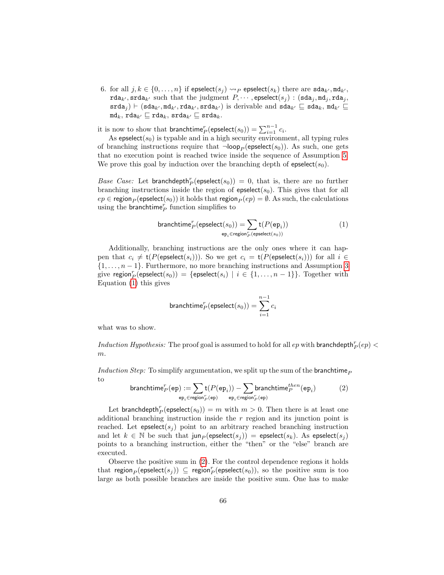6. for all  $j, k \in \{0, \ldots, n\}$  if epselect $(s_i) \rightsquigarrow_P$  epselect $(s_k)$  there are  $\text{sd}a_{k'}, \text{md}_{k'}$ ,  $\texttt{rda}_{k'}$ ,  $\texttt{srda}_{k'}$  such that the judgment  $P, \dots$ , epselect $(s_j) : (\texttt{sda}_j, \texttt{md}_j, \texttt{rda}_j ,$  $\texttt{srda}_i$ )  $\vdash (\texttt{sda}_{k'}, \texttt{md}_{k'}, \texttt{rda}_{k'}, \texttt{srda}_{k'})$  is derivable and  $\texttt{sda}_{k'} \sqsubseteq \texttt{sda}_k, \texttt{md}_{k'} \sqsubseteq$  $md_k$ ,  $rda_{k'} \sqsubseteq rad_k$ ,  $srda_{k'} \sqsubseteq srda_k$ .

it is now to show that  $\mathsf{branchtime}_P^r(\mathsf{epselect}(s_0)) = \sum_{i=1}^{n-1} c_i.$ 

As epselect( $s_0$ ) is typable and in a high security environment, all typing rules of branching instructions require that  $\neg loop_P$  (epselect(s<sub>0</sub>)). As such, one gets that no execution point is reached twice inside the sequence of Assumption [5.](#page-64-1) We prove this goal by induction over the branching depth of  $e$ pselect $(s_0)$ .

Base Case: Let branchdepth<sup>r</sup><sub>P</sub>(epselect(s<sub>0</sub>)) = 0, that is, there are no further branching instructions inside the region of  $e$ pselect $(s_0)$ . This gives that for all  $ep \in \text{region}_P(\text{epselect}(s_0))$  it holds that region $_P (ep) = \emptyset$ . As such, the calculations using the branchtime $_{P}^{r}$  function simplifies to

<span id="page-65-0"></span>
$$
\begin{array}{ll}\n\text{branchtime}_P^r(\text{epselect}(s_0)) &= \sum_{\text{ep}_i \in \text{region}_P^r(\text{epselect}(s_0))} \tag{1}\n\\
&\text{ep}_i \in \text{region}_P^r(\text{epselect}(s_0))\n\end{array}
$$

Additionally, branching instructions are the only ones where it can happen that  $c_i \neq t(P(\text{expected}(s_i)))$ . So we get  $c_i = t(P(\text{expected}(s_i)))$  for all  $i \in$  $\{1,\ldots,n-1\}$ . Furthermore, no more branching instructions and Assumption [3](#page-64-2) give region $\frac{r}{P}(\textsf{epselect}(s_0)) = \{\textsf{epselect}(s_i) \mid i \in \{1,\ldots,n-1\}\}.$  Together with Equation [\(1\)](#page-65-0) this gives

$$
\text{branchtime}_P^r(\text{epselect}(s_0)) = \sum_{i=1}^{n-1} c_i
$$

what was to show.

Induction Hypothesis: The proof goal is assumed to hold for all  $ep$  with branchdepth  $_P^r(ep)$ m.

Induction Step: To simplify argumentation, we split up the sum of the branchtime<sub>P</sub> to

<span id="page-65-1"></span>branchtime<sup>r</sup> <sup>P</sup> (ep) := X epi∈region<sup>r</sup> <sup>P</sup> (ep) t(P(ep<sup>i</sup> )) − X epi∈region<sup>r</sup> <sup>P</sup> (ep) branchtimethen <sup>P</sup> (ep<sup>i</sup> ) (2)

Let branchdepth $_{P}^{r}$ (epselect $(s_{0})) = m$  with  $m > 0$ . Then there is at least one additional branching instruction inside the  $r$  region and its junction point is reached. Let  $epselect(s_j)$  point to an arbitrary reached branching instruction and let  $k \in \mathbb{N}$  be such that jun<sub>P</sub> (epselect(s<sub>i</sub>)) = epselect(s<sub>k</sub>). As epselect(s<sub>i</sub>) points to a branching instruction, either the "then" or the "else" branch are executed.

Observe the positive sum in [\(2\)](#page-65-1). For the control dependence regions it holds that region $_P(\mathsf{epselect}(s_j)) \subseteq \mathsf{region}_P^r(\mathsf{epselect}(s_0)),$  so the positive sum is too large as both possible branches are inside the positive sum. One has to make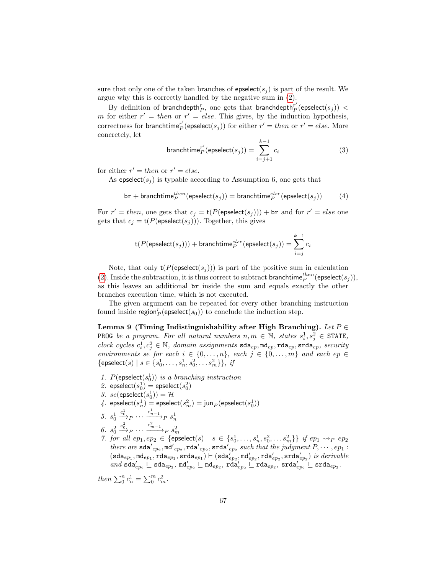sure that only one of the taken branches of epselect( $s<sub>i</sub>$ ) is part of the result. We argue why this is correctly handled by the negative sum in [\(2\)](#page-65-1).

By definition of branchdepth $_{P}^{r},$  one gets that branchdepth $_{P}^{r'}$ (epselect $(s_j))\,<$ m for either  $r' = then$  or  $r' = else$ . This gives, by the induction hypothesis, correctness for branchtime<sup>r'</sup> (epselect(s<sub>j</sub>)) for either  $r' = then$  or  $r' = else$ . More concretely, let

$$
\text{branchtime}_{P}^{r'}(\text{expected}(s_j)) = \sum_{i=j+1}^{k-1} c_i \tag{3}
$$

for either  $r' = then$  or  $r' = else$ .

As epselect( $s_i$ ) is typable according to Assumption 6, one gets that

$$
\texttt{br} + \texttt{branchtime}_{P}^{then}(\texttt{epselect}(s_j)) = \texttt{branchtime}_{P}^{else}(\texttt{epselect}(s_j)) \qquad (4)
$$

For  $r' = then$ , one gets that  $c_j = t(P(\text{expected}(s_j))) + \text{br}$  and for  $r' = else$  one gets that  $c_j = t(P(\text{expected}(s_j)))$ . Together, this gives

$$
\mathsf{t}(P(\mathsf{epselect}(s_j)))+\mathsf{branchtime}_P^{else}(\mathsf{epselect}(s_j))=\sum_{i=j}^{k-1}c_i
$$

Note, that only  $t(P(\text{expected}(s_i)))$  is part of the positive sum in calculation [\(2\)](#page-65-1). Inside the subtraction, it is thus correct to subtract branchtime  $p^{then}$  (epselect $(s_j)$ ), as this leaves an additional br inside the sum and equals exactly the other branches execution time, which is not executed.

The given argument can be repeated for every other branching instruction found inside region $_{P}^{r}(\mathsf{epselect}(s_0))$  to conclude the induction step.

<span id="page-66-0"></span>Lemma 9 (Timing Indistinguishability after High Branching). Let  $P \in$ **PROG** be a program. For all natural numbers  $n, m \in \mathbb{N}$ , states  $s_i^1, s_j^2 \in \text{STATE}$ , clock cycles  $c_i^1, c_j^2 \in \mathbb{N}$ , domain assignments  $\texttt{sda}_{ep}, \texttt{mda}_{ep}, \texttt{rda}_{ep}, \texttt{scavity}$ environments se for each  $i \in \{0, \ldots, n\}$ , each  $j \in \{0, \ldots, m\}$  and each ep  $\in$  $\{ \text{epselect}(s) \mid s \in \{s_0^1, \ldots, s_n^1, s_0^2, \ldots s_m^2 \} \}, \; \text{if}$ 

- 1. P(epselect( $s_0$ )) is a branching instruction
- 2. epselect $(s_0^1)$  = epselect $(s_0^2)$
- 3.  $se(\text{epselect}(s_0^1)) = \mathcal{H}$
- $\text{\emph{4.} }$  epselect $(s^1_n)=$  epselect $(s^2_m)=\textsf{jun}_P(\textsf{epselect}(s^1_0))$
- 5.  $s_0^1 \xrightarrow{c_0^1} P \cdots \xrightarrow{c_{n-1}^1} P s_n^1$  $_0 \rightarrow P$   $\cdots \rightarrow P$   $s_n$
- 6.  $s_0^2$
- 6.  $s_0^2 \xrightarrow{c_0^2} P \cdots \xrightarrow{c_{m-1}} P s_m^2$ <br>7. for all  $ep_1, ep_2 \in \{\text{epselect}(s) \mid s \in \{s_0^1, \ldots, s_n^1, s_0^2, \ldots s_m^2\}\}$  if  $ep_1 \leadsto_P ep_2$ there are  $\texttt{sda}'_{ep_2}, \texttt{mda}'_{ep_2}, \texttt{rda}'_{ep_2}, \texttt{srda}'_{ep_2}$  such that the judgment  $P, \cdots, ep_1$ :  $(\texttt{sda}_{ep_1},\texttt{mde}_{ep_1},\texttt{rda}_{ep_1},\texttt{srda}_{ep_1}) \vdash (\texttt{sda}'_{ep_2},\texttt{md}'_{ep_2},\texttt{rda}'_{ep_2},\texttt{srda}'_{ep_2}) \ is \ derivable$  $and \text{ sda}'_{ep_2} \sqsubseteq \text{sda}_{ep_2}, \text{md}'_{ep_2} \sqsubseteq \text{md}_{ep_2}, \text{rda}'_{ep_2} \sqsubseteq \text{rda}_{ep_2}, \text{srda}'_{ep_2} \sqsubseteq \text{srda}_{ep_2}.$

then  $\sum_{0}^{n} c_n^1 = \sum_{0}^{m} c_m^2$ .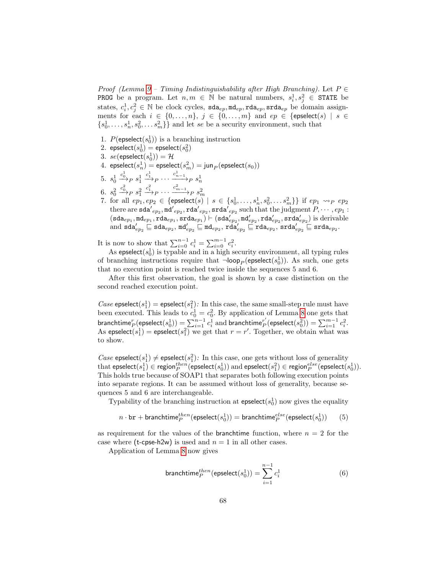Proof (Lemma [9](#page-66-0) – Timing Indistinguishability after High Branching). Let  $P \in$ **PROG** be a program. Let  $n, m \in \mathbb{N}$  be natural numbers,  $s_i^1, s_j^2 \in \text{STATE}$  be states,  $c_i^1, c_j^2 \in \mathbb{N}$  be clock cycles,  $\texttt{sda}_{ep}, \texttt{mda}_{ep}, \texttt{rda}_{ep}, \texttt{srda}_{ep}$  be domain assignments for each  $i \in \{0, \ldots, n\}, j \in \{0, \ldots, m\}$  and  $ep \in \{\text{epselect}(s) \mid s \in$  ${s_0^1, \ldots, s_n^1, s_0^2, \ldots s_m^2}$  and let se be a security environment, such that

- 1.  $P(\text{epselect}(s_0^1))$  is a branching instruction
- 2.  $\text{epselect}(s_0^1) = \text{epselect}(s_0^2)$
- 3.  $se(\text{epselect}(s_0^1)) = \mathcal{H}$
- 4.  $\mathsf{epselect}{\left(s^1_n\right)} = \mathsf{epselect}{\left(s^2_m\right)} = \mathsf{jun}_P(\mathsf{epselect}{\left(s_0\right)})$
- 5.  $s_0^1$  $\stackrel{c_0^1}{\longrightarrow}_P s_1^1$  $\xrightarrow{c_1^1} P \cdots \xrightarrow{c_{n-1}^1} P s_n^1$
- 6.  $s_0^2$  $\stackrel{c_0^2}{\longrightarrow}_P s_1^2$  $\stackrel{c_1^2}{\longrightarrow}_P \cdots \stackrel{c_{m-1}^2}{\longrightarrow}_P s_m^2$
- 7. for all  $ep_1, ep_2 \in \{\text{epselect}(s) \mid s \in \{s_0^1, \ldots, s_n^1, s_0^2, \ldots s_m^2\}\}$  if  $ep_1 \leadsto_P ep_2$ there are  $\verb|sda'|_{ep_2}, \verb|mda'|_{ep_2}, \verb|srda'|_{ep_2}, \verb|srda'|_{ep_2} \verb|such that the judgment  $P, \cdots, ep_1$ :$  $(\texttt{sda}_{ep_1}, \texttt{mde}_{ep_1}, \texttt{rda}_{ep_1}, \texttt{srda}_{ep_1}) \vdash (\texttt{sda}'_{ep_2}, \texttt{md}'_{ep_2}, \texttt{rda}'_{ep_2}, \texttt{srda}'_{ep_2})$  is derivable and  $\texttt{sda}'_{ep_2} \sqsubseteq \texttt{sda}_{ep_2}, \texttt{md}'_{ep_2} \sqsubseteq \texttt{mda}'_{ep_2}, \texttt{rda}'_{ep_2} \sqsubseteq \texttt{rda}_{ep_2}, \texttt{srda}'_{ep_2} \sqsubseteq \texttt{srda}_{ep_2}.$

It is now to show that  $\sum_{i=0}^{n-1} c_i^1 = \sum_{i=0}^{m-1} c_i^2$ .

As epselect $(s_0^1)$  is typable and in a high security environment, all typing rules of branching instructions require that  $\neg\mathsf{loop}_P(\mathsf{epselect}(s^1_0)).$  As such, one gets that no execution point is reached twice inside the sequences 5 and 6.

After this first observation, the goal is shown by a case distinction on the second reached execution point.

Case epselect( $s_1^1$ ) = epselect( $s_1^2$ ): In this case, the same small-step rule must have been executed. This leads to  $c_0^1 = c_0^2$ . By application of Lemma [8](#page-64-0) one gets that branchtime ${}^r_P(\mathsf{epselect}(s^1_0)) = \sum_{i=1}^{n-1} c^1_i$  and branchtime ${}^{r'}_P(\mathsf{epselect}(s^2_0)) = \sum_{i=1}^{m-1} c^2_i.$ As epselect( $s_1^1$ ) = epselect( $s_1^2$ ) we get that  $r = r'$ . Together, we obtain what was to show.

Case epselect( $s_1$ )  $\neq$  epselect( $s_1$ ): In this case, one gets without loss of generality  $\text{that } \textsf{epselect}(s_1^1) \in \textsf{region}^{then}_P(\textsf{epselect}(s_0^1)) \text{ and } \textsf{epselect}(s_1^2) \in \textsf{region}^{else}_P(\textsf{epselect}(s_0^1)).$ This holds true because of SOAP1 that separates both following execution points into separate regions. It can be assumed without loss of generality, because sequences 5 and 6 are interchangeable.

Typability of the branching instruction at  $epselect(s_0^1)$  now gives the equality

<span id="page-67-1"></span>
$$
n\cdot {\tt br} + {\tt branchtime}_P^{then}({\tt epselect}(s_0^1)) = {\tt branchtime}_P^{else}({\tt epselect}(s_0^1))\qquad (5)
$$

as requirement for the values of the **branchtime** function, where  $n = 2$  for the case where (t-cpse-h2w) is used and  $n = 1$  in all other cases.

Application of Lemma [8](#page-64-0) now gives

<span id="page-67-0"></span>
$$
\text{branchtime}_P^{then}(\text{expected}(s_0^1)) = \sum_{i=1}^{n-1} c_i^1 \tag{6}
$$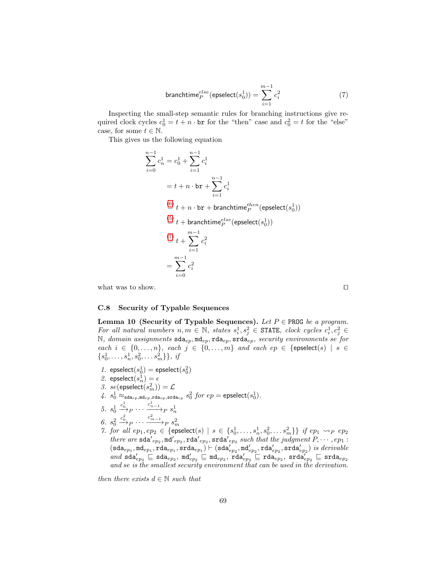<span id="page-68-1"></span>
$$
\text{branchtime}_P^{else}(\text{expected}(s_0^1)) = \sum_{i=1}^{m-1} c_i^2 \tag{7}
$$

Inspecting the small-step semantic rules for branching instructions give required clock cycles  $c_0^1 = t + n \cdot \text{br}$  for the "then" case and  $c_0^2 = t$  for the "else" case, for some  $t \in \mathbb{N}$ .

This gives us the following equation

$$
\sum_{i=0}^{n-1} c_n^1 = c_0^1 + \sum_{i=1}^{n-1} c_i^1
$$
  
=  $t + n \cdot br + \sum_{i=1}^{n-1} c_i^1$   

$$
\stackrel{(6)}{=} t + n \cdot br +
$$
branchtime<sup>*then*</sup><sub>*p*</sub> (epselect(s<sub>0</sub><sup>1</sup>))  

$$
\stackrel{(5)}{=} t +
$$
branchtime<sup>*else*</sup><sub>*p*</sub> (epselect(s<sub>0</sub><sup>1</sup>))  

$$
\stackrel{(7)}{=} t + \sum_{i=1}^{m-1} c_i^2
$$
  

$$
= \sum_{i=0}^{m-1} c_i^2
$$

what was to show.  $\Box$ 

# C.8 Security of Typable Sequences

<span id="page-68-0"></span>Lemma 10 (Security of Typable Sequences). Let  $P \in \text{PROG}$  be a program. For all natural numbers  $n, m \in \mathbb{N}$ , states  $s_i^1, s_j^2 \in \text{STATE}$ , clock cycles  $c_i^1, c_j^2 \in$ N, domain assignments  $\texttt{sda}_{ep}, \texttt{mda}_{ep}, \texttt{rda}_{ep}, \texttt{scda}_{ep}, \texttt{security environments se for}$ each  $i \in \{0, \ldots, n\}$ , each  $j \in \{0, \ldots, m\}$  and each  $ep \in \{\text{epselect}(s) \mid s \in$  $\{s_0^1, \ldots, s_n^1, s_0^2, \ldots s_m^2\}\}, \; i j$ 

- 1. epselect $(s_0^1)$  = epselect $(s_0^2)$
- 2. epselect $(s_n^1)=\epsilon$
- 3.  $se(\mathsf{epselect}(s_m^2)) = \mathcal{L}$
- $4. \ \ s^1_0 \approx_{\mathtt{sda}_{ep},\mathtt{md}_{ep},\mathtt{rda}_{ep},\mathtt{srda}_{ep}} \ s^2_0 \ \textit{for} \ \, ep = \mathtt{epselect}(s^1_0).$
- 5.  $s_0^1$  $\stackrel{c_0^1}{\longrightarrow}_P \cdots \stackrel{c_{n-1}^1}{\longrightarrow}_P s_n^1$
- 6.  $s_0^2$
- 6.  $s_0^2 \xrightarrow{c_0^2} P \cdots \xrightarrow{c_{m-1}^2} P s_m^2$ <br>7. for all  $ep_1, ep_2 \in \{\text{epselect}(s) \mid s \in \{s_0^1, \ldots, s_n^1, s_0^2, \ldots s_m^2\}\}$  if  $ep_1 \leadsto_P ep_2$ there are  $\texttt{sda}'_{ep_2}, \texttt{mda}'_{ep_2}, \texttt{rda}'_{ep_2}, \texttt{srda}'_{ep_2}$  such that the judgment  $P, \cdots, ep_1$ :  $(\texttt{sda}_{ep_1},\texttt{mde}_{ep_1},\texttt{rda}_{ep_1},\texttt{srda}_{ep_1}) \vdash (\texttt{sda}'_{ep_2},\texttt{md}'_{ep_2},\texttt{rda}'_{ep_2},\texttt{srda}'_{ep_2}) \ is \ derivable$ and  $\texttt{sda}'_{ep_2} \sqsubseteq \texttt{sda}_{ep_2}, \texttt{md}'_{ep_2} \sqsubseteq \texttt{mda}'_{ep_2}, \texttt{rda}'_{ep_2} \sqsubseteq \texttt{rda}'_{ep_2} \sqsubseteq \texttt{srda}'_{ep_2}$ and se is the smallest security environment that can be used in the derivation.

then there exists  $d \in \mathbb{N}$  such that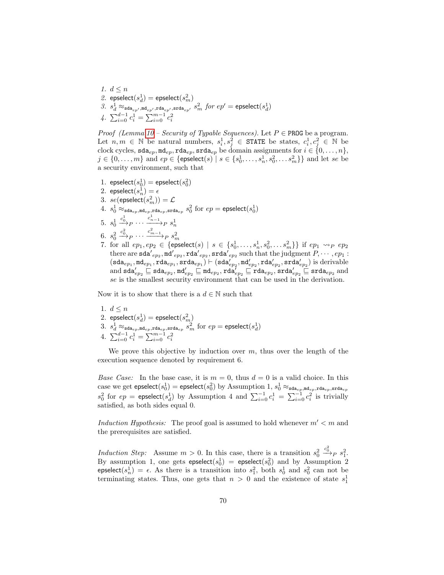1.  $d \leq n$ 2. epselect $(s_d^1)$  = epselect $(s_m^2)$  $3. s_d^1 \approx_{\texttt{sda}_{ep'},\texttt{md}_{ep'},\texttt{rda}_{ep'},\texttt{srda}_{ep'} } s_m^2 \; \textit{for} \; ep' = \texttt{epselect}(s_d^1)$ 4.  $\sum_{i=0}^{d-1} c_i^1 = \sum_{i=0}^{m-1} c_i^2$ 

*Proof (Lemma [10](#page-68-0) – Security of Typable Sequences).* Let  $P \in \text{PROG}$  be a program. Let  $n, m \in \mathbb{N}$  be natural numbers,  $s_i^1, s_j^2 \in \text{STATE}$  be states,  $c_i^1, c_j^2 \in \mathbb{N}$  be clock cycles,  $\texttt{sda}_{ep}, \texttt{mda}_{ep}, \texttt{rda}_{ep}, \texttt{srda}_{ep}$  be domain assignments for  $i \in \{0, \ldots, n\}$ ,  $j \in \{0, ..., m\}$  and  $ep \in \{\mathsf{epselect}(s) \mid s \in \{s_0^1, ..., s_n^1, s_0^2, ..., s_m^2\}\}$  and let se be a security environment, such that

- 1. epselect $(s_0^1)$  = epselect $(s_0^2)$
- 2. epselect $(s_n^1)=\epsilon$
- 3.  $se(\mathsf{epselect}(s_m^2)) = \mathcal{L}$
- $4. \ \ s^1_0 \approx_{\mathtt{sda}_{ep},\mathtt{mde}_{ep},\mathtt{rda}_{ep},\mathtt{sra}_{\mathtt{a}_{ep}}}\ s^2_0 \ \text{for} \ \, ep = \mathtt{epselect}(s^1_0)$
- 5.  $s_0^1$  $\xrightarrow{c_0^1} P \cdots \xrightarrow{c_{n-1}^1} P s_n^1$
- 6.  $s_0^2$  $\stackrel{c_0^2}{\longrightarrow}_P \cdots \stackrel{c_{m-1}^2}{\longrightarrow}_P s_m^2$
- 7. for all  $ep_1, ep_2 \in \{\text{epselect}(s) \mid s \in \{s_0^1, \ldots, s_n^1, s_0^2, \ldots s_m^2\}\}$  if  $ep_1 \leadsto_P ep_2$ there are  $\verb|sda'|_{ep_2}, \verb|mda'|_{ep_2}, \verb|srda'|_{ep_2}, \verb|srda'|_{ep_2} \verb|such that the judgment  $P, \cdots, ep_1$ :$  $(\texttt{sda}_{ep_1}, \texttt{mde}_{ep_1}, \texttt{rda}_{ep_1}, \texttt{srda}_{ep_1}) \vdash (\texttt{sda}'_{ep_2}, \texttt{mdd}'_{ep_2}, \texttt{rda}'_{ep_2}, \texttt{srda}'_{ep_2}) \text{ is derivable}$ and  $\texttt{sda}'_{ep_2} \sqsubseteq \texttt{sda}_{ep_2}, \texttt{md}'_{ep_2} \sqsubseteq \texttt{mda}'_{ep_2} \sqsubseteq \texttt{rda}_{ep_2}, \texttt{srda}'_{ep_2} \sqsubseteq \texttt{srda}_{ep_2}$  and se is the smallest security environment that can be used in the derivation.

Now it is to show that there is a  $d \in \mathbb{N}$  such that

- 1.  $d \leq n$
- 2.  $\mathsf{epselect}(s_d^1) = \mathsf{epselect}(s_m^2)$
- $3. \ \ s_d^1 \approx_{\mathtt{sda}_{ep},\mathtt{md}_{ep},\mathtt{rda}_{ep},\mathtt{srda}_{ep}} s_m^2 \ \ \text{for} \ \ ep = \mathtt{epselect}(s_d^1)$
- 4.  $\sum_{i=0}^{d-1} c_i^1 = \sum_{i=0}^{m-1} c_i^2$

We prove this objective by induction over  $m$ , thus over the length of the execution sequence denoted by requirement 6.

*Base Case:* In the base case, it is  $m = 0$ , thus  $d = 0$  is a valid choice. In this case we get  ${\sf epselect}(s_0^1)={\sf epselect}(s_0^2)$  by  ${\rm Assumption~1,~}s_0^1\approx_{\verb|sda_{ep},\verb|mde_{ep},\verb|rda_{ep},\verb|sda_{ep}|}$  $s_0^2$  for  $ep = \text{epselect}(s_d^1)$  by Assumption 4 and  $\sum_{i=0}^{-1} c_i^1 = \sum_{i=0}^{-1} c_i^2$  is trivially satisfied, as both sides equal 0.

Induction Hypothesis: The proof goal is assumed to hold whenever  $m' < m$  and the prerequisites are satisfied.

Induction Step: Assume  $m > 0$ . In this case, there is a transition  $s_0^2$  $\stackrel{c_0^2}{\longrightarrow}_P s_1^2.$ By assumption 1, one gets  $\mathsf{epselect} (s_0^1) = \mathsf{epselect} (s_0^2)$  and by Assumption 2 epselect $(s_n^1) = \epsilon$ . As there is a transition into  $s_1^2$ , both  $s_0^1$  and  $s_0^2$  can not be terminating states. Thus, one gets that  $n > 0$  and the existence of state  $s_1^1$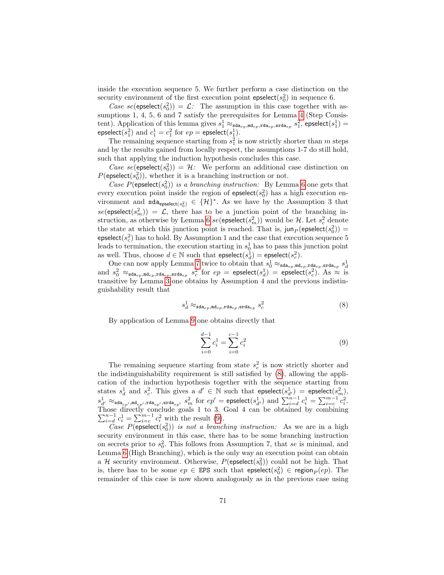inside the execution sequence 5. We further perform a case distinction on the security environment of the first execution point  $epselect(s_0^2)$  in sequence 6.

Case se(epselect( $s_0^2$ )) =  $\mathcal{L}$ : The assumption in this case together with as-sumptions 1, [4](#page-43-0), 5, 6 and 7 satisfy the prerequisites for Lemma 4 (Step Consistent). Application of this lemma gives  $s_1^1 \approx_{\texttt{sda}_{ep},\texttt{mda}_{ep},\texttt{rda}_{ep},\texttt{srda}_{ep}} s_1^2$ , epselect $(s_1^1)$  = epselect $(s_1^2)$  and  $c_1^1 = c_1^2$  for  $ep = \text{epselect}(s_1^1)$ .

The remaining sequence starting from  $s_1^2$  is now strictly shorter than m steps and by the results gained from locally respect, the assumptions 1-7 do still hold, such that applying the induction hypothesis concludes this case.

Case se(epselect( $s_0^2$ )) = H: We perform an additional case distinction on  $P(\text{epselect}(s_0^2))$ , whether it is a branching instruction or not.

Case  $P(\text{epselect}(s_0^2))$  is a branching instruction: By Lemma [6](#page-61-0) one gets that every execution point inside the region of  $epselect(s_0^2)$  has a high execution environment and  $\text{sda}_{\text{epselect}(s_0^2)} \in \{\mathcal{H}\}^*$ . As we have by the Assumption 3 that  $se(\text{epselect}(s_m^2)) = \mathcal{L}$ , there has to be a junction point of the branching in-struction, as otherwise by Lemma [6](#page-61-0)  $se(\mathsf{epselect}(s_m^2))$  would be  $\mathcal H$ . Let  $s_c^2$  denote the state at which this junction point is reached. That is,  $\text{jun}_P(\text{epselect}(s_0^2)) =$  $\mathsf{epselect}(s_c^2)$  has to hold. By Assumption 1 and the case that execution sequence  $5$ leads to termination, the execution starting in  $s_0^1$  has to pass this junction point as well. Thus, choose  $d \in \mathbb{N}$  such that  $\mathsf{epselect}(s_d^1) = \mathsf{epselect}(s_c^2)$ .

One can now apply Lemma [7](#page-62-0) twice to obtain that  $s_0^1 \approx_{\text{sda}_{ep},\text{md}_{ep},\text{rda}_{ep}} s_d^1$ <br>and  $s_0^2 \approx_{\text{sda}_{ep},\text{md}_{ep},\text{rda}_{ep},\text{rda}_{ep}} s_c^2$  for  $ep = \text{epselect}(s_d^1) = \text{epselect}(s_c^2)$ . As  $\approx$  is transitive by Lemma [3](#page-43-1) one obtains by Assumption 4 and the previous indistinguishability result that

<span id="page-70-0"></span>
$$
s_d^1 \approx_{\text{sda}_{ep}, \text{md}_{ep}, \text{rda}_{ep}, \text{srda}_{ep}} s_c^2 \tag{8}
$$

By application of Lemma [9](#page-66-0) one obtains directly that

<span id="page-70-1"></span>
$$
\sum_{i=0}^{d-1} c_i^1 = \sum_{i=0}^{c-1} c_i^2 \tag{9}
$$

The remaining sequence starting from state  $s_c^2$  is now strictly shorter and the indistinguishability requirement is still satisfied by [\(8\)](#page-70-0), allowing the application of the induction hypothesis together with the sequence starting from states  $s_d^1$  and  $s_c^2$ . This gives a  $d' \in \mathbb{N}$  such that epselect $(s_{d'}^1)$  = epselect $(s_m^2)$ ,  $s_{d'}^1 \approx_{\texttt{sda}_{ep'},\texttt{md}_{ep'},\texttt{std}_{ep'},\texttt{std}_{ep'}} s_m^2 \text{ for } ep' = \texttt{epselect}(s_{d'}^1) \text{ and } \sum_{i=d}^{n-1} c_i^1 = \sum_{i=c}^{m-1} c_i^2.$ Those directly conclude goals 1 to 3. Goal 4 can be obtained by combining  $\sum_{i=d}^{n-1} c_i^1 = \sum_{i=c}^{m-1} c_i^2$  with the result [\(9\)](#page-70-1).

Case  $P(\text{epselect}(s_0^2))$  is not a branching instruction: As we are in a high security environment in this case, there has to be some branching instruction on secrets prior to  $s_0^2$ . This follows from Assumption 7, that se is minimal, and Lemma [6](#page-61-0) (High Branching), which is the only way an execution point can obtain a  $H$  security environment. Otherwise,  $P(\text{epselect}(s_0^2))$  could not be high. That is, there has to be some  $ep \in EPS$  such that  $epselect(s_0^2) \in region_P(ep)$ . The remainder of this case is now shown analogously as in the previous case using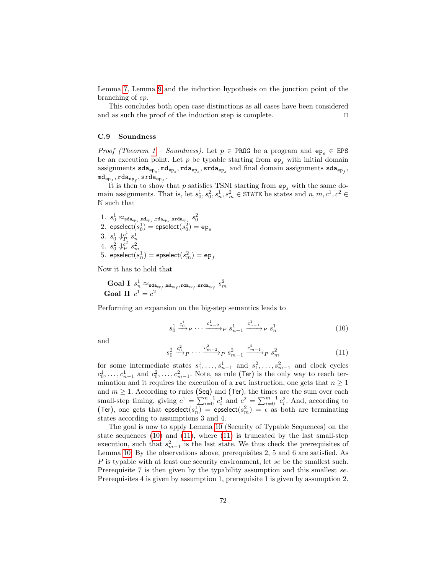Lemma [7,](#page-62-0) Lemma [9](#page-66-0) and the induction hypothesis on the junction point of the branching of ep.

This concludes both open case distinctions as all cases have been considered and as such the proof of the induction step is complete.  $\Box$ 

# C.9 Soundness

*Proof (Theorem [1](#page-40-0) – Soundness)*. Let  $p \in PROG$  be a program and  $ep_s \in EPS$ be an execution point. Let  $p$  be typable starting from  $ep_s$  with initial domain assignments  $\verb|sda_{ep_s},\verb|mde_{p_s},\verb|rda_{ep_s},\verb|srda_{ep_s},$  and final domain assignments  $\verb|sda_{ep_f},$  $\mathrm{md}_{\mathtt{ep}_{f}}$ ,  $\mathrm{rda}_{\mathtt{ep}_{f}}$ ,  $\mathrm{srda}_{\mathtt{ep}_{f}}$ .

It is then to show that p satisfies TSNI starting from  $ep_s$  with the same domain assignments. That is, let  $s_0^1, s_0^2, s_n^1, s_m^2 \in \text{STATE}$  be states and  $n, m, c^1, c^2 \in$ N such that

 $1.~s_{0}^{1}\approx_{\mathtt{sda_{ep}}_\mathit{s},\mathtt{md_{ep}}_\mathit{s},\mathtt{rda_{ep}}_\mathit{s}},\mathtt{s_{0}^{2}}$ 2.  $\text{epselectric}(\overline{s^1_0}) = \text{epselectric}(\overline{s^2_0}) = \text{ep}_s$ 3.  $s_0^1 \Downarrow_{P_2}^{c^1} s_n^1$  $4. \ \ s_0^2 \Downarrow_F^{c^2} s_m^2 \ 5. \ \ \ \text{epselect}(s_n^1) = \text{epselect}(s_m^2) = \text{ep}_f$ 

Now it has to hold that

$$
\begin{array}{l} \textbf{Goal I} \enspace s_n^1 \approx_{\text{sda}_{\text{ep}_f}, \text{md}_{\text{ep}_f}, \text{rda}_{\text{ep}_f}, \text{srda}_{\text{ep}_f}} s_m^2 \\ \textbf{Goal II} \enspace c^1 = c^2 \end{array}
$$

Performing an expansion on the big-step semantics leads to

<span id="page-71-0"></span>
$$
s_0^1 \xrightarrow{c_0^1} P \cdots \xrightarrow{c_{n-2}^1} P s_{n-1}^1 \xrightarrow{c_{n-1}^1} P s_n^1
$$
 (10)

and

<span id="page-71-1"></span>
$$
s_0^2 \xrightarrow{c_0^2} P \cdots \xrightarrow{c_{m-2}^2} P \ s_{m-1}^2 \xrightarrow{c_{m-1}^2} P \ s_m^2 \tag{11}
$$

for some intermediate states  $s_1^1, \ldots, s_{n-1}^1$  and  $s_1^2, \ldots, s_{m-1}^2$  and clock cycles  $c_0^1, \ldots, c_{n-1}^1$  and  $c_0^2, \ldots, c_{m-1}^2$ . Note, as rule (Ter) is the only way to reach termination and it requires the execution of a ret instruction, one gets that  $n \geq 1$ and  $m \geq 1$ . According to rules (Seq) and (Ter), the times are the sum over each small-step timing, giving  $c^1 = \sum_{i=0}^{n-1} c_i^1$  and  $c^2 = \sum_{i=0}^{m-1} c_i^2$ . And, according to (Ter), one gets that epselect( $s_n$ ) = epselect( $s_m$ ) =  $\epsilon$  as both are terminating states according to assumptions 3 and 4.

The goal is now to apply Lemma [10](#page-68-0) (Security of Typable Sequences) on the state sequences [\(10\)](#page-71-0) and [\(11\)](#page-71-1), where [\(11\)](#page-71-1) is truncated by the last small-step execution, such that  $s_{m-1}^2$  is the last state. We thus check the prerequisites of Lemma [10.](#page-68-0) By the observations above, prerequisites 2, 5 and 6 are satisfied. As P is typable with at least one security environment, let se be the smallest such. Prerequisite 7 is then given by the typability assumption and this smallest se. Prerequisites 4 is given by assumption 1, prerequisite 1 is given by assumption 2.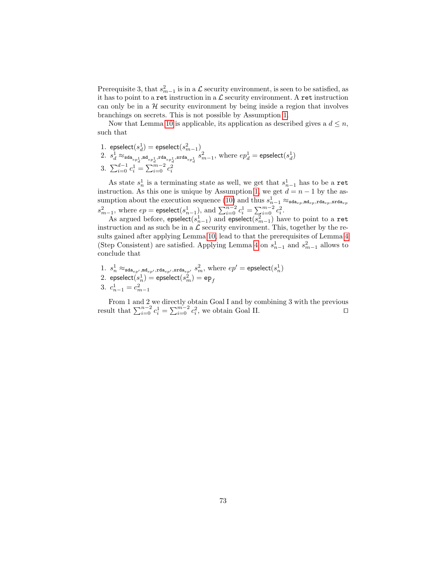Prerequisite 3, that  $s_{m-1}^2$  is in a  $\mathcal L$  security environment, is seen to be satisfied, as it has to point to a ret instruction in a  $\mathcal L$  security environment. A ret instruction can only be in a  $H$  security environment by being inside a region that involves branchings on secrets. This is not possible by Assumption [1.](#page-41-0)

Now that Lemma [10](#page-68-0) is applicable, its application as described gives a  $d \leq n$ , such that

- 1.  $\mathsf{epselect}{\left(s_d^1\right)} = \mathsf{epselect}{\left(s_{m-1}^2\right)}$
- $2.~s_d^1\approx_{\texttt{sda}_{ep_d^1},\texttt{md}_{ep_d^1},\texttt{sda}_{ep_d^1},\texttt{srda}_{ep_d^1}} s_{m-1}^2,$  where  $ep_d^1 = \texttt{epselect}(s_d^1)$
- 3.  $\sum_{i=0}^{d-1} c_i^1 = \sum_{i=0}^{m-2} c_i^2$

As state  $s_n^1$  is a terminating state as well, we get that  $s_{n-1}^1$  has to be a ret instruction. As this one is unique by Assumption [1,](#page-41-0) we get  $d = n - 1$  by the as-sumption about the execution sequence [\(10\)](#page-71-0) and thus  $s_{n-1}^1 \approx_{\text{sda}_{ep},\text{mde}_{ep},\text{rda}_{ep},\text{srda}_{ep}}$  $s_{m-1}^2$ , where  $ep = \text{epselect}(s_{n-1}^1)$ , and  $\sum_{i=0}^{n-2} c_i^1 = \sum_{i=0}^{m-2} c_i^2$ .

As argued before, epselect( $s_{n-1}^1$ ) and epselect( $s_{m-1}^2$ ) have to point to a ret instruction and as such be in a  $\mathcal L$  security environment. This, together by the results gained after applying Lemma [10,](#page-68-0) lead to that the prerequisites of Lemma [4](#page-43-0) (Step Consistent) are satisfied. Applying Lemma [4](#page-43-0) on  $s_{n-1}^1$  and  $s_{m-1}^2$  allows to conclude that

1.  $s_n^1 \approx_{\texttt{sda}_{ep'},\texttt{md}_{ep'},\texttt{rda}_{ep'},\texttt{srda}_{ep'}, s_{m}^2}$ , where  $ep' = \texttt{epselect}(s_n^1)$  $2.$   $\text{epselect}(\overline{s}^1_n) = \text{epselect}(\overline{s}^2_m) = \text{e} \text{p}_f$ 3.  $c_{n-1}^1 = c_{m-1}^2$ 

From 1 and 2 we directly obtain Goal I and by combining 3 with the previous result that  $\sum_{i=0}^{n-2} c_i^1 = \sum_{i=0}^{m-2} c_i^2$ , we obtain Goal II.